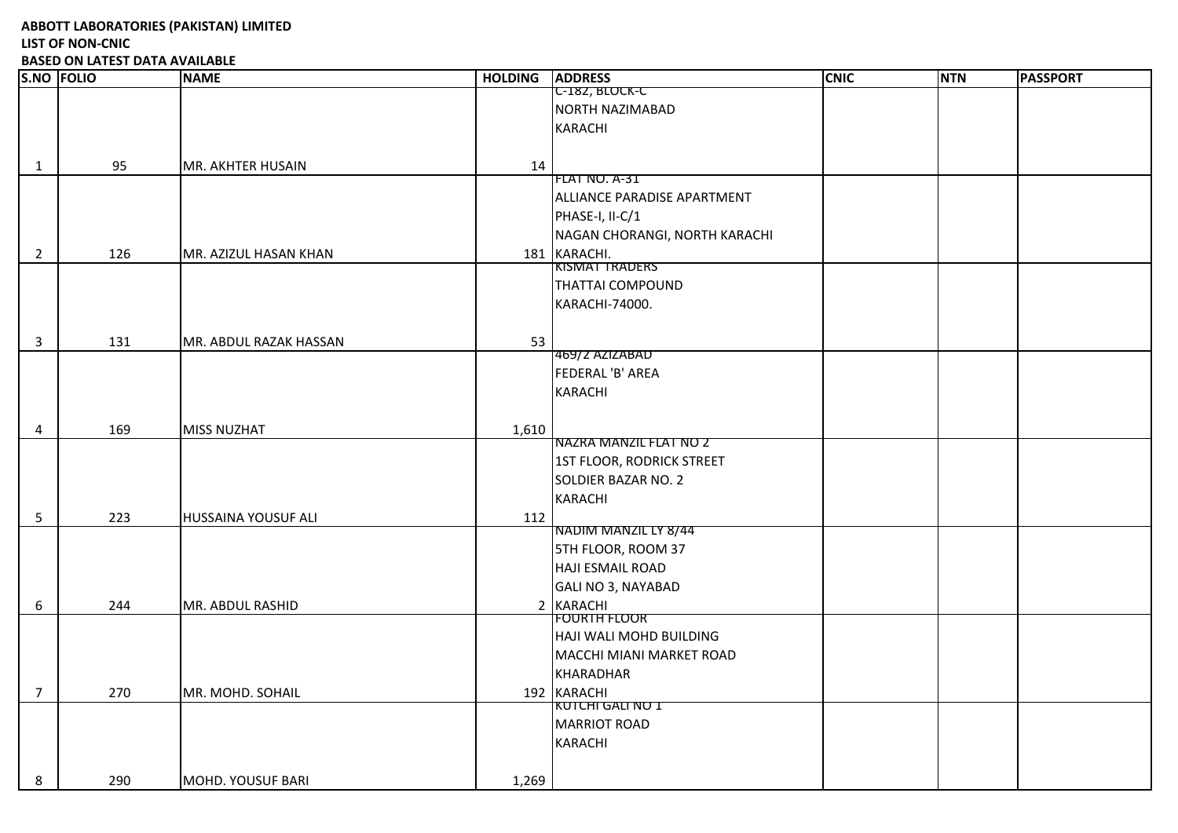**ABBOTT LABORATORIES (PAKISTAN) LIMITED LIST OF NON-CNIC** 

**BASED ON LATEST DATA AVAILABLE**

|                | <b>S.NO FOLIO</b> | <b>NAME</b>              | <b>HOLDING</b> | <b>ADDRESS</b>                | <b>CNIC</b> | <b>NTN</b> | <b>PASSPORT</b> |
|----------------|-------------------|--------------------------|----------------|-------------------------------|-------------|------------|-----------------|
|                |                   |                          |                | <b>C-182, BLOCK-C</b>         |             |            |                 |
|                |                   |                          |                | NORTH NAZIMABAD               |             |            |                 |
|                |                   |                          |                | KARACHI                       |             |            |                 |
|                |                   |                          |                |                               |             |            |                 |
| $\mathbf{1}$   | 95                | <b>MR. AKHTER HUSAIN</b> | 14             |                               |             |            |                 |
|                |                   |                          |                | FLAT NO. A-31                 |             |            |                 |
|                |                   |                          |                | ALLIANCE PARADISE APARTMENT   |             |            |                 |
|                |                   |                          |                | PHASE-I, II-C/1               |             |            |                 |
|                |                   |                          |                | NAGAN CHORANGI, NORTH KARACHI |             |            |                 |
| $\overline{2}$ | 126               | MR. AZIZUL HASAN KHAN    |                | 181 KARACHI.                  |             |            |                 |
|                |                   |                          |                | KISMAT TRADERS                |             |            |                 |
|                |                   |                          |                | <b>THATTAI COMPOUND</b>       |             |            |                 |
|                |                   |                          |                | KARACHI-74000.                |             |            |                 |
|                |                   |                          |                |                               |             |            |                 |
| 3              | 131               | MR. ABDUL RAZAK HASSAN   | 53             |                               |             |            |                 |
|                |                   |                          |                | 469/2 AZIZABAD                |             |            |                 |
|                |                   |                          |                | FEDERAL 'B' AREA              |             |            |                 |
|                |                   |                          |                | <b>KARACHI</b>                |             |            |                 |
|                |                   |                          |                |                               |             |            |                 |
| 4              | 169               | <b>MISS NUZHAT</b>       | 1,610          |                               |             |            |                 |
|                |                   |                          |                | NAZRA MANZIL FLAT NO Z        |             |            |                 |
|                |                   |                          |                | 1ST FLOOR, RODRICK STREET     |             |            |                 |
|                |                   |                          |                | SOLDIER BAZAR NO. 2           |             |            |                 |
|                |                   |                          |                | <b>KARACHI</b>                |             |            |                 |
|                |                   |                          |                |                               |             |            |                 |
| 5              | 223               | HUSSAINA YOUSUF ALI      | 112            | NADIM MANZIL LY 8/44          |             |            |                 |
|                |                   |                          |                | <b>5TH FLOOR, ROOM 37</b>     |             |            |                 |
|                |                   |                          |                | <b>HAJI ESMAIL ROAD</b>       |             |            |                 |
|                |                   |                          |                |                               |             |            |                 |
|                |                   |                          |                | <b>GALI NO 3, NAYABAD</b>     |             |            |                 |
| 6              | 244               | MR. ABDUL RASHID         |                | 2 KARACHI<br>FOURTH FLOOR     |             |            |                 |
|                |                   |                          |                | HAJI WALI MOHD BUILDING       |             |            |                 |
|                |                   |                          |                |                               |             |            |                 |
|                |                   |                          |                | MACCHI MIANI MARKET ROAD      |             |            |                 |
|                |                   |                          |                | KHARADHAR                     |             |            |                 |
| $\overline{7}$ | 270               | MR. MOHD. SOHAIL         |                | 192 KARACHI                   |             |            |                 |
|                |                   |                          |                | KUTCHI GALI NO 1              |             |            |                 |
|                |                   |                          |                | <b>MARRIOT ROAD</b>           |             |            |                 |
|                |                   |                          |                | <b>KARACHI</b>                |             |            |                 |
|                |                   |                          |                |                               |             |            |                 |
| 8              | 290               | <b>MOHD. YOUSUF BARI</b> | 1,269          |                               |             |            |                 |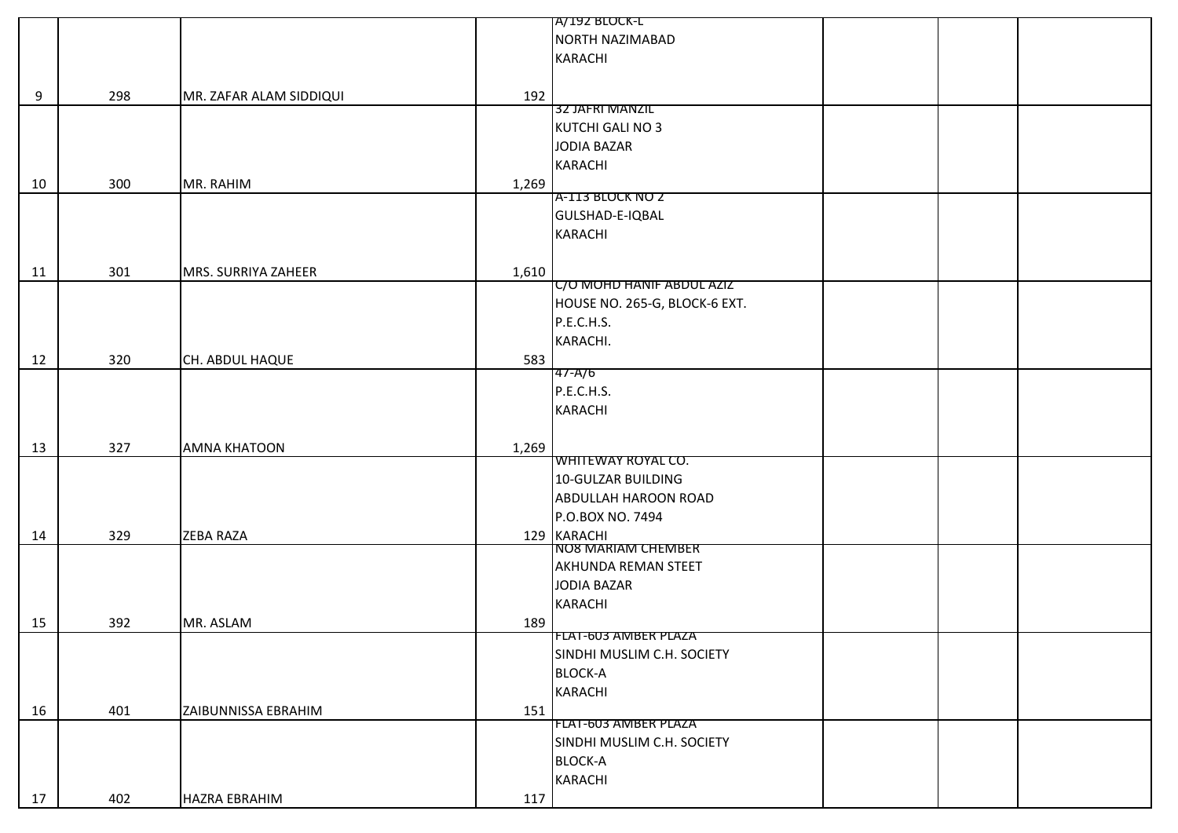|    |     |                         |       | A/192 BLOCK-L                            |  |
|----|-----|-------------------------|-------|------------------------------------------|--|
|    |     |                         |       | NORTH NAZIMABAD                          |  |
|    |     |                         |       | <b>KARACHI</b>                           |  |
|    |     |                         |       |                                          |  |
| 9  | 298 | MR. ZAFAR ALAM SIDDIQUI | 192   |                                          |  |
|    |     |                         |       | 32 JAFRI MANZIL                          |  |
|    |     |                         |       | KUTCHI GALI NO 3                         |  |
|    |     |                         |       | JODIA BAZAR                              |  |
|    |     |                         |       | <b>KARACHI</b>                           |  |
| 10 | 300 | MR. RAHIM               | 1,269 |                                          |  |
|    |     |                         |       | A-113 BLOCK NO Z                         |  |
|    |     |                         |       | GULSHAD-E-IQBAL                          |  |
|    |     |                         |       | <b>KARACHI</b>                           |  |
|    |     |                         |       |                                          |  |
|    | 301 |                         |       |                                          |  |
| 11 |     | MRS. SURRIYA ZAHEER     | 1,610 | C/O MOHD HANIF ABDUL AZIZ                |  |
|    |     |                         |       | HOUSE NO. 265-G, BLOCK-6 EXT.            |  |
|    |     |                         |       | P.E.C.H.S.                               |  |
|    |     |                         |       | KARACHI.                                 |  |
|    |     |                         |       |                                          |  |
| 12 | 320 | CH. ABDUL HAQUE         | 583   | 47-A/6                                   |  |
|    |     |                         |       | P.E.C.H.S.                               |  |
|    |     |                         |       | <b>KARACHI</b>                           |  |
|    |     |                         |       |                                          |  |
|    |     |                         |       |                                          |  |
| 13 | 327 | <b>AMNA KHATOON</b>     | 1,269 | WHITEWAY ROYAL CO.                       |  |
|    |     |                         |       | 10-GULZAR BUILDING                       |  |
|    |     |                         |       | <b>ABDULLAH HAROON ROAD</b>              |  |
|    |     |                         |       | P.O.BOX NO. 7494                         |  |
|    |     |                         |       |                                          |  |
| 14 | 329 | <b>ZEBA RAZA</b>        |       | 129 KARACHI<br><b>NO8 MARIAM CHEMBER</b> |  |
|    |     |                         |       | AKHUNDA REMAN STEET                      |  |
|    |     |                         |       | JODIA BAZAR                              |  |
|    |     |                         |       |                                          |  |
|    |     |                         |       | <b>KARACHI</b>                           |  |
| 15 | 392 | MR. ASLAM               | 189   | <b>FLAT-603 AMBER PLAZA</b>              |  |
|    |     |                         |       | SINDHI MUSLIM C.H. SOCIETY               |  |
|    |     |                         |       | <b>BLOCK-A</b>                           |  |
|    |     |                         |       |                                          |  |
|    |     |                         |       | <b>KARACHI</b>                           |  |
| 16 | 401 | ZAIBUNNISSA EBRAHIM     | 151   | <b>FLAT-603 AMBER PLAZA</b>              |  |
|    |     |                         |       | SINDHI MUSLIM C.H. SOCIETY               |  |
|    |     |                         |       |                                          |  |
|    |     |                         |       | <b>BLOCK-A</b>                           |  |
|    |     |                         |       | <b>KARACHI</b>                           |  |
| 17 | 402 | <b>HAZRA EBRAHIM</b>    | 117   |                                          |  |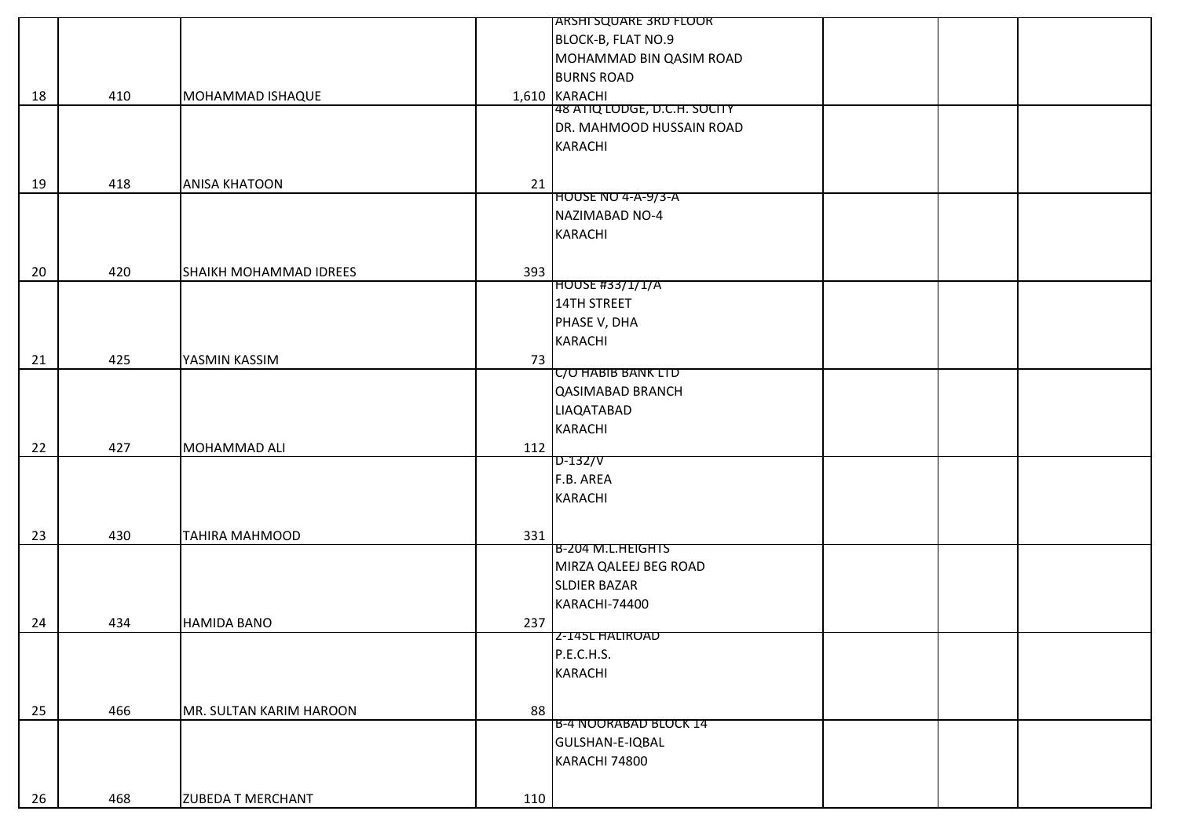|    |     |                               |     | <b>JARSHI SQUARE 3RD FLOOR</b> |  |
|----|-----|-------------------------------|-----|--------------------------------|--|
|    |     |                               |     | BLOCK-B, FLAT NO.9             |  |
|    |     |                               |     | MOHAMMAD BIN QASIM ROAD        |  |
|    |     |                               |     | <b>BURNS ROAD</b>              |  |
| 18 | 410 | MOHAMMAD ISHAQUE              |     | 1,610 KARACHI                  |  |
|    |     |                               |     | 48 ATIQ LODGE, D.C.H. SOCITY   |  |
|    |     |                               |     | DR. MAHMOOD HUSSAIN ROAD       |  |
|    |     |                               |     | KARACHI                        |  |
|    |     |                               |     |                                |  |
| 19 | 418 | <b>ANISA KHATOON</b>          | 21  |                                |  |
|    |     |                               |     | HOUSE NO 4-A-9/3-A             |  |
|    |     |                               |     | NAZIMABAD NO-4                 |  |
|    |     |                               |     | KARACHI                        |  |
|    |     |                               |     |                                |  |
| 20 | 420 | <b>SHAIKH MOHAMMAD IDREES</b> | 393 |                                |  |
|    |     |                               |     | <b>HOUSE #33/1/1/A</b>         |  |
|    |     |                               |     | 14TH STREET                    |  |
|    |     |                               |     | PHASE V, DHA                   |  |
|    |     |                               |     | KARACHI                        |  |
| 21 | 425 | YASMIN KASSIM                 | 73  |                                |  |
|    |     |                               |     | <b>C/O HABIB BANK LTD</b>      |  |
|    |     |                               |     | <b>QASIMABAD BRANCH</b>        |  |
|    |     |                               |     | <b>LIAQATABAD</b>              |  |
|    |     |                               |     | <b>KARACHI</b>                 |  |
| 22 | 427 | MOHAMMAD ALI                  | 112 |                                |  |
|    |     |                               |     | $D-132/V$                      |  |
|    |     |                               |     | F.B. AREA                      |  |
|    |     |                               |     | KARACHI                        |  |
|    |     |                               |     |                                |  |
| 23 | 430 | <b>TAHIRA MAHMOOD</b>         | 331 |                                |  |
|    |     |                               |     | B-204 M.L.HEIGHTS              |  |
|    |     |                               |     | MIRZA QALEEJ BEG ROAD          |  |
|    |     |                               |     | <b>SLDIER BAZAR</b>            |  |
|    |     |                               |     | KARACHI-74400                  |  |
| 24 | 434 | <b>HAMIDA BANO</b>            | 237 |                                |  |
|    |     |                               |     | 2-145L HALIROAD                |  |
|    |     |                               |     | P.E.C.H.S.                     |  |
|    |     |                               |     | KARACHI                        |  |
|    |     |                               |     |                                |  |
| 25 | 466 | MR. SULTAN KARIM HAROON       | 88  |                                |  |
|    |     |                               |     | <b>B-4 NOORABAD BLOCK 14</b>   |  |
|    |     |                               |     | GULSHAN-E-IQBAL                |  |
|    |     |                               |     | KARACHI 74800                  |  |
|    |     |                               |     |                                |  |
| 26 | 468 | <b>ZUBEDA T MERCHANT</b>      | 110 |                                |  |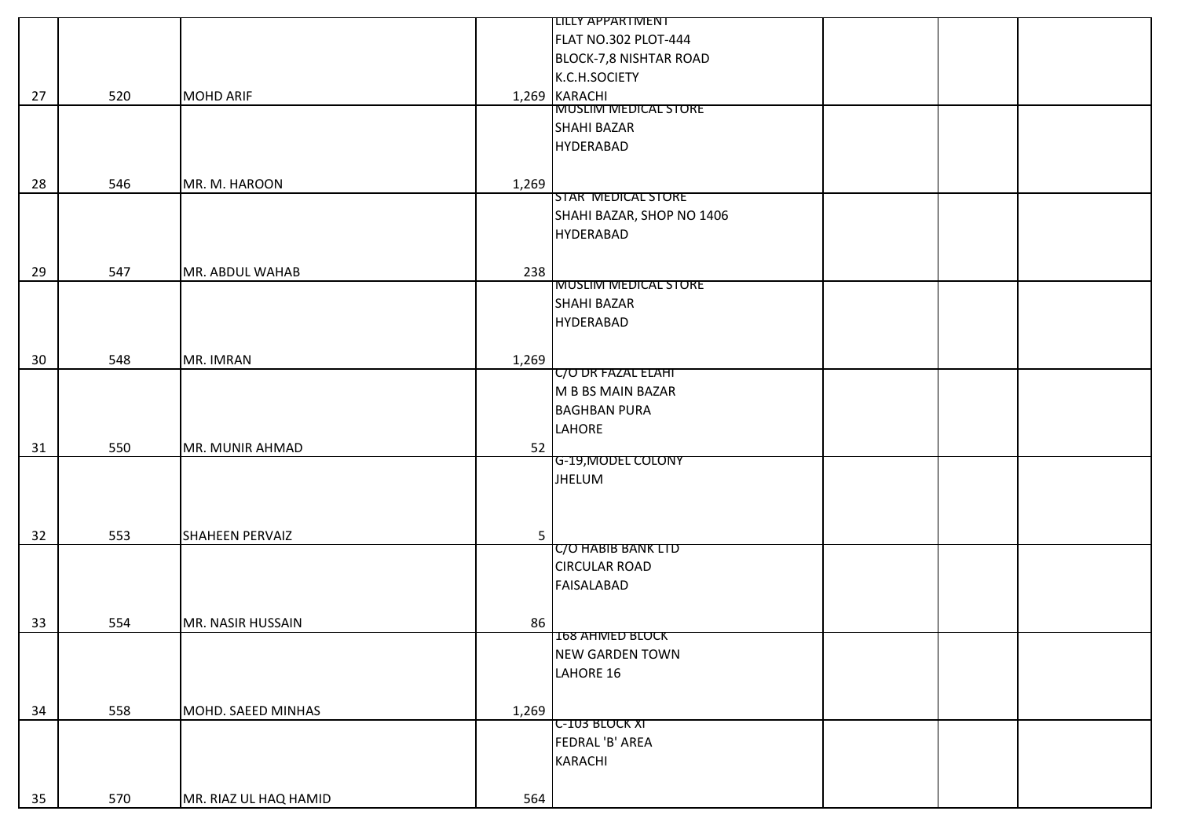|          |            |                                             |                | LILLY APPARTMENT                                                 |
|----------|------------|---------------------------------------------|----------------|------------------------------------------------------------------|
|          |            |                                             |                | FLAT NO.302 PLOT-444                                             |
|          |            |                                             |                | BLOCK-7,8 NISHTAR ROAD                                           |
|          |            |                                             |                | K.C.H.SOCIETY                                                    |
| 27       | 520        | <b>MOHD ARIF</b>                            |                | 1,269 KARACHI                                                    |
|          |            |                                             |                | <b>MUSLIM MEDICAL STORE</b>                                      |
|          |            |                                             |                | SHAHI BAZAR                                                      |
|          |            |                                             |                | HYDERABAD                                                        |
|          |            |                                             |                |                                                                  |
| 28       | 546        | MR. M. HAROON                               | 1,269          |                                                                  |
|          |            |                                             |                | <b>STAR MEDICAL STORE</b>                                        |
|          |            |                                             |                | SHAHI BAZAR, SHOP NO 1406                                        |
|          |            |                                             |                | <b>HYDERABAD</b>                                                 |
|          |            |                                             |                |                                                                  |
| 29       | 547        | MR. ABDUL WAHAB                             | 238            |                                                                  |
|          |            |                                             |                | <b>MUSLIM MEDICAL STORE</b>                                      |
|          |            |                                             |                | <b>SHAHI BAZAR</b>                                               |
|          |            |                                             |                | HYDERABAD                                                        |
|          |            |                                             |                |                                                                  |
| 30       | 548        | MR. IMRAN                                   | 1,269          |                                                                  |
|          |            |                                             |                | <b>UO DR FAZAL ELAHI</b>                                         |
|          |            |                                             |                | M B BS MAIN BAZAR                                                |
|          |            |                                             |                | <b>BAGHBAN PURA</b>                                              |
|          |            |                                             |                | LAHORE                                                           |
| 31       | 550        | MR. MUNIR AHMAD                             | 52             |                                                                  |
|          |            |                                             |                | G-19, MODEL COLONY                                               |
|          |            |                                             |                | <b>JHELUM</b>                                                    |
|          |            |                                             |                |                                                                  |
|          |            |                                             |                |                                                                  |
| 32       | 553        | <b>SHAHEEN PERVAIZ</b>                      | 5 <sub>1</sub> | <b>C/O HABIB BANK LID</b>                                        |
|          |            |                                             |                | <b>CIRCULAR ROAD</b>                                             |
|          |            |                                             |                | <b>FAISALABAD</b>                                                |
|          |            |                                             |                |                                                                  |
|          |            |                                             |                |                                                                  |
| 33       | 554        | MR. NASIR HUSSAIN                           | 86             | <b>168 AHMED BLOCK</b>                                           |
|          |            |                                             |                | <b>NEW GARDEN TOWN</b>                                           |
|          |            |                                             |                |                                                                  |
|          |            |                                             |                |                                                                  |
|          |            |                                             |                |                                                                  |
|          |            |                                             |                |                                                                  |
|          |            |                                             |                |                                                                  |
|          |            |                                             |                |                                                                  |
|          |            |                                             |                |                                                                  |
|          |            |                                             |                |                                                                  |
| 34<br>35 | 558<br>570 | MOHD. SAEED MINHAS<br>MR. RIAZ UL HAQ HAMID | 1,269<br>564   | LAHORE 16<br><b>C-103 BLOCK XI</b><br>FEDRAL 'B' AREA<br>KARACHI |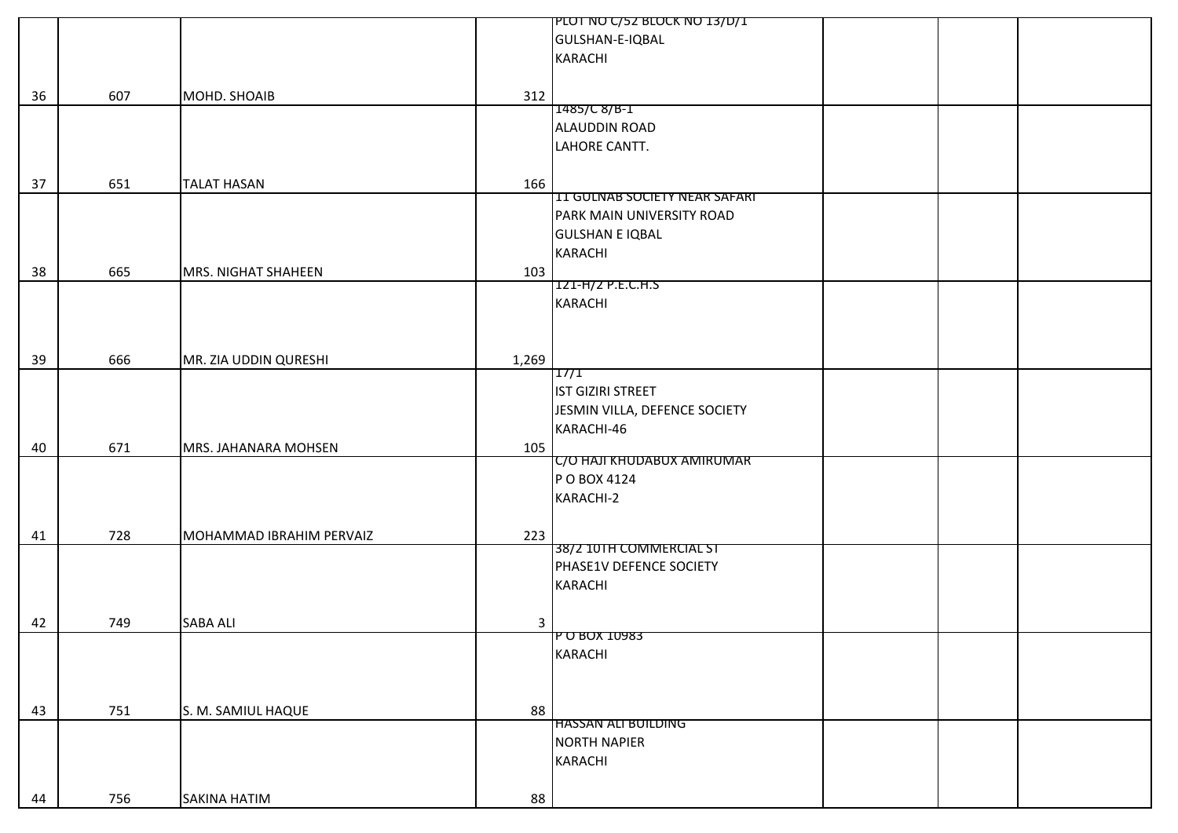|    |     |                          |                         | PLOT NO C/52 BLOCK NO 13/D/1         |
|----|-----|--------------------------|-------------------------|--------------------------------------|
|    |     |                          |                         | GULSHAN-E-IQBAL                      |
|    |     |                          |                         | <b>KARACHI</b>                       |
|    |     |                          |                         |                                      |
|    |     |                          |                         |                                      |
| 36 | 607 | MOHD. SHOAIB             | 312                     | 1485/C8/B-1                          |
|    |     |                          |                         | ALAUDDIN ROAD                        |
|    |     |                          |                         |                                      |
|    |     |                          |                         | LAHORE CANTT.                        |
|    |     |                          |                         |                                      |
| 37 | 651 | <b>TALAT HASAN</b>       | 166                     |                                      |
|    |     |                          |                         | <b>11 GULNAB SOCIETY NEAR SAFARI</b> |
|    |     |                          |                         | PARK MAIN UNIVERSITY ROAD            |
|    |     |                          |                         | <b>GULSHAN E IQBAL</b>               |
|    |     |                          |                         | <b>KARACHI</b>                       |
| 38 | 665 | MRS. NIGHAT SHAHEEN      | 103                     |                                      |
|    |     |                          |                         | 121-H/2 P.E.C.H.S                    |
|    |     |                          |                         | <b>KARACHI</b>                       |
|    |     |                          |                         |                                      |
|    |     |                          |                         |                                      |
| 39 | 666 | MR. ZIA UDDIN QURESHI    | 1,269                   |                                      |
|    |     |                          |                         | 17/1                                 |
|    |     |                          |                         | IST GIZIRI STREET                    |
|    |     |                          |                         | JESMIN VILLA, DEFENCE SOCIETY        |
|    |     |                          |                         |                                      |
|    |     |                          |                         | KARACHI-46                           |
| 40 | 671 | MRS. JAHANARA MOHSEN     | 105                     |                                      |
|    |     |                          |                         | C/O HAJI KHUDABUX AMIRUMAR           |
|    |     |                          |                         | P O BOX 4124                         |
|    |     |                          |                         | KARACHI-2                            |
|    |     |                          |                         |                                      |
| 41 | 728 | MOHAMMAD IBRAHIM PERVAIZ | 223                     |                                      |
|    |     |                          |                         | 38/2 10TH COMMERCIAL ST              |
|    |     |                          |                         | PHASE1V DEFENCE SOCIETY              |
|    |     |                          |                         | <b>KARACHI</b>                       |
|    |     |                          |                         |                                      |
| 42 | 749 | <b>SABA ALI</b>          | $\overline{\mathbf{3}}$ |                                      |
|    |     |                          |                         | <b>P O BOX 10983</b>                 |
|    |     |                          |                         | <b>KARACHI</b>                       |
|    |     |                          |                         |                                      |
|    |     |                          |                         |                                      |
|    |     |                          |                         |                                      |
| 43 | 751 | S. M. SAMIUL HAQUE       | 88                      | <b>HASSAN ALI BUILDING</b>           |
|    |     |                          |                         | <b>NORTH NAPIER</b>                  |
|    |     |                          |                         |                                      |
|    |     |                          |                         | <b>KARACHI</b>                       |
|    |     |                          |                         |                                      |
| 44 | 756 | <b>SAKINA HATIM</b>      | 88                      |                                      |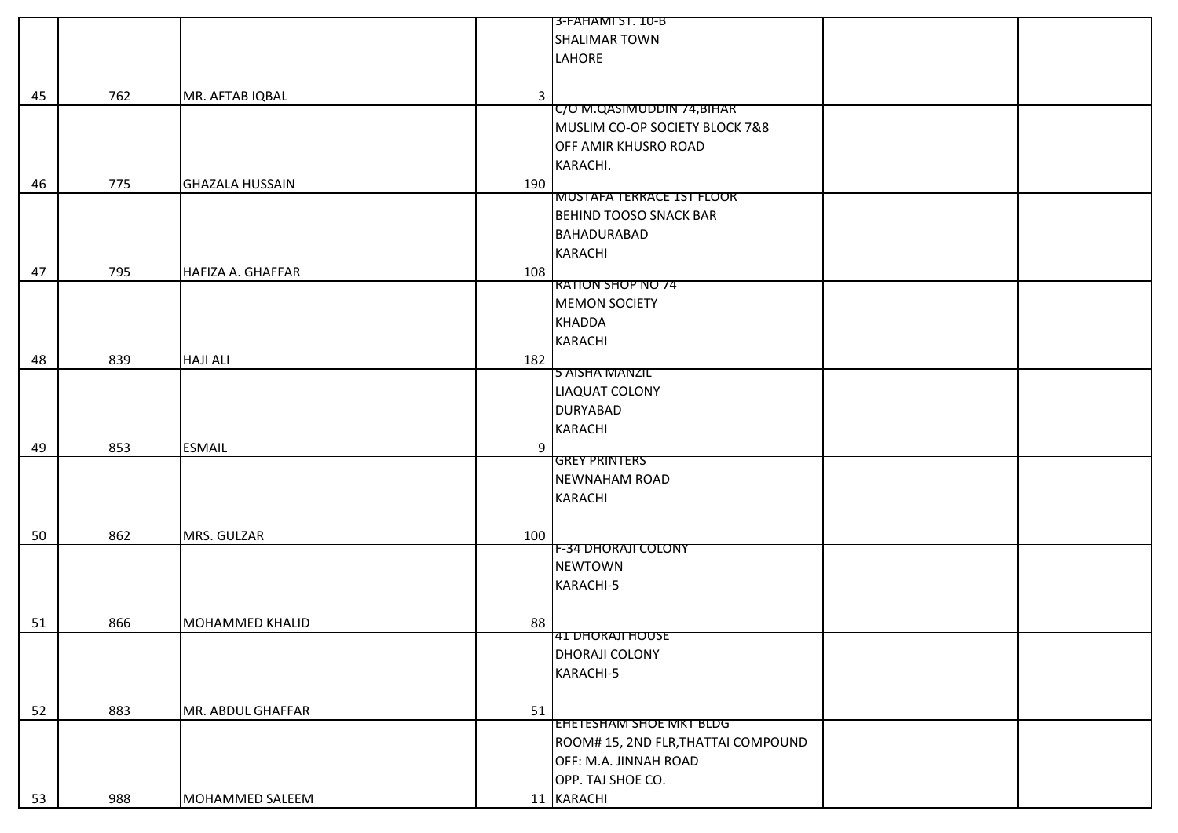|    |     |                                 | 3-FAHAMI ST. 10-B                   |
|----|-----|---------------------------------|-------------------------------------|
|    |     |                                 | <b>SHALIMAR TOWN</b>                |
|    |     |                                 | LAHORE                              |
|    |     |                                 |                                     |
| 45 | 762 | $\mathbf{3}$<br>MR. AFTAB IQBAL |                                     |
|    |     |                                 | C/O M.QASIMUDDIN 74, BIHAR          |
|    |     |                                 | MUSLIM CO-OP SOCIETY BLOCK 7&8      |
|    |     |                                 | OFF AMIR KHUSRO ROAD                |
|    |     |                                 | KARACHI.                            |
|    |     |                                 |                                     |
| 46 | 775 | <b>GHAZALA HUSSAIN</b><br>190   | <b>MUSTAFA TERRACE 1ST FLOOR</b>    |
|    |     |                                 | <b>BEHIND TOOSO SNACK BAR</b>       |
|    |     |                                 |                                     |
|    |     |                                 | BAHADURABAD                         |
|    |     |                                 | KARACHI                             |
| 47 | 795 | <b>HAFIZA A. GHAFFAR</b><br>108 | <b>RATION SHOP NO 74</b>            |
|    |     |                                 |                                     |
|    |     |                                 | <b>MEMON SOCIETY</b>                |
|    |     |                                 | <b>KHADDA</b>                       |
|    |     |                                 | <b>KARACHI</b>                      |
| 48 | 839 | <b>HAJI ALI</b><br>182          |                                     |
|    |     |                                 | 5 AISHA MANZIL                      |
|    |     |                                 | LIAQUAT COLONY                      |
|    |     |                                 | <b>DURYABAD</b>                     |
|    |     |                                 | <b>KARACHI</b>                      |
| 49 | 853 | <b>ESMAIL</b><br>9              |                                     |
|    |     |                                 | <b>GREY PRINTERS</b>                |
|    |     |                                 | <b>NEWNAHAM ROAD</b>                |
|    |     |                                 | KARACHI                             |
|    |     |                                 |                                     |
| 50 | 862 | MRS. GULZAR<br>100              |                                     |
|    |     |                                 | F-34 DHORAJI COLONY                 |
|    |     |                                 | <b>NEWTOWN</b>                      |
|    |     |                                 | KARACHI-5                           |
|    |     |                                 |                                     |
| 51 | 866 | MOHAMMED KHALID<br>88           |                                     |
|    |     |                                 | 41 DHORAJI HOUSE                    |
|    |     |                                 | DHORAJI COLONY                      |
|    |     |                                 | KARACHI-5                           |
|    |     |                                 |                                     |
| 52 | 883 | MR. ABDUL GHAFFAR<br>51         |                                     |
|    |     |                                 | EHETESHAM SHOE MKT BLDG             |
|    |     |                                 | ROOM# 15, 2ND FLR, THATTAI COMPOUND |
|    |     |                                 | OFF: M.A. JINNAH ROAD               |
|    |     |                                 | OPP. TAJ SHOE CO.                   |
| 53 | 988 | MOHAMMED SALEEM                 | 11 KARACHI                          |
|    |     |                                 |                                     |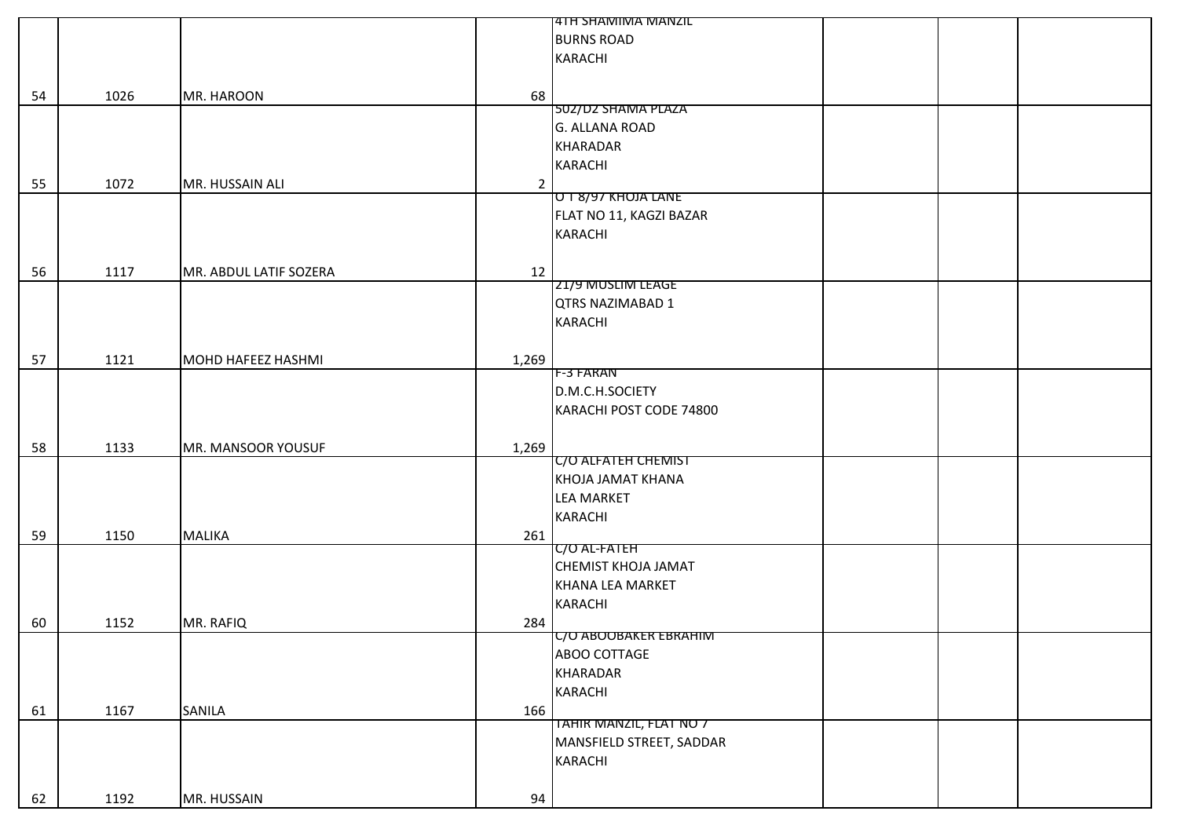|    |      |                        |                | <b>14TH SHAMIMA MANZIL</b> |
|----|------|------------------------|----------------|----------------------------|
|    |      |                        |                | <b>BURNS ROAD</b>          |
|    |      |                        |                | <b>KARACHI</b>             |
|    |      |                        |                |                            |
|    | 1026 |                        | 68             |                            |
| 54 |      | MR. HAROON             |                | 502/D2 SHAMA PLAZA         |
|    |      |                        |                | G. ALLANA ROAD             |
|    |      |                        |                | <b>KHARADAR</b>            |
|    |      |                        |                |                            |
|    |      |                        |                | <b>KARACHI</b>             |
| 55 | 1072 | MR. HUSSAIN ALI        | $\overline{2}$ | <b>U I 8/9/ KHOJA LANE</b> |
|    |      |                        |                |                            |
|    |      |                        |                | FLAT NO 11, KAGZI BAZAR    |
|    |      |                        |                | KARACHI                    |
|    |      |                        |                |                            |
| 56 | 1117 | MR. ABDUL LATIF SOZERA | 12             |                            |
|    |      |                        |                | 21/9 MUSLIM LEAGE          |
|    |      |                        |                | <b>QTRS NAZIMABAD 1</b>    |
|    |      |                        |                | <b>KARACHI</b>             |
|    |      |                        |                |                            |
| 57 | 1121 | MOHD HAFEEZ HASHMI     | 1,269          |                            |
|    |      |                        |                | <b>F-3 FARAN</b>           |
|    |      |                        |                | D.M.C.H.SOCIETY            |
|    |      |                        |                | KARACHI POST CODE 74800    |
|    |      |                        |                |                            |
| 58 | 1133 | MR. MANSOOR YOUSUF     | 1,269          |                            |
|    |      |                        |                | C/O ALFATEH CHEMIST        |
|    |      |                        |                | KHOJA JAMAT KHANA          |
|    |      |                        |                | <b>LEA MARKET</b>          |
|    |      |                        |                | <b>KARACHI</b>             |
|    |      |                        |                |                            |
| 59 | 1150 | <b>MALIKA</b>          | 261            | <b>C/O AL-FATEH</b>        |
|    |      |                        |                | <b>CHEMIST KHOJA JAMAT</b> |
|    |      |                        |                |                            |
|    |      |                        |                | KHANA LEA MARKET           |
|    |      |                        |                | <b>KARACHI</b>             |
| 60 | 1152 | MR. RAFIQ              | 284            |                            |
|    |      |                        |                | C/O ABOOBAKER EBRAHIM      |
|    |      |                        |                | ABOO COTTAGE               |
|    |      |                        |                | KHARADAR                   |
|    |      |                        |                | <b>KARACHI</b>             |
| 61 | 1167 | SANILA                 | 166            |                            |
|    |      |                        |                | TAHIR MANZIL, FLAT NO 7    |
|    |      |                        |                | MANSFIELD STREET, SADDAR   |
|    |      |                        |                | KARACHI                    |
|    |      |                        |                |                            |
| 62 | 1192 | MR. HUSSAIN            | 94             |                            |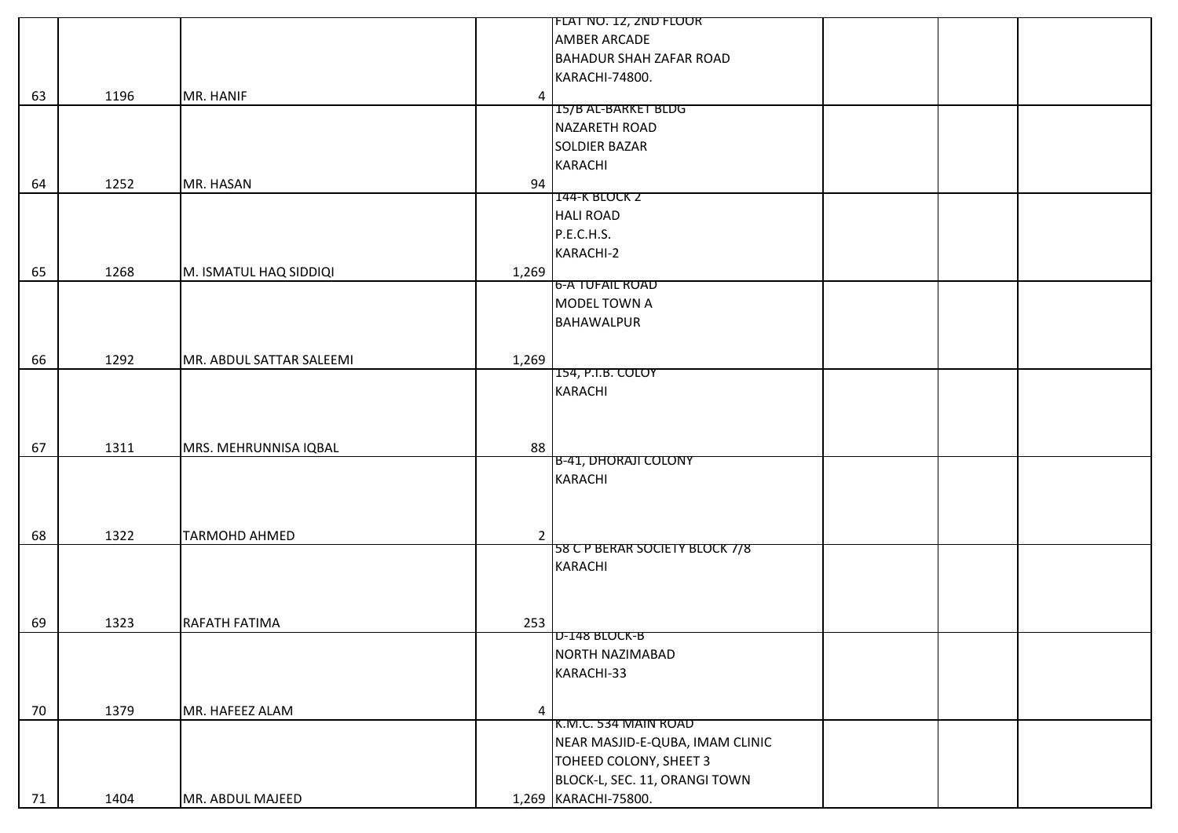|    |      |                          |                | [FLAT NO. 12, ZND FLOOR         |  |
|----|------|--------------------------|----------------|---------------------------------|--|
|    |      |                          |                | AMBER ARCADE                    |  |
|    |      |                          |                | <b>BAHADUR SHAH ZAFAR ROAD</b>  |  |
|    |      |                          |                | KARACHI-74800.                  |  |
| 63 | 1196 | MR. HANIF                | $\overline{4}$ |                                 |  |
|    |      |                          |                | 15/B AL-BARKET BLDG             |  |
|    |      |                          |                | NAZARETH ROAD                   |  |
|    |      |                          |                | <b>SOLDIER BAZAR</b>            |  |
|    |      |                          |                | <b>KARACHI</b>                  |  |
| 64 | 1252 | MR. HASAN                | 94             |                                 |  |
|    |      |                          |                | 144-K BLOCK 2                   |  |
|    |      |                          |                | <b>HALI ROAD</b>                |  |
|    |      |                          |                | P.E.C.H.S.                      |  |
|    |      |                          |                | KARACHI-2                       |  |
| 65 | 1268 | M. ISMATUL HAQ SIDDIQI   | 1,269          |                                 |  |
|    |      |                          |                | 6-A TUFAIL ROAD                 |  |
|    |      |                          |                | MODEL TOWN A                    |  |
|    |      |                          |                | <b>BAHAWALPUR</b>               |  |
|    |      |                          |                |                                 |  |
| 66 | 1292 | MR. ABDUL SATTAR SALEEMI | 1,269          |                                 |  |
|    |      |                          |                | 154, P.I.B. COLOY               |  |
|    |      |                          |                | KARACHI                         |  |
|    |      |                          |                |                                 |  |
|    |      |                          |                |                                 |  |
| 67 | 1311 | MRS. MEHRUNNISA IQBAL    | 88             |                                 |  |
|    |      |                          |                | <b>B-41, DHORAJI COLONY</b>     |  |
|    |      |                          |                | KARACHI                         |  |
|    |      |                          |                |                                 |  |
|    |      |                          |                |                                 |  |
| 68 | 1322 | <b>TARMOHD AHMED</b>     | $\overline{2}$ |                                 |  |
|    |      |                          |                | 58 C P BERAR SOCIETY BLOCK 7/8  |  |
|    |      |                          |                | KARACHI                         |  |
|    |      |                          |                |                                 |  |
|    |      |                          |                |                                 |  |
| 69 | 1323 | RAFATH FATIMA            | 253            |                                 |  |
|    |      |                          |                | D-148 BLOCK-B                   |  |
|    |      |                          |                | NORTH NAZIMABAD                 |  |
|    |      |                          |                | KARACHI-33                      |  |
|    |      |                          |                |                                 |  |
| 70 | 1379 | MR. HAFEEZ ALAM          | 4              |                                 |  |
|    |      |                          |                | K.M.C. 534 MAIN ROAD            |  |
|    |      |                          |                | NEAR MASJID-E-QUBA, IMAM CLINIC |  |
|    |      |                          |                | TOHEED COLONY, SHEET 3          |  |
|    |      |                          |                | BLOCK-L, SEC. 11, ORANGI TOWN   |  |
|    |      |                          |                |                                 |  |
| 71 | 1404 | MR. ABDUL MAJEED         |                | 1,269 KARACHI-75800.            |  |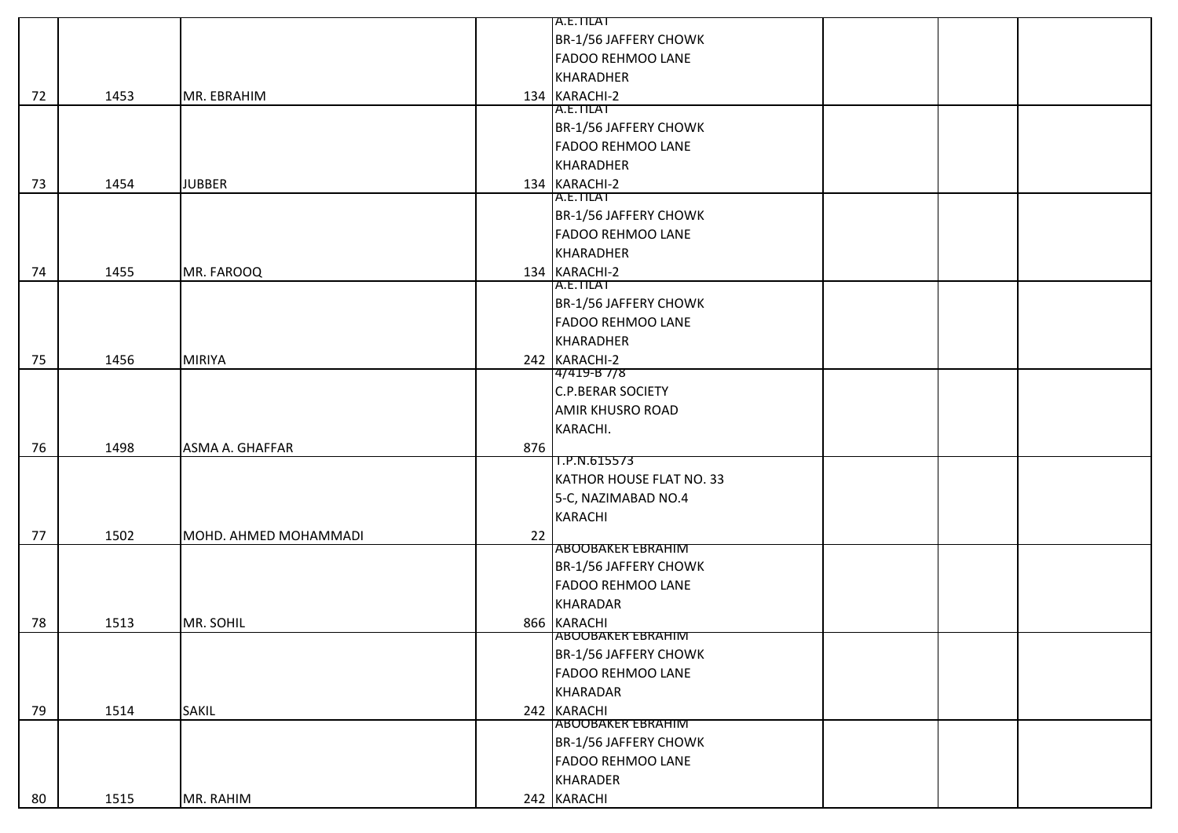|    |      |                       |     | A.E.TILAT                |  |
|----|------|-----------------------|-----|--------------------------|--|
|    |      |                       |     | BR-1/56 JAFFERY CHOWK    |  |
|    |      |                       |     | <b>FADOO REHMOO LANE</b> |  |
|    |      |                       |     | KHARADHER                |  |
| 72 | 1453 | MR. EBRAHIM           |     | 134 KARACHI-2            |  |
|    |      |                       |     | A.E.TILAT                |  |
|    |      |                       |     | BR-1/56 JAFFERY CHOWK    |  |
|    |      |                       |     | <b>FADOO REHMOO LANE</b> |  |
|    |      |                       |     | KHARADHER                |  |
| 73 | 1454 | <b>JUBBER</b>         |     | 134 KARACHI-2            |  |
|    |      |                       |     | A.E.TILAT                |  |
|    |      |                       |     | BR-1/56 JAFFERY CHOWK    |  |
|    |      |                       |     | <b>FADOO REHMOO LANE</b> |  |
|    |      |                       |     | KHARADHER                |  |
| 74 | 1455 | MR. FAROOQ            |     | 134 KARACHI-2            |  |
|    |      |                       |     | A.E.TILAT                |  |
|    |      |                       |     | BR-1/56 JAFFERY CHOWK    |  |
|    |      |                       |     | <b>FADOO REHMOO LANE</b> |  |
|    |      |                       |     | KHARADHER                |  |
| 75 | 1456 | <b>MIRIYA</b>         |     | 242 KARACHI-2            |  |
|    |      |                       |     | 4/419-B //8              |  |
|    |      |                       |     | <b>C.P.BERAR SOCIETY</b> |  |
|    |      |                       |     | <b>AMIR KHUSRO ROAD</b>  |  |
|    |      |                       |     | KARACHI.                 |  |
| 76 | 1498 | ASMA A. GHAFFAR       | 876 |                          |  |
|    |      |                       |     | 1.P.N.615573             |  |
|    |      |                       |     | KATHOR HOUSE FLAT NO. 33 |  |
|    |      |                       |     | 5-C, NAZIMABAD NO.4      |  |
|    |      |                       |     | <b>KARACHI</b>           |  |
| 77 | 1502 | MOHD. AHMED MOHAMMADI | 22  |                          |  |
|    |      |                       |     | <b>ABOOBAKER EBRAHIM</b> |  |
|    |      |                       |     | BR-1/56 JAFFERY CHOWK    |  |
|    |      |                       |     | <b>FADOO REHMOO LANE</b> |  |
|    |      |                       |     | <b>KHARADAR</b>          |  |
| 78 | 1513 | MR. SOHIL             |     | 866 KARACHI              |  |
|    |      |                       |     | <b>ABOOBAKER EBRAHIM</b> |  |
|    |      |                       |     | BR-1/56 JAFFERY CHOWK    |  |
|    |      |                       |     | <b>FADOO REHMOO LANE</b> |  |
|    |      |                       |     | KHARADAR                 |  |
| 79 | 1514 | <b>SAKIL</b>          |     | 242 KARACHI              |  |
|    |      |                       |     | <b>ABOOBAKER EBRAHIM</b> |  |
|    |      |                       |     | BR-1/56 JAFFERY CHOWK    |  |
|    |      |                       |     | <b>FADOO REHMOO LANE</b> |  |
|    |      |                       |     | <b>KHARADER</b>          |  |
| 80 | 1515 | MR. RAHIM             |     | 242 KARACHI              |  |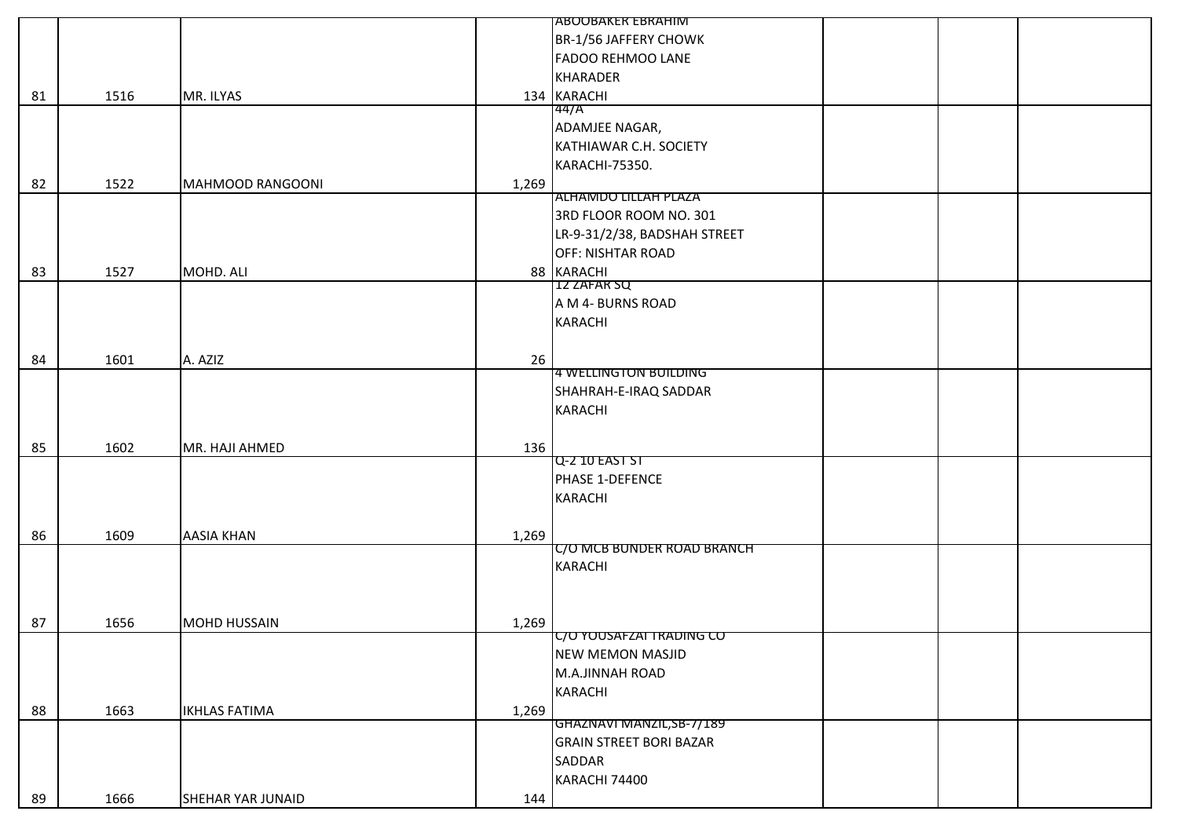|    |      |                      |       | <b>JABOOBAKER EBRAHIM</b>      |  |  |
|----|------|----------------------|-------|--------------------------------|--|--|
|    |      |                      |       | BR-1/56 JAFFERY CHOWK          |  |  |
|    |      |                      |       | <b>FADOO REHMOO LANE</b>       |  |  |
|    |      |                      |       | <b>KHARADER</b>                |  |  |
| 81 | 1516 | MR. ILYAS            |       | 134 KARACHI                    |  |  |
|    |      |                      |       | 44/A                           |  |  |
|    |      |                      |       | ADAMJEE NAGAR,                 |  |  |
|    |      |                      |       | KATHIAWAR C.H. SOCIETY         |  |  |
|    |      |                      |       | KARACHI-75350.                 |  |  |
| 82 | 1522 | MAHMOOD RANGOONI     | 1,269 |                                |  |  |
|    |      |                      |       | ALHAMDO LILLAH PLAZA           |  |  |
|    |      |                      |       | 3RD FLOOR ROOM NO. 301         |  |  |
|    |      |                      |       | LR-9-31/2/38, BADSHAH STREET   |  |  |
|    |      |                      |       | <b>OFF: NISHTAR ROAD</b>       |  |  |
| 83 | 1527 | MOHD. ALI            |       | 88 KARACHI                     |  |  |
|    |      |                      |       | 12 ZAFAR SQ                    |  |  |
|    |      |                      |       | A M 4- BURNS ROAD              |  |  |
|    |      |                      |       | <b>KARACHI</b>                 |  |  |
|    |      |                      |       |                                |  |  |
| 84 | 1601 | A. AZIZ              | 26    |                                |  |  |
|    |      |                      |       | 4 WELLINGTON BUILDING          |  |  |
|    |      |                      |       | SHAHRAH-E-IRAQ SADDAR          |  |  |
|    |      |                      |       | <b>KARACHI</b>                 |  |  |
|    |      |                      |       |                                |  |  |
| 85 | 1602 | MR. HAJI AHMED       | 136   |                                |  |  |
|    |      |                      |       | Q-2 10 EAST ST                 |  |  |
|    |      |                      |       | PHASE 1-DEFENCE                |  |  |
|    |      |                      |       | <b>KARACHI</b>                 |  |  |
|    |      |                      |       |                                |  |  |
| 86 | 1609 | <b>AASIA KHAN</b>    | 1,269 |                                |  |  |
|    |      |                      |       | C/O MCB BUNDER ROAD BRANCH     |  |  |
|    |      |                      |       | <b>KARACHI</b>                 |  |  |
|    |      |                      |       |                                |  |  |
|    |      |                      |       |                                |  |  |
| 87 | 1656 | <b>MOHD HUSSAIN</b>  | 1,269 |                                |  |  |
|    |      |                      |       | TC/O YOUSAFZAI TRADING CO      |  |  |
|    |      |                      |       | <b>NEW MEMON MASJID</b>        |  |  |
|    |      |                      |       | M.A.JINNAH ROAD                |  |  |
|    |      |                      |       | KARACHI                        |  |  |
| 88 | 1663 | <b>IKHLAS FATIMA</b> | 1,269 |                                |  |  |
|    |      |                      |       | GHAZNAVI MANZIL,SB-7/189       |  |  |
|    |      |                      |       | <b>GRAIN STREET BORI BAZAR</b> |  |  |
|    |      |                      |       | SADDAR                         |  |  |
|    |      |                      |       | KARACHI 74400                  |  |  |
| 89 | 1666 | SHEHAR YAR JUNAID    | 144   |                                |  |  |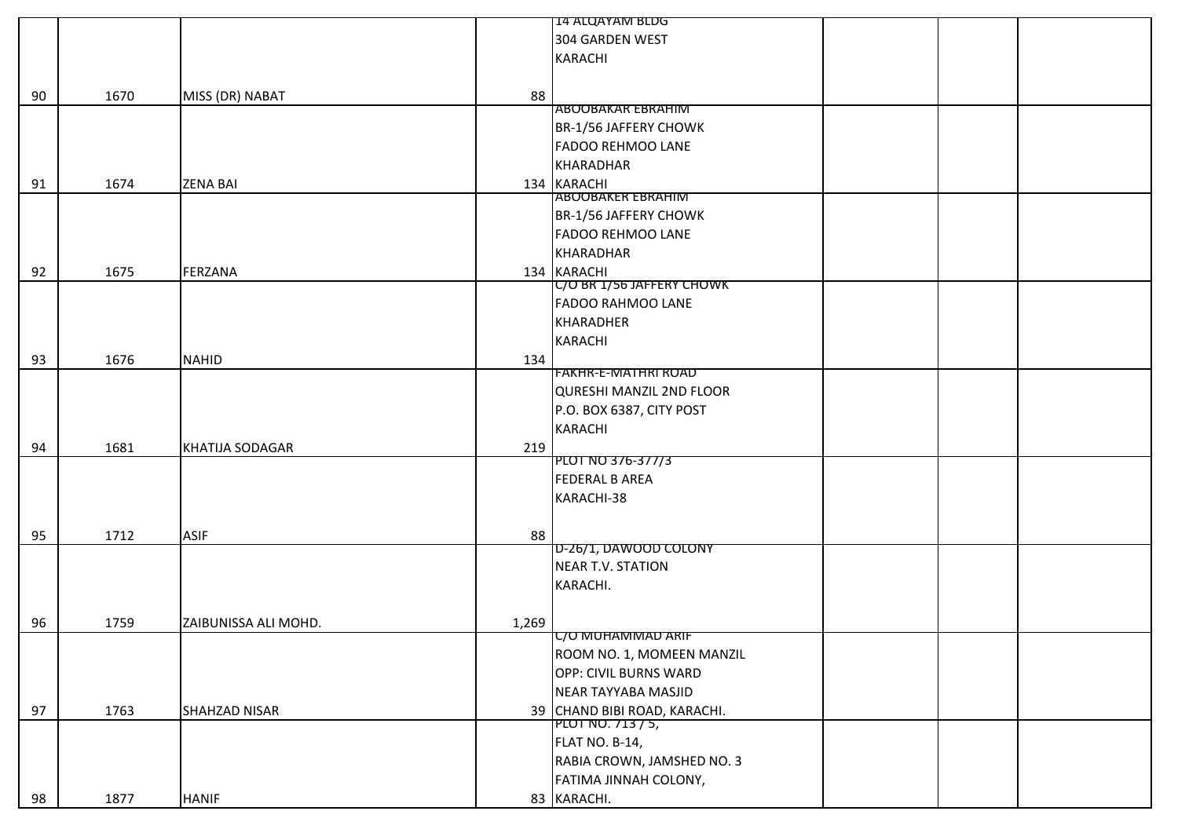|    |      |                        |       | 14 ALQAYAM BLDG                 |  |
|----|------|------------------------|-------|---------------------------------|--|
|    |      |                        |       | 304 GARDEN WEST                 |  |
|    |      |                        |       | <b>KARACHI</b>                  |  |
|    |      |                        |       |                                 |  |
| 90 | 1670 | MISS (DR) NABAT        | 88    |                                 |  |
|    |      |                        |       | <b>ABOOBAKAR EBRAHIM</b>        |  |
|    |      |                        |       | BR-1/56 JAFFERY CHOWK           |  |
|    |      |                        |       | <b>FADOO REHMOO LANE</b>        |  |
|    |      |                        |       | <b>KHARADHAR</b>                |  |
| 91 | 1674 | <b>ZENA BAI</b>        |       | 134 KARACHI                     |  |
|    |      |                        |       | <b>ABOOBAKER EBRAHIM</b>        |  |
|    |      |                        |       | BR-1/56 JAFFERY CHOWK           |  |
|    |      |                        |       | <b>FADOO REHMOO LANE</b>        |  |
|    |      |                        |       | KHARADHAR                       |  |
| 92 | 1675 | FERZANA                |       | 134 KARACHI                     |  |
|    |      |                        |       | C/O BR 1/56 JAFFERY CHOWK       |  |
|    |      |                        |       | <b>FADOO RAHMOO LANE</b>        |  |
|    |      |                        |       | <b>KHARADHER</b>                |  |
|    |      |                        |       | <b>KARACHI</b>                  |  |
| 93 | 1676 | <b>NAHID</b>           | 134   |                                 |  |
|    |      |                        |       | <b>FAKHR-E-MATHRI ROAD</b>      |  |
|    |      |                        |       | <b>QURESHI MANZIL 2ND FLOOR</b> |  |
|    |      |                        |       | P.O. BOX 6387, CITY POST        |  |
|    |      |                        |       | <b>KARACHI</b>                  |  |
| 94 | 1681 | <b>KHATIJA SODAGAR</b> | 219   |                                 |  |
|    |      |                        |       | PLOT NO 376-377/3               |  |
|    |      |                        |       | <b>FEDERAL B AREA</b>           |  |
|    |      |                        |       | KARACHI-38                      |  |
|    |      |                        |       |                                 |  |
| 95 | 1712 | <b>ASIF</b>            | 88    |                                 |  |
|    |      |                        |       | D-26/1, DAWOOD COLONY           |  |
|    |      |                        |       | <b>NEAR T.V. STATION</b>        |  |
|    |      |                        |       | KARACHI.                        |  |
|    |      |                        |       |                                 |  |
| 96 | 1759 | ZAIBUNISSA ALI MOHD.   | 1,269 |                                 |  |
|    |      |                        |       | C/O MUHAMMAD ARIF               |  |
|    |      |                        |       | ROOM NO. 1, MOMEEN MANZIL       |  |
|    |      |                        |       | OPP: CIVIL BURNS WARD           |  |
|    |      |                        |       | NEAR TAYYABA MASJID             |  |
| 97 | 1763 | SHAHZAD NISAR          |       | 39 CHAND BIBI ROAD, KARACHI.    |  |
|    |      |                        |       | PLOT NO. 713 / 5,               |  |
|    |      |                        |       | FLAT NO. B-14,                  |  |
|    |      |                        |       | RABIA CROWN, JAMSHED NO. 3      |  |
|    |      |                        |       | FATIMA JINNAH COLONY,           |  |
| 98 | 1877 | <b>HANIF</b>           |       | 83 KARACHI.                     |  |
|    |      |                        |       |                                 |  |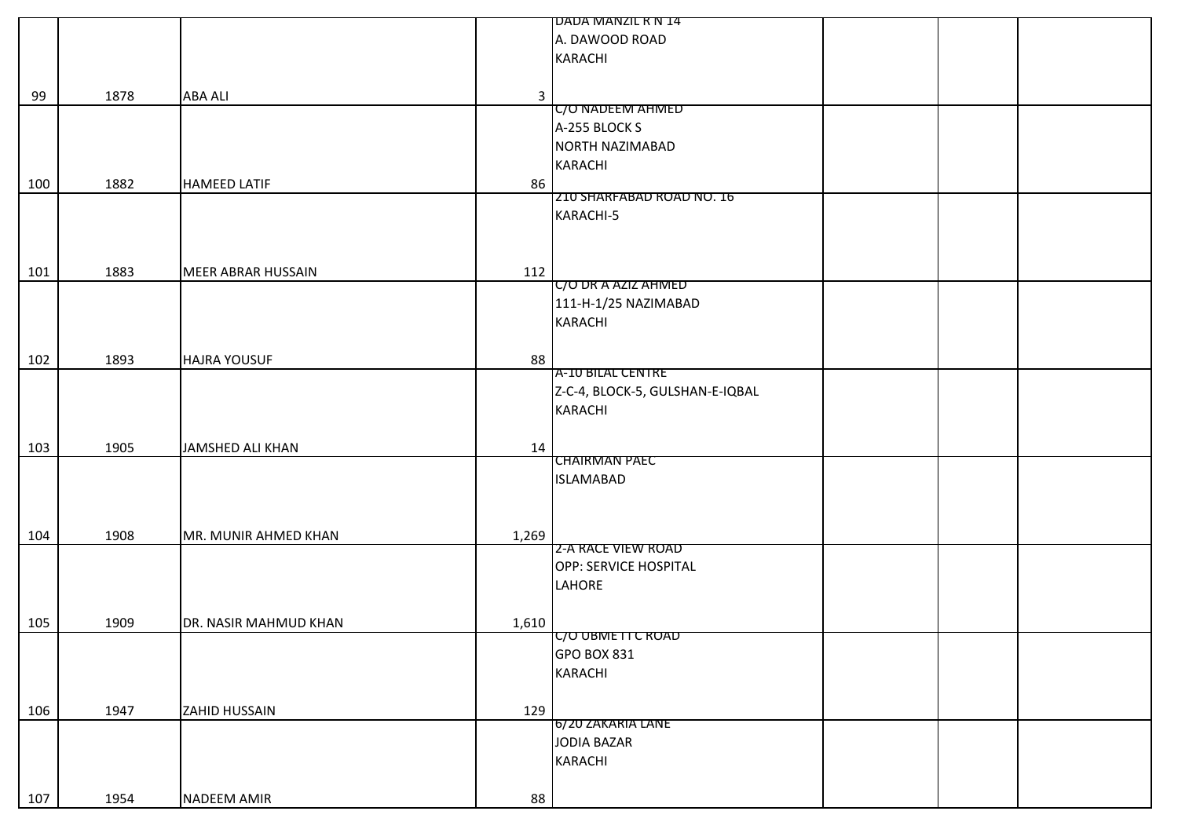|     |      |                           |              | IDADA MANZIL R N 14             |
|-----|------|---------------------------|--------------|---------------------------------|
|     |      |                           |              | A. DAWOOD ROAD                  |
|     |      |                           |              | KARACHI                         |
|     |      |                           |              |                                 |
| 99  | 1878 | <b>ABA ALI</b>            |              |                                 |
|     |      |                           | $\mathbf{3}$ | C/O NADEEM AHMED                |
|     |      |                           |              | A-255 BLOCK S                   |
|     |      |                           |              | NORTH NAZIMABAD                 |
|     |      |                           |              | <b>KARACHI</b>                  |
|     |      |                           |              |                                 |
| 100 | 1882 | <b>HAMEED LATIF</b>       | 86           | ZIU SHARFABAD ROAD NO. 16       |
|     |      |                           |              | KARACHI-5                       |
|     |      |                           |              |                                 |
|     |      |                           |              |                                 |
|     |      |                           |              |                                 |
| 101 | 1883 | <b>MEER ABRAR HUSSAIN</b> | 112          |                                 |
|     |      |                           |              | C/O DR A AZIZ AHMED             |
|     |      |                           |              | 111-H-1/25 NAZIMABAD            |
|     |      |                           |              | <b>KARACHI</b>                  |
|     |      |                           |              |                                 |
| 102 | 1893 | <b>HAJRA YOUSUF</b>       | 88           |                                 |
|     |      |                           |              | A-10 BILAL CENTRE               |
|     |      |                           |              | Z-C-4, BLOCK-5, GULSHAN-E-IQBAL |
|     |      |                           |              | KARACHI                         |
|     |      |                           |              |                                 |
| 103 | 1905 | JAMSHED ALI KHAN          | 14           |                                 |
|     |      |                           |              | <b>CHAIRMAN PAEC</b>            |
|     |      |                           |              | <b>ISLAMABAD</b>                |
|     |      |                           |              |                                 |
|     |      |                           |              |                                 |
| 104 | 1908 | MR. MUNIR AHMED KHAN      | 1,269        |                                 |
|     |      |                           |              | <b>Z-A RACE VIEW ROAD</b>       |
|     |      |                           |              | OPP: SERVICE HOSPITAL           |
|     |      |                           |              | LAHORE                          |
|     |      |                           |              |                                 |
| 105 | 1909 | DR. NASIR MAHMUD KHAN     | 1,610        |                                 |
|     |      |                           |              | C/O UBMETTC ROAD                |
|     |      |                           |              | GPO BOX 831                     |
|     |      |                           |              | <b>KARACHI</b>                  |
|     |      |                           |              |                                 |
| 106 | 1947 | ZAHID HUSSAIN             | 129          |                                 |
|     |      |                           |              | 6/20 ZAKARIA LANE               |
|     |      |                           |              | JODIA BAZAR                     |
|     |      |                           |              | KARACHI                         |
|     |      |                           |              |                                 |
| 107 | 1954 | NADEEM AMIR               | 88           |                                 |
|     |      |                           |              |                                 |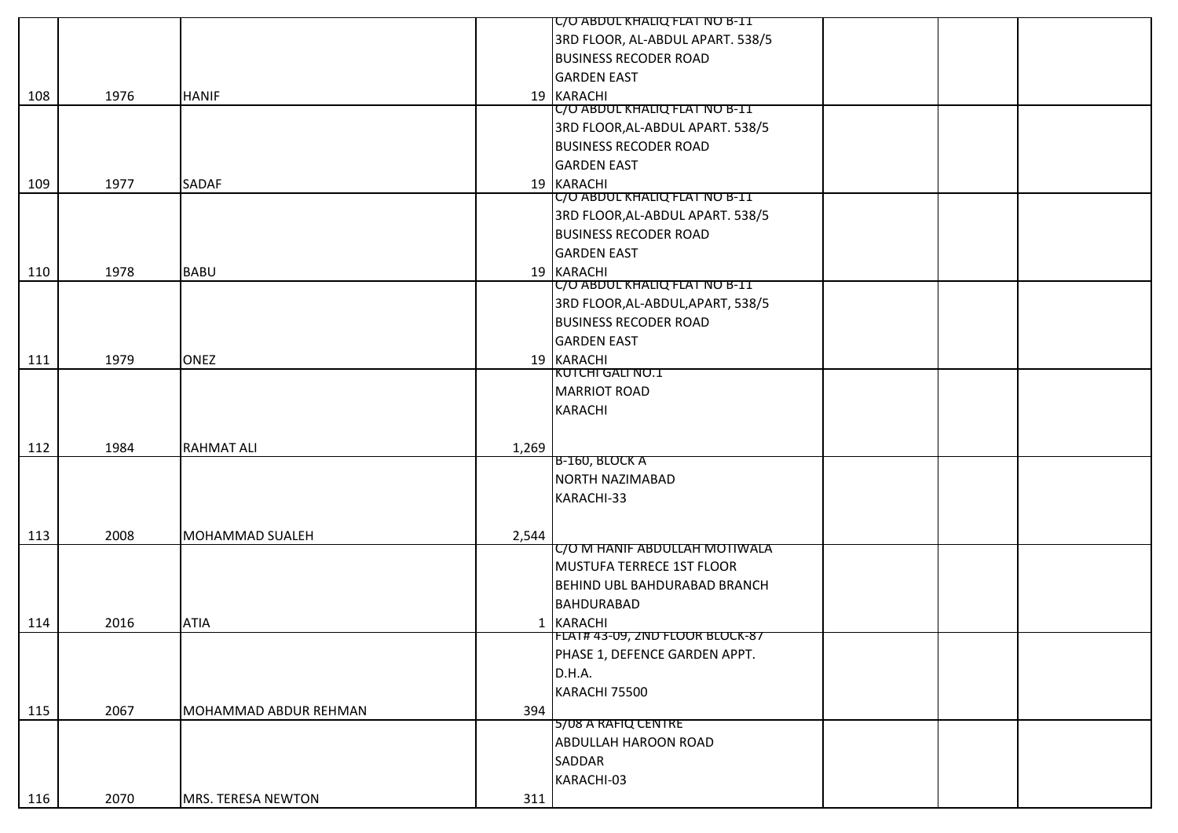|     |      |                        |       | C/O ABDUL KHALIQ FLAT NO B-11        |
|-----|------|------------------------|-------|--------------------------------------|
|     |      |                        |       | 3RD FLOOR, AL-ABDUL APART. 538/5     |
|     |      |                        |       | <b>BUSINESS RECODER ROAD</b>         |
|     |      |                        |       | <b>GARDEN EAST</b>                   |
| 108 | 1976 | <b>HANIF</b>           |       | 19 KARACHI                           |
|     |      |                        |       | C/O ABDUL KHALIQ FLAT NO B-11        |
|     |      |                        |       | 3RD FLOOR, AL-ABDUL APART. 538/5     |
|     |      |                        |       | <b>BUSINESS RECODER ROAD</b>         |
|     |      |                        |       | <b>GARDEN EAST</b>                   |
| 109 | 1977 | SADAF                  |       | 19 KARACHI                           |
|     |      |                        |       | <b>C/O ABDUL KHALIQ FLAT NO B-11</b> |
|     |      |                        |       | 3RD FLOOR, AL-ABDUL APART. 538/5     |
|     |      |                        |       | <b>BUSINESS RECODER ROAD</b>         |
|     |      |                        |       | <b>GARDEN EAST</b>                   |
| 110 | 1978 | <b>BABU</b>            |       | 19 KARACHI                           |
|     |      |                        |       | C/O ABDUL KHALIQ FLAT NO B-11        |
|     |      |                        |       | 3RD FLOOR, AL-ABDUL, APART, 538/5    |
|     |      |                        |       | <b>BUSINESS RECODER ROAD</b>         |
|     |      |                        |       | <b>GARDEN EAST</b>                   |
| 111 | 1979 | <b>ONEZ</b>            |       | 19 KARACHI                           |
|     |      |                        |       | KUTCHI GALI NO.1                     |
|     |      |                        |       | <b>MARRIOT ROAD</b>                  |
|     |      |                        |       | <b>KARACHI</b>                       |
|     |      |                        |       |                                      |
| 112 | 1984 | <b>RAHMAT ALI</b>      | 1,269 |                                      |
|     |      |                        |       | B-160, BLOCK A                       |
|     |      |                        |       | NORTH NAZIMABAD                      |
|     |      |                        |       | KARACHI-33                           |
|     |      |                        |       |                                      |
| 113 | 2008 | <b>MOHAMMAD SUALEH</b> | 2,544 |                                      |
|     |      |                        |       | <b>C/O M HANIF ABDULLAH MOTIWALA</b> |
|     |      |                        |       | MUSTUFA TERRECE 1ST FLOOR            |
|     |      |                        |       | BEHIND UBL BAHDURABAD BRANCH         |
|     |      |                        |       | <b>BAHDURABAD</b>                    |
| 114 | 2016 | <b>ATIA</b>            |       | 1 KARACHI                            |
|     |      |                        |       | FLA1# 43-09, 2ND FLOOR BLOCK-87      |
|     |      |                        |       | PHASE 1, DEFENCE GARDEN APPT.        |
|     |      |                        |       | D.H.A.                               |
|     |      |                        |       | KARACHI 75500                        |
| 115 | 2067 | MOHAMMAD ABDUR REHMAN  | 394   |                                      |
|     |      |                        |       | 5/08 A RAFIQ CENTRE                  |
|     |      |                        |       | ABDULLAH HAROON ROAD                 |
|     |      |                        |       | SADDAR                               |
|     |      |                        |       | KARACHI-03                           |
| 116 | 2070 | MRS. TERESA NEWTON     | 311   |                                      |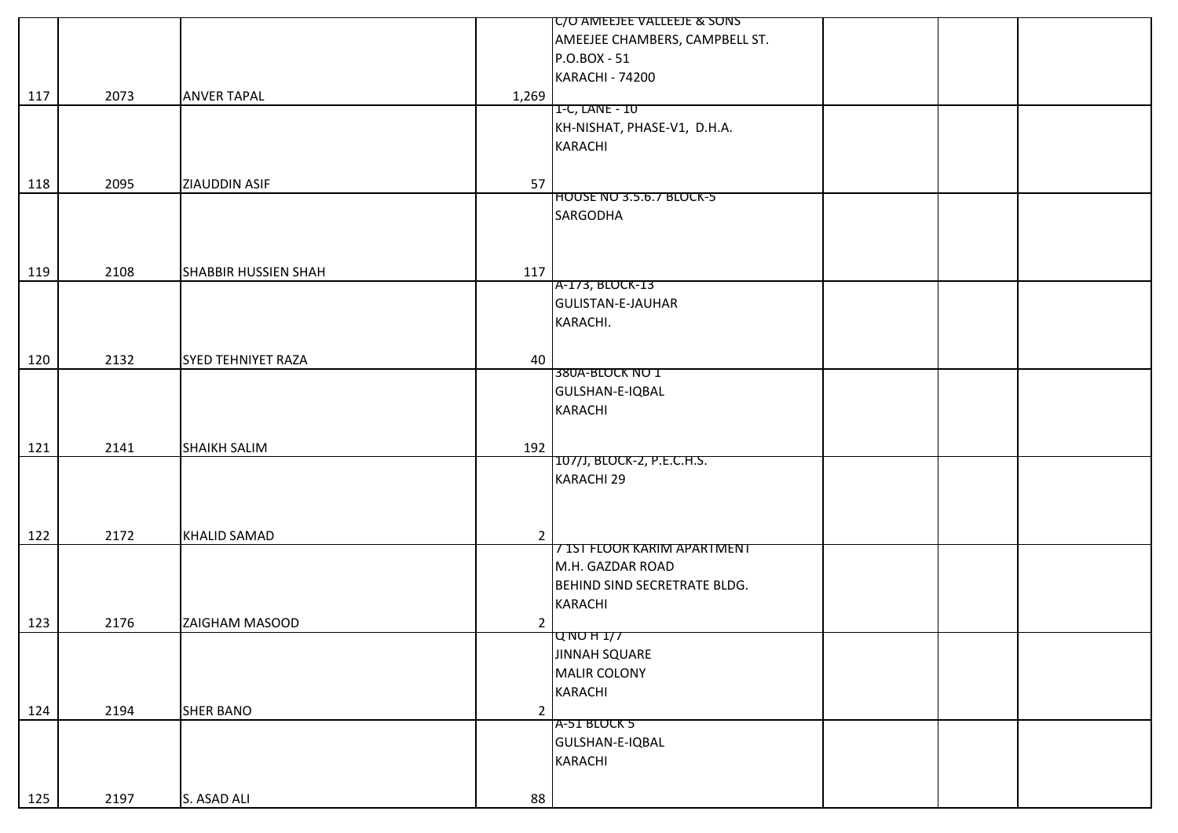|     |      |                           |                | IC/O AMEEJEE VALLEEJE & SONS    |  |
|-----|------|---------------------------|----------------|---------------------------------|--|
|     |      |                           |                | AMEEJEE CHAMBERS, CAMPBELL ST.  |  |
|     |      |                           |                | P.O.BOX - 51                    |  |
|     |      |                           |                | <b>KARACHI - 74200</b>          |  |
|     | 2073 | <b>ANVER TAPAL</b>        | 1,269          |                                 |  |
| 117 |      |                           |                | 1-C, LANE - 10                  |  |
|     |      |                           |                | KH-NISHAT, PHASE-V1, D.H.A.     |  |
|     |      |                           |                | <b>KARACHI</b>                  |  |
|     |      |                           |                |                                 |  |
|     |      |                           |                |                                 |  |
| 118 | 2095 | ZIAUDDIN ASIF             | 57             |                                 |  |
|     |      |                           |                | <b>HOUSE NO 3.5.6.7 BLOCK-5</b> |  |
|     |      |                           |                | <b>SARGODHA</b>                 |  |
|     |      |                           |                |                                 |  |
|     |      |                           |                |                                 |  |
| 119 | 2108 | SHABBIR HUSSIEN SHAH      | 117            |                                 |  |
|     |      |                           |                | A-173, BLOCK-13                 |  |
|     |      |                           |                | <b>GULISTAN-E-JAUHAR</b>        |  |
|     |      |                           |                | KARACHI.                        |  |
|     |      |                           |                |                                 |  |
| 120 | 2132 | <b>SYED TEHNIYET RAZA</b> | 40             |                                 |  |
|     |      |                           |                | 380A-BLOCK NO 1                 |  |
|     |      |                           |                | GULSHAN-E-IQBAL                 |  |
|     |      |                           |                | <b>KARACHI</b>                  |  |
|     |      |                           |                |                                 |  |
|     | 2141 | SHAIKH SALIM              | 192            |                                 |  |
| 121 |      |                           |                | 107/J, BLOCK-2, P.E.C.H.S.      |  |
|     |      |                           |                | KARACHI 29                      |  |
|     |      |                           |                |                                 |  |
|     |      |                           |                |                                 |  |
|     |      |                           |                |                                 |  |
| 122 | 2172 | <b>KHALID SAMAD</b>       | $\overline{2}$ | 7 IST FLOOR KARIM APARTMENT     |  |
|     |      |                           |                |                                 |  |
|     |      |                           |                | M.H. GAZDAR ROAD                |  |
|     |      |                           |                | BEHIND SIND SECRETRATE BLDG.    |  |
|     |      |                           |                | <b>KARACHI</b>                  |  |
| 123 | 2176 | ZAIGHAM MASOOD            | $\overline{2}$ |                                 |  |
|     |      |                           |                | QNOH1/J                         |  |
|     |      |                           |                | <b>JINNAH SQUARE</b>            |  |
|     |      |                           |                | <b>MALIR COLONY</b>             |  |
|     |      |                           |                | <b>KARACHI</b>                  |  |
| 124 | 2194 | <b>SHER BANO</b>          | $\overline{2}$ |                                 |  |
|     |      |                           |                | A-51 BLOCK 5                    |  |
|     |      |                           |                | GULSHAN-E-IQBAL                 |  |
|     |      |                           |                | <b>KARACHI</b>                  |  |
|     |      |                           |                |                                 |  |
| 125 | 2197 | S. ASAD ALI               | 88             |                                 |  |
|     |      |                           |                |                                 |  |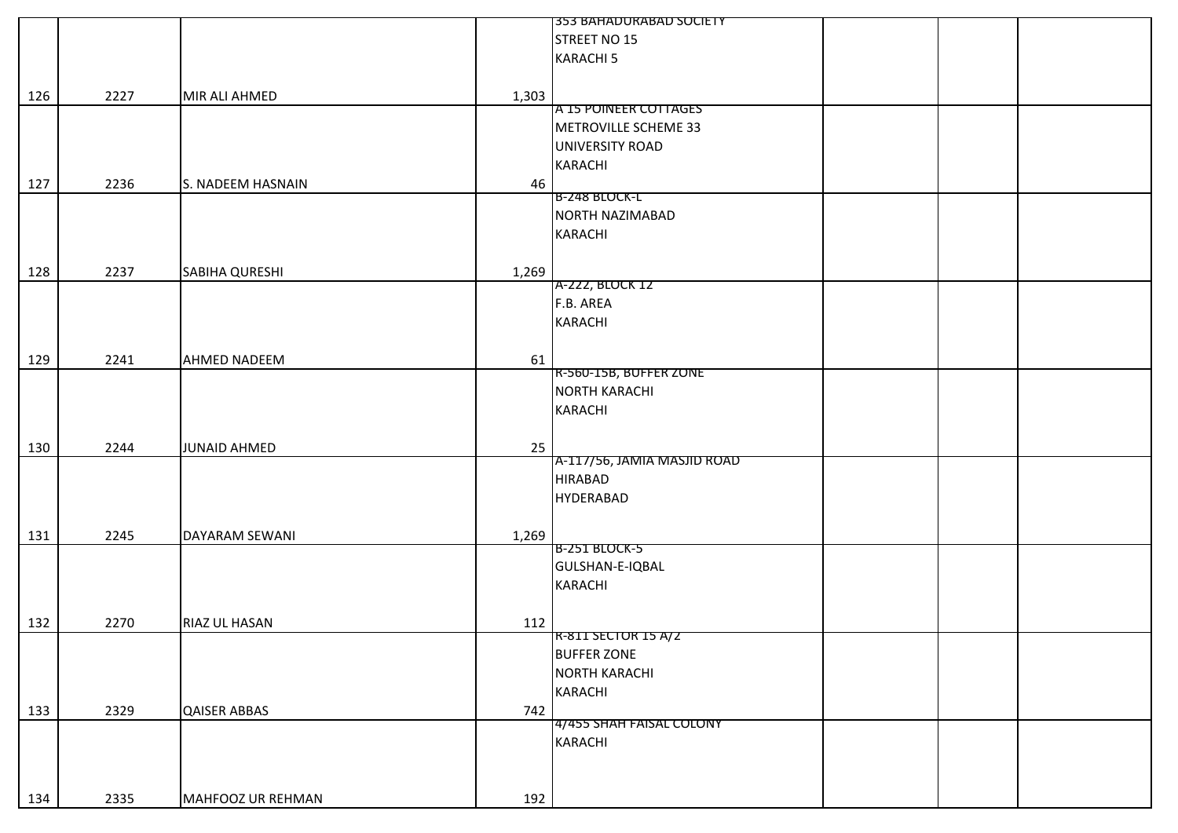|     |      |                     |       | 353 BAHADURABAD SOCIETY     |
|-----|------|---------------------|-------|-----------------------------|
|     |      |                     |       | STREET NO 15                |
|     |      |                     |       | <b>KARACHI 5</b>            |
|     |      |                     |       |                             |
| 126 | 2227 | MIR ALI AHMED       | 1,303 |                             |
|     |      |                     |       | A 15 POINEER COTTAGES       |
|     |      |                     |       | METROVILLE SCHEME 33        |
|     |      |                     |       | UNIVERSITY ROAD             |
|     |      |                     |       |                             |
|     |      |                     |       | KARACHI                     |
| 127 | 2236 | S. NADEEM HASNAIN   | 46    | <b>B-248 BLOCK-L</b>        |
|     |      |                     |       | NORTH NAZIMABAD             |
|     |      |                     |       |                             |
|     |      |                     |       | KARACHI                     |
|     |      |                     |       |                             |
| 128 | 2237 | SABIHA QURESHI      | 1,269 |                             |
|     |      |                     |       | A-222, BLOCK 12             |
|     |      |                     |       | F.B. AREA                   |
|     |      |                     |       | <b>KARACHI</b>              |
|     |      |                     |       |                             |
| 129 | 2241 | <b>AHMED NADEEM</b> | 61    |                             |
|     |      |                     |       | R-560-15B, BUFFER ZONE      |
|     |      |                     |       | <b>NORTH KARACHI</b>        |
|     |      |                     |       | KARACHI                     |
|     |      |                     |       |                             |
| 130 | 2244 | <b>JUNAID AHMED</b> | 25    |                             |
|     |      |                     |       | A-117/56, JAMIA MASJID ROAD |
|     |      |                     |       | <b>HIRABAD</b>              |
|     |      |                     |       | <b>HYDERABAD</b>            |
|     |      |                     |       |                             |
| 131 | 2245 | DAYARAM SEWANI      | 1,269 |                             |
|     |      |                     |       | B-251 BLOCK-5               |
|     |      |                     |       | GULSHAN-E-IQBAL             |
|     |      |                     |       | KARACHI                     |
|     |      |                     |       |                             |
| 132 | 2270 | RIAZ UL HASAN       | 112   |                             |
|     |      |                     |       | R-811 SECTOR 15 A/2         |
|     |      |                     |       | <b>BUFFER ZONE</b>          |
|     |      |                     |       | <b>NORTH KARACHI</b>        |
|     |      |                     |       | KARACHI                     |
| 133 | 2329 | <b>QAISER ABBAS</b> | 742   |                             |
|     |      |                     |       | 4/455 SHAH FAISAL COLONY    |
|     |      |                     |       | KARACHI                     |
|     |      |                     |       |                             |
|     |      |                     |       |                             |
|     |      |                     |       |                             |
| 134 | 2335 | MAHFOOZ UR REHMAN   | 192   |                             |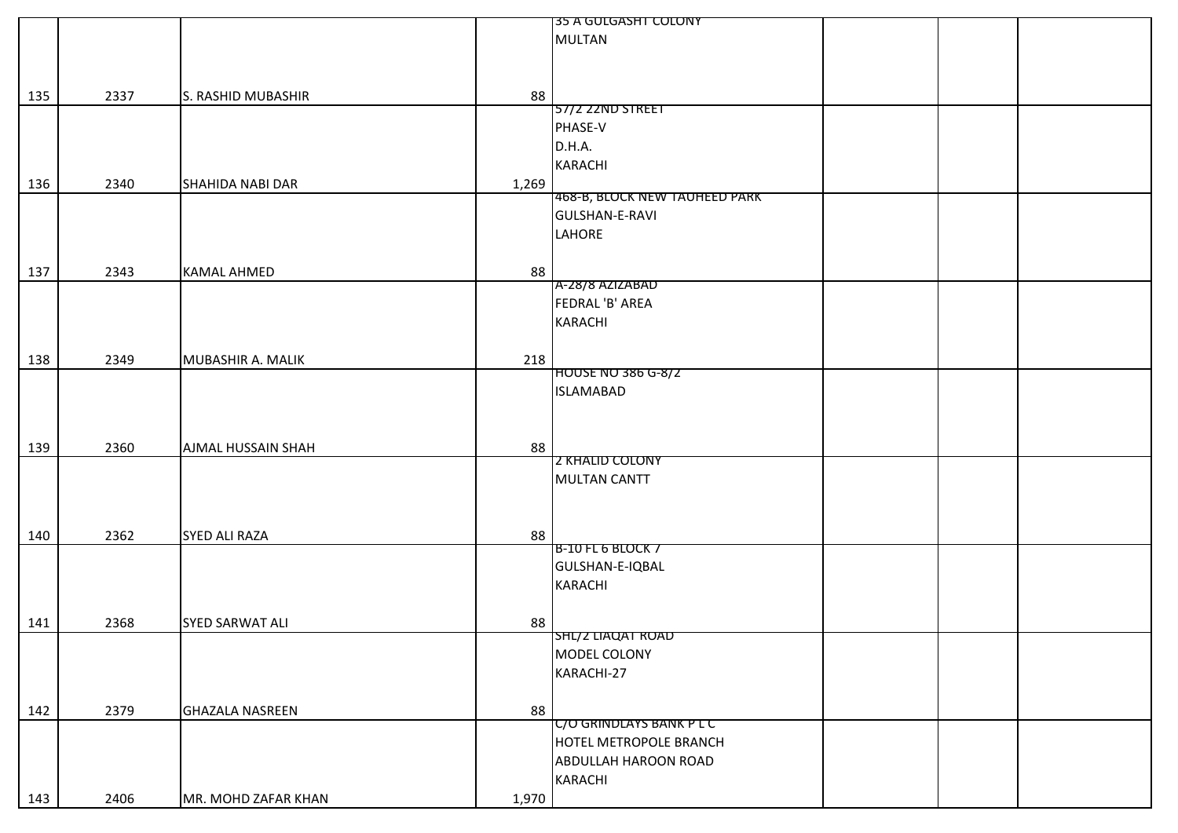|     |      |                                  | 35 A GULGASHT COLONY          |
|-----|------|----------------------------------|-------------------------------|
|     |      |                                  | <b>MULTAN</b>                 |
|     |      |                                  |                               |
|     |      |                                  |                               |
|     |      |                                  |                               |
| 135 | 2337 | 88<br>S. RASHID MUBASHIR         |                               |
|     |      |                                  | 57/2 22ND STREET              |
|     |      |                                  | PHASE-V                       |
|     |      |                                  | D.H.A.                        |
|     |      |                                  | <b>KARACHI</b>                |
| 136 | 2340 | <b>SHAHIDA NABI DAR</b><br>1,269 |                               |
|     |      |                                  | 468-B, BLOCK NEW TAUHEED PARK |
|     |      |                                  | GULSHAN-E-RAVI                |
|     |      |                                  |                               |
|     |      |                                  | LAHORE                        |
|     |      |                                  |                               |
| 137 | 2343 | <b>KAMAL AHMED</b><br>88         |                               |
|     |      |                                  | A-28/8 AZIZABAD               |
|     |      |                                  | FEDRAL 'B' AREA               |
|     |      |                                  | KARACHI                       |
|     |      |                                  |                               |
|     |      | 218                              |                               |
| 138 | 2349 | MUBASHIR A. MALIK                | <b>HOUSE NO 386 G-8/2</b>     |
|     |      |                                  | <b>ISLAMABAD</b>              |
|     |      |                                  |                               |
|     |      |                                  |                               |
|     |      |                                  |                               |
| 139 | 2360 | 88<br><b>AJMAL HUSSAIN SHAH</b>  |                               |
|     |      |                                  | <b>Z KHALID COLONY</b>        |
|     |      |                                  | <b>MULTAN CANTT</b>           |
|     |      |                                  |                               |
|     |      |                                  |                               |
|     |      |                                  |                               |
| 140 | 2362 | 88<br><b>SYED ALI RAZA</b>       |                               |
|     |      |                                  | <b>B-10 FL 6 BLOCK 7</b>      |
|     |      |                                  | GULSHAN-E-IQBAL               |
|     |      |                                  | <b>KARACHI</b>                |
|     |      |                                  |                               |
| 141 | 2368 | <b>SYED SARWAT ALI</b><br>88     |                               |
|     |      |                                  | SHL/2 LIAQAT ROAD             |
|     |      |                                  | MODEL COLONY                  |
|     |      |                                  |                               |
|     |      |                                  | KARACHI-27                    |
|     |      |                                  |                               |
| 142 | 2379 | <b>GHAZALA NASREEN</b><br>88     |                               |
|     |      |                                  | C/O GRINDLAYS BANK P L C      |
|     |      |                                  | <b>HOTEL METROPOLE BRANCH</b> |
|     |      |                                  | <b>ABDULLAH HAROON ROAD</b>   |
|     |      |                                  | KARACHI                       |
|     |      |                                  |                               |
| 143 | 2406 | MR. MOHD ZAFAR KHAN<br>1,970     |                               |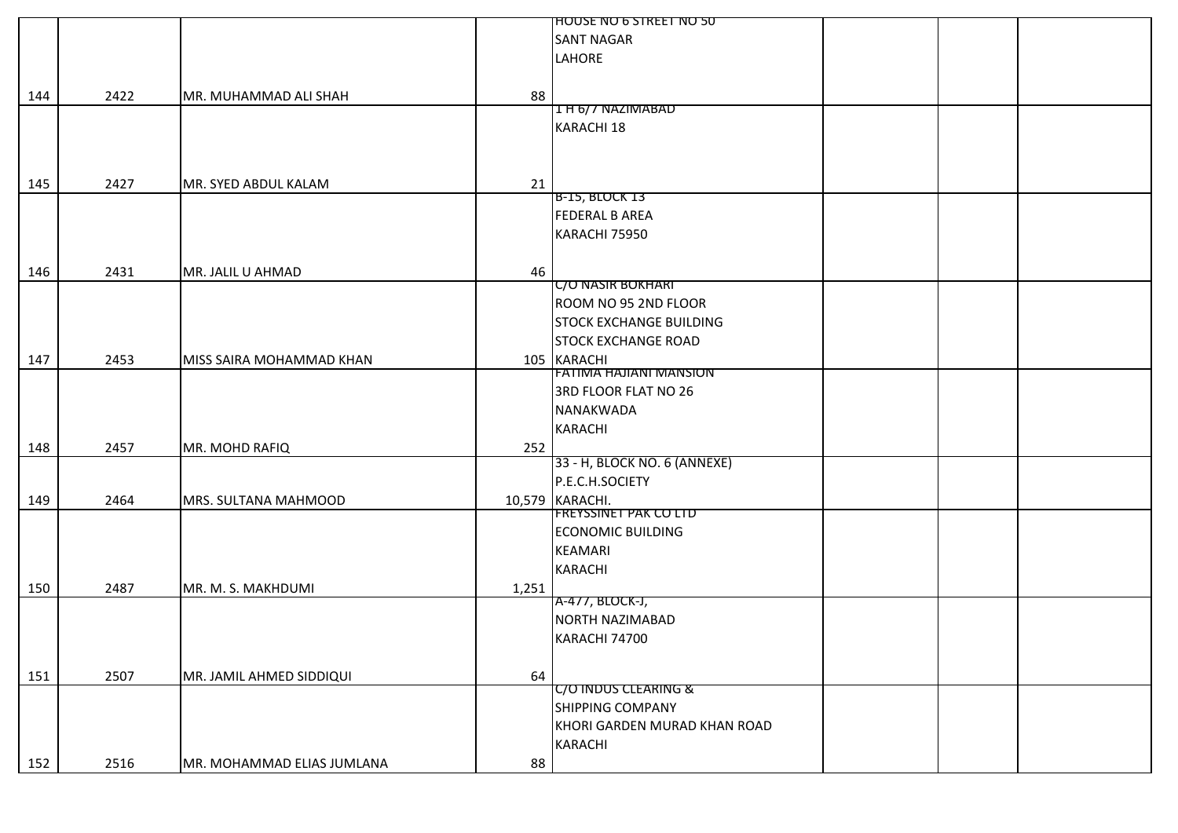|     |      |                            |       | <b>HOUSE NO 6 STREET NO 50</b>  |  |  |
|-----|------|----------------------------|-------|---------------------------------|--|--|
|     |      |                            |       | <b>SANT NAGAR</b>               |  |  |
|     |      |                            |       | <b>LAHORE</b>                   |  |  |
|     |      |                            |       |                                 |  |  |
| 144 | 2422 | MR. MUHAMMAD ALI SHAH      | 88    |                                 |  |  |
|     |      |                            |       | 1 H 6/ / NAZIMABAD              |  |  |
|     |      |                            |       | <b>KARACHI 18</b>               |  |  |
|     |      |                            |       |                                 |  |  |
|     |      |                            |       |                                 |  |  |
| 145 | 2427 | MR. SYED ABDUL KALAM       | 21    |                                 |  |  |
|     |      |                            |       | <b>B-15, BLOCK 13</b>           |  |  |
|     |      |                            |       | <b>FEDERAL B AREA</b>           |  |  |
|     |      |                            |       | KARACHI 75950                   |  |  |
|     |      |                            |       |                                 |  |  |
| 146 | 2431 | MR. JALIL U AHMAD          | 46    |                                 |  |  |
|     |      |                            |       | <b>C/O NASIR BOKHARI</b>        |  |  |
|     |      |                            |       | ROOM NO 95 2ND FLOOR            |  |  |
|     |      |                            |       | <b>STOCK EXCHANGE BUILDING</b>  |  |  |
|     |      |                            |       | <b>STOCK EXCHANGE ROAD</b>      |  |  |
| 147 | 2453 | MISS SAIRA MOHAMMAD KHAN   |       | 105 KARACHI                     |  |  |
|     |      |                            |       | <b>FATIMA HAJIANI MANSION</b>   |  |  |
|     |      |                            |       | 3RD FLOOR FLAT NO 26            |  |  |
|     |      |                            |       | NANAKWADA                       |  |  |
|     |      |                            |       | <b>KARACHI</b>                  |  |  |
| 148 | 2457 | MR. MOHD RAFIQ             | 252   |                                 |  |  |
|     |      |                            |       | 33 - H, BLOCK NO. 6 (ANNEXE)    |  |  |
|     |      |                            |       | P.E.C.H.SOCIETY                 |  |  |
| 149 | 2464 | MRS. SULTANA MAHMOOD       |       | 10,579 KARACHI.                 |  |  |
|     |      |                            |       | <b>FREYSSINET PAK CO LTD</b>    |  |  |
|     |      |                            |       | <b>ECONOMIC BUILDING</b>        |  |  |
|     |      |                            |       | <b>KEAMARI</b>                  |  |  |
|     |      |                            |       | <b>KARACHI</b>                  |  |  |
| 150 | 2487 | MR. M. S. MAKHDUMI         | 1,251 |                                 |  |  |
|     |      |                            |       | A-477, BLOCK-J,                 |  |  |
|     |      |                            |       | <b>NORTH NAZIMABAD</b>          |  |  |
|     |      |                            |       | KARACHI 74700                   |  |  |
|     |      |                            |       |                                 |  |  |
| 151 | 2507 | MR. JAMIL AHMED SIDDIQUI   | 64    |                                 |  |  |
|     |      |                            |       | <b>C/O INDUS CLEARING &amp;</b> |  |  |
|     |      |                            |       | <b>SHIPPING COMPANY</b>         |  |  |
|     |      |                            |       | KHORI GARDEN MURAD KHAN ROAD    |  |  |
|     |      |                            |       | KARACHI                         |  |  |
| 152 | 2516 | MR. MOHAMMAD ELIAS JUMLANA | 88    |                                 |  |  |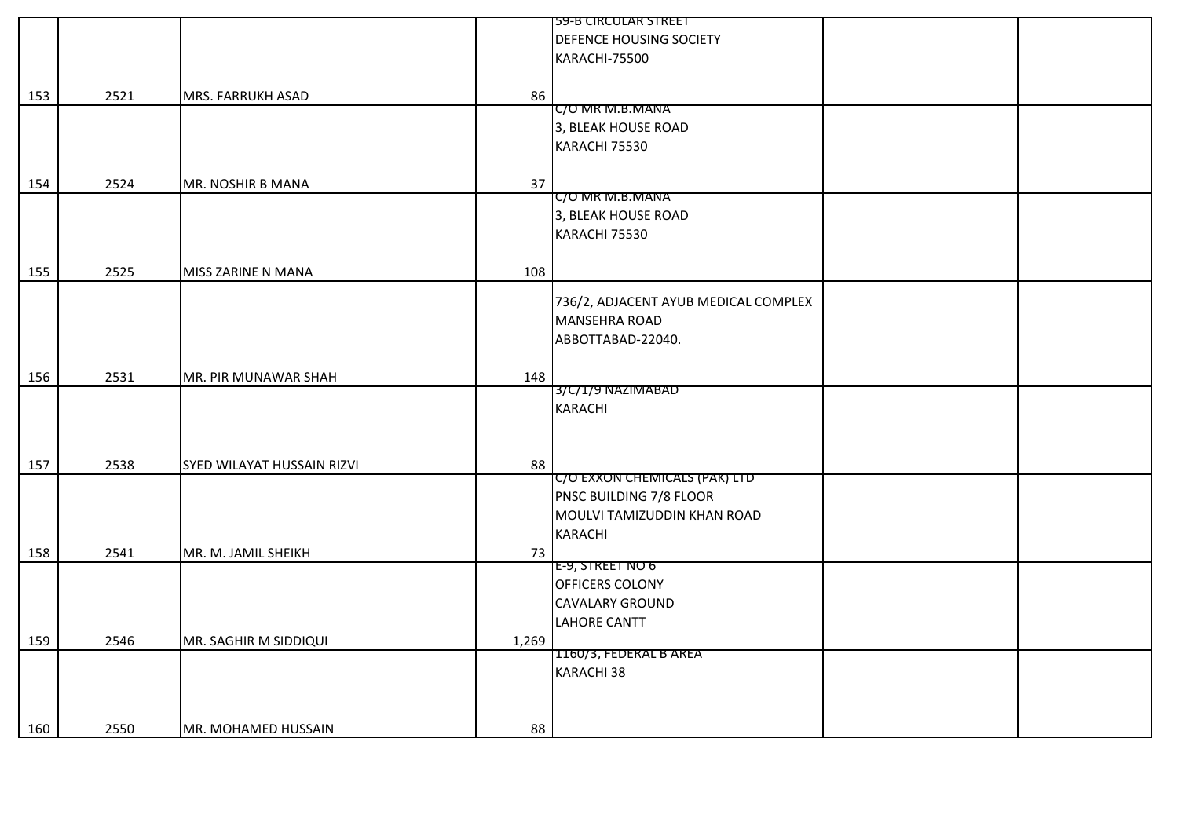|     |      |                            |       | <b>59-B CIRCULAR STREET</b>          |  |  |
|-----|------|----------------------------|-------|--------------------------------------|--|--|
|     |      |                            |       | DEFENCE HOUSING SOCIETY              |  |  |
|     |      |                            |       | KARACHI-75500                        |  |  |
|     |      |                            |       |                                      |  |  |
|     | 2521 | MRS. FARRUKH ASAD          | 86    |                                      |  |  |
| 153 |      |                            |       | C/O MR M.B.MANA                      |  |  |
|     |      |                            |       | 3, BLEAK HOUSE ROAD                  |  |  |
|     |      |                            |       | KARACHI 75530                        |  |  |
|     |      |                            |       |                                      |  |  |
| 154 | 2524 | MR. NOSHIR B MANA          | 37    |                                      |  |  |
|     |      |                            |       | C/O MR M.B.MANA                      |  |  |
|     |      |                            |       | 3, BLEAK HOUSE ROAD                  |  |  |
|     |      |                            |       | KARACHI 75530                        |  |  |
|     |      |                            |       |                                      |  |  |
| 155 | 2525 | MISS ZARINE N MANA         | 108   |                                      |  |  |
|     |      |                            |       |                                      |  |  |
|     |      |                            |       | 736/2, ADJACENT AYUB MEDICAL COMPLEX |  |  |
|     |      |                            |       | <b>MANSEHRA ROAD</b>                 |  |  |
|     |      |                            |       | ABBOTTABAD-22040.                    |  |  |
|     |      |                            |       |                                      |  |  |
|     | 2531 | MR. PIR MUNAWAR SHAH       | 148   |                                      |  |  |
| 156 |      |                            |       | 3/C/1/9 NAZIMABAD                    |  |  |
|     |      |                            |       | <b>KARACHI</b>                       |  |  |
|     |      |                            |       |                                      |  |  |
|     |      |                            |       |                                      |  |  |
|     | 2538 | SYED WILAYAT HUSSAIN RIZVI | 88    |                                      |  |  |
| 157 |      |                            |       | <b>C/O EXXON CHEMICALS (PAK) LTD</b> |  |  |
|     |      |                            |       | PNSC BUILDING 7/8 FLOOR              |  |  |
|     |      |                            |       | MOULVI TAMIZUDDIN KHAN ROAD          |  |  |
|     |      |                            |       | <b>KARACHI</b>                       |  |  |
|     | 2541 | MR. M. JAMIL SHEIKH        | 73    |                                      |  |  |
| 158 |      |                            |       | E-9, STREET NO 6                     |  |  |
|     |      |                            |       | OFFICERS COLONY                      |  |  |
|     |      |                            |       | <b>CAVALARY GROUND</b>               |  |  |
|     |      |                            |       | <b>LAHORE CANTT</b>                  |  |  |
|     |      |                            |       |                                      |  |  |
| 159 | 2546 | MR. SAGHIR M SIDDIQUI      | 1,269 | 1160/3, FEDERAL B AREA               |  |  |
|     |      |                            |       | KARACHI 38                           |  |  |
|     |      |                            |       |                                      |  |  |
|     |      |                            |       |                                      |  |  |
|     |      |                            |       |                                      |  |  |
| 160 | 2550 | MR. MOHAMED HUSSAIN        | 88    |                                      |  |  |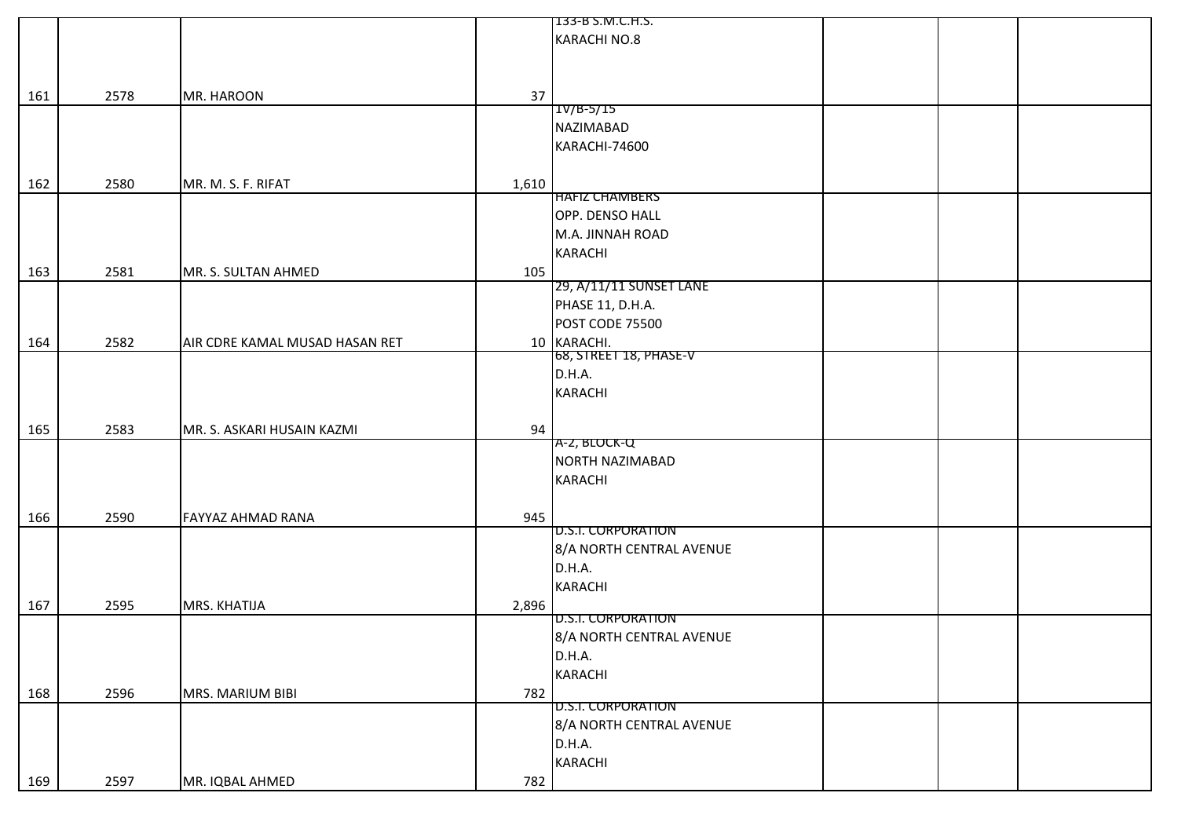|     |      |                                |       | 133-B S.M.C.H.S.          |  |
|-----|------|--------------------------------|-------|---------------------------|--|
|     |      |                                |       | KARACHI NO.8              |  |
|     |      |                                |       |                           |  |
|     |      |                                |       |                           |  |
|     |      |                                |       |                           |  |
| 161 | 2578 | MR. HAROON                     | 37    |                           |  |
|     |      |                                |       | $1V/B-5/15$               |  |
|     |      |                                |       | <b>NAZIMABAD</b>          |  |
|     |      |                                |       | KARACHI-74600             |  |
|     |      |                                |       |                           |  |
| 162 | 2580 | MR. M. S. F. RIFAT             | 1,610 |                           |  |
|     |      |                                |       | <b>HAFIZ CHAMBERS</b>     |  |
|     |      |                                |       | OPP. DENSO HALL           |  |
|     |      |                                |       | M.A. JINNAH ROAD          |  |
|     |      |                                |       |                           |  |
|     |      |                                |       | <b>KARACHI</b>            |  |
| 163 | 2581 | MR. S. SULTAN AHMED            | 105   |                           |  |
|     |      |                                |       | 29, A/11/11 SUNSET LANE   |  |
|     |      |                                |       | PHASE 11, D.H.A.          |  |
|     |      |                                |       | POST CODE 75500           |  |
| 164 | 2582 | AIR CDRE KAMAL MUSAD HASAN RET |       | 10 KARACHI.               |  |
|     |      |                                |       | 68, STREET 18, PHASE-V    |  |
|     |      |                                |       | D.H.A.                    |  |
|     |      |                                |       | <b>KARACHI</b>            |  |
|     |      |                                |       |                           |  |
|     |      |                                |       |                           |  |
| 165 | 2583 | MR. S. ASKARI HUSAIN KAZMI     | 94    |                           |  |
|     |      |                                |       | A-2, BLOCK-Q              |  |
|     |      |                                |       | NORTH NAZIMABAD           |  |
|     |      |                                |       | <b>KARACHI</b>            |  |
|     |      |                                |       |                           |  |
| 166 | 2590 | <b>FAYYAZ AHMAD RANA</b>       | 945   |                           |  |
|     |      |                                |       | <b>D.S.I. CORPORATION</b> |  |
|     |      |                                |       | 8/A NORTH CENTRAL AVENUE  |  |
|     |      |                                |       |                           |  |
|     |      |                                |       | D.H.A.                    |  |
|     |      |                                |       | <b>KARACHI</b>            |  |
| 167 | 2595 | MRS. KHATIJA                   | 2,896 |                           |  |
|     |      |                                |       | <b>D.S.I. CORPORATION</b> |  |
|     |      |                                |       | 8/A NORTH CENTRAL AVENUE  |  |
|     |      |                                |       | D.H.A.                    |  |
|     |      |                                |       | <b>KARACHI</b>            |  |
| 168 | 2596 | MRS. MARIUM BIBI               | 782   |                           |  |
|     |      |                                |       | <b>D.S.I. CORPORATION</b> |  |
|     |      |                                |       | 8/A NORTH CENTRAL AVENUE  |  |
|     |      |                                |       |                           |  |
|     |      |                                |       | D.H.A.                    |  |
|     |      |                                |       | KARACHI                   |  |
| 169 | 2597 | MR. IQBAL AHMED                | 782   |                           |  |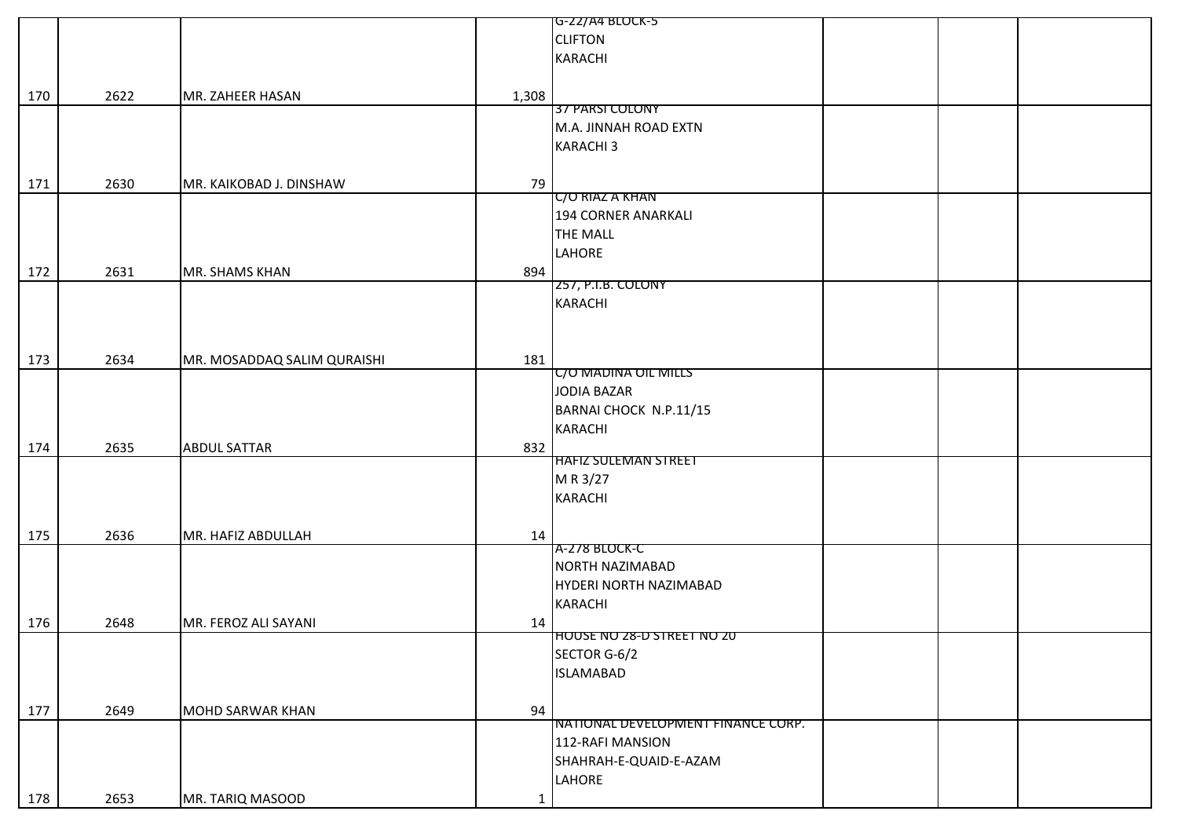|     |      |                             |              | G-22/A4 BLOCK-5                    |  |  |
|-----|------|-----------------------------|--------------|------------------------------------|--|--|
|     |      |                             |              | <b>CLIFTON</b>                     |  |  |
|     |      |                             |              | <b>KARACHI</b>                     |  |  |
|     |      |                             |              |                                    |  |  |
|     |      |                             |              |                                    |  |  |
| 170 | 2622 | MR. ZAHEER HASAN            | 1,308        | 37 PARSI COLONY                    |  |  |
|     |      |                             |              |                                    |  |  |
|     |      |                             |              | M.A. JINNAH ROAD EXTN              |  |  |
|     |      |                             |              | <b>KARACHI3</b>                    |  |  |
|     |      |                             |              |                                    |  |  |
| 171 | 2630 | MR. KAIKOBAD J. DINSHAW     | 79           |                                    |  |  |
|     |      |                             |              | <b>C/O RIAZ A KHAN</b>             |  |  |
|     |      |                             |              | <b>194 CORNER ANARKALI</b>         |  |  |
|     |      |                             |              | <b>THE MALL</b>                    |  |  |
|     |      |                             |              | LAHORE                             |  |  |
| 172 | 2631 | MR. SHAMS KHAN              | 894          |                                    |  |  |
|     |      |                             |              | 257, P.I.B. COLONY                 |  |  |
|     |      |                             |              | <b>KARACHI</b>                     |  |  |
|     |      |                             |              |                                    |  |  |
|     |      |                             |              |                                    |  |  |
|     |      |                             |              |                                    |  |  |
| 173 | 2634 | MR. MOSADDAQ SALIM QURAISHI | 181          |                                    |  |  |
|     |      |                             |              | <b>C/O MADINA OIL MILLS</b>        |  |  |
|     |      |                             |              | JODIA BAZAR                        |  |  |
|     |      |                             |              | BARNAI CHOCK N.P.11/15             |  |  |
|     |      |                             |              | KARACHI                            |  |  |
| 174 | 2635 | <b>ABDUL SATTAR</b>         | 832          |                                    |  |  |
|     |      |                             |              | <b>HAFIZ SULEMAN STREET</b>        |  |  |
|     |      |                             |              | M R 3/27                           |  |  |
|     |      |                             |              | <b>KARACHI</b>                     |  |  |
|     |      |                             |              |                                    |  |  |
| 175 | 2636 | MR. HAFIZ ABDULLAH          | 14           |                                    |  |  |
|     |      |                             |              | A-278 BLOCK-C                      |  |  |
|     |      |                             |              | NORTH NAZIMABAD                    |  |  |
|     |      |                             |              |                                    |  |  |
|     |      |                             |              | HYDERI NORTH NAZIMABAD             |  |  |
|     |      |                             |              | KARACHI                            |  |  |
| 176 | 2648 | MR. FEROZ ALI SAYANI        | 14           |                                    |  |  |
|     |      |                             |              | HOUSE NO 28-D STREET NO 20         |  |  |
|     |      |                             |              | SECTOR G-6/2                       |  |  |
|     |      |                             |              | <b>ISLAMABAD</b>                   |  |  |
|     |      |                             |              |                                    |  |  |
| 177 | 2649 | <b>MOHD SARWAR KHAN</b>     | 94           |                                    |  |  |
|     |      |                             |              | NATIONAL DEVELOPMENT FINANCE CORP. |  |  |
|     |      |                             |              | 112-RAFI MANSION                   |  |  |
|     |      |                             |              | SHAHRAH-E-QUAID-E-AZAM             |  |  |
|     |      |                             |              | <b>LAHORE</b>                      |  |  |
|     |      |                             |              |                                    |  |  |
| 178 | 2653 | MR. TARIQ MASOOD            | $\mathbf{1}$ |                                    |  |  |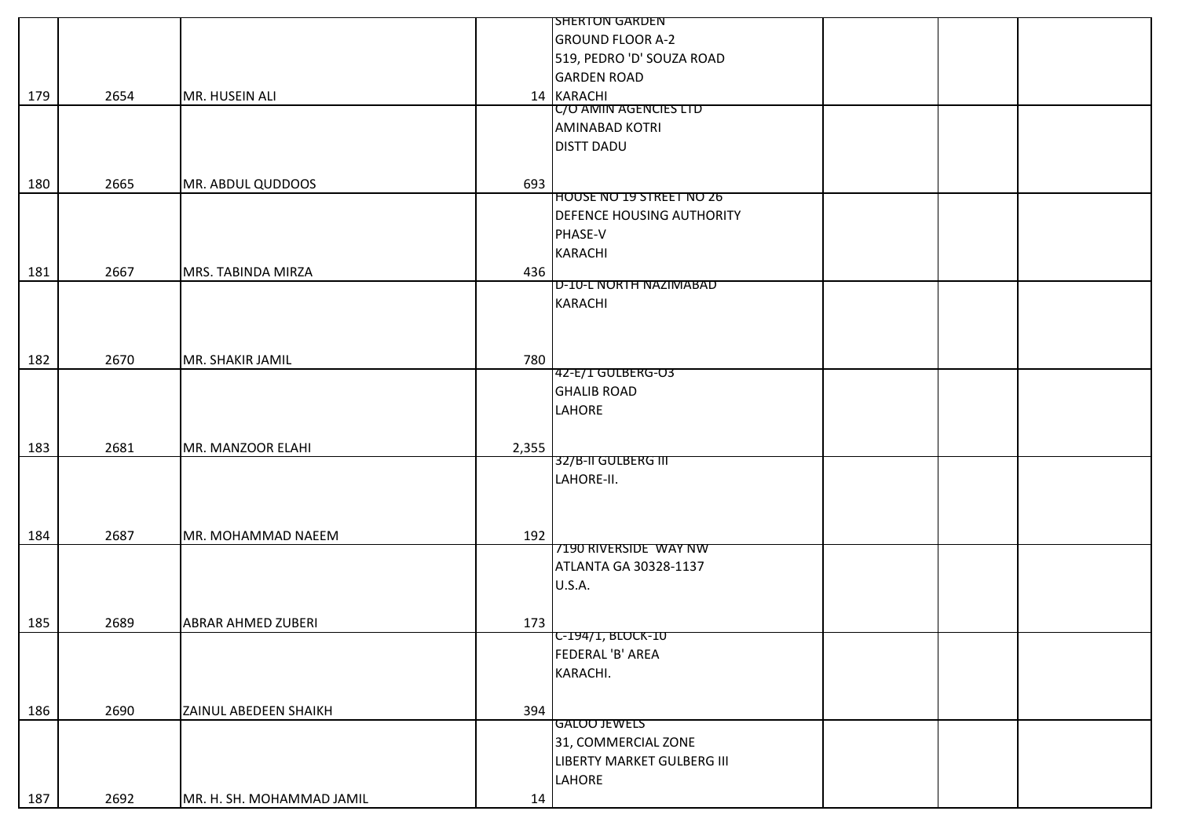|     |      |                           |       | <b>SHERTON GARDEN</b>            |  |
|-----|------|---------------------------|-------|----------------------------------|--|
|     |      |                           |       | <b>GROUND FLOOR A-2</b>          |  |
|     |      |                           |       | 519, PEDRO 'D' SOUZA ROAD        |  |
|     |      |                           |       | <b>GARDEN ROAD</b>               |  |
| 179 | 2654 | MR. HUSEIN ALI            |       | 14 KARACHI                       |  |
|     |      |                           |       | C/O AMIN AGENCIES LTD            |  |
|     |      |                           |       | <b>AMINABAD KOTRI</b>            |  |
|     |      |                           |       | <b>DISTT DADU</b>                |  |
|     |      |                           |       |                                  |  |
| 180 | 2665 | MR. ABDUL QUDDOOS         | 693   |                                  |  |
|     |      |                           |       | <b>HOUSE NO 19 STREET NO 26</b>  |  |
|     |      |                           |       | <b>DEFENCE HOUSING AUTHORITY</b> |  |
|     |      |                           |       | PHASE-V                          |  |
|     |      |                           |       | <b>KARACHI</b>                   |  |
| 181 | 2667 | MRS. TABINDA MIRZA        | 436   |                                  |  |
|     |      |                           |       | <b>D-10-L NORTH NAZIMABAD</b>    |  |
|     |      |                           |       | <b>KARACHI</b>                   |  |
|     |      |                           |       |                                  |  |
|     |      |                           |       |                                  |  |
| 182 | 2670 | MR. SHAKIR JAMIL          | 780   |                                  |  |
|     |      |                           |       | 42-E/1 GULBERG-O3                |  |
|     |      |                           |       | <b>GHALIB ROAD</b>               |  |
|     |      |                           |       | LAHORE                           |  |
|     |      |                           |       |                                  |  |
| 183 | 2681 | MR. MANZOOR ELAHI         | 2,355 |                                  |  |
|     |      |                           |       | 32/B-II GULBERG III              |  |
|     |      |                           |       | LAHORE-II.                       |  |
|     |      |                           |       |                                  |  |
|     |      |                           |       |                                  |  |
| 184 | 2687 | MR. MOHAMMAD NAEEM        | 192   |                                  |  |
|     |      |                           |       | 7190 RIVERSIDE WAY NW            |  |
|     |      |                           |       | ATLANTA GA 30328-1137            |  |
|     |      |                           |       | U.S.A.                           |  |
|     |      |                           |       |                                  |  |
| 185 | 2689 | <b>ABRAR AHMED ZUBERI</b> | 173   |                                  |  |
|     |      |                           |       | $C-194/1, BLOCK-10$              |  |
|     |      |                           |       | FEDERAL 'B' AREA                 |  |
|     |      |                           |       | KARACHI.                         |  |
|     |      |                           |       |                                  |  |
| 186 | 2690 | ZAINUL ABEDEEN SHAIKH     | 394   |                                  |  |
|     |      |                           |       | <b>GALOO JEWELS</b>              |  |
|     |      |                           |       | 31, COMMERCIAL ZONE              |  |
|     |      |                           |       | LIBERTY MARKET GULBERG III       |  |
|     |      |                           |       | LAHORE                           |  |
| 187 | 2692 | MR. H. SH. MOHAMMAD JAMIL | 14    |                                  |  |
|     |      |                           |       |                                  |  |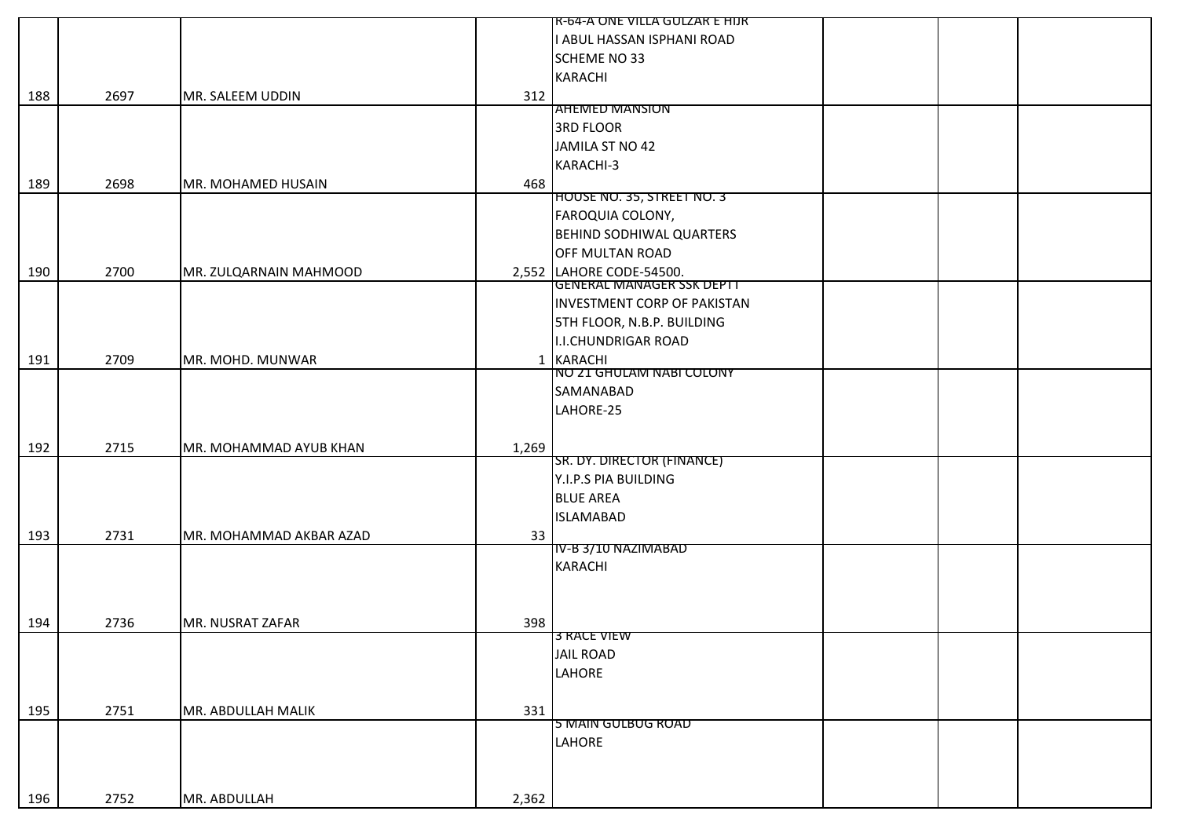|     |      |                         |       | R-64-A ONE VILLA GULZAR E HIJR     |
|-----|------|-------------------------|-------|------------------------------------|
|     |      |                         |       | I ABUL HASSAN ISPHANI ROAD         |
|     |      |                         |       | <b>SCHEME NO 33</b>                |
|     |      |                         |       | <b>KARACHI</b>                     |
| 188 | 2697 | MR. SALEEM UDDIN        | 312   |                                    |
|     |      |                         |       | <b>AHEMED MANSION</b>              |
|     |      |                         |       | <b>3RD FLOOR</b>                   |
|     |      |                         |       | JAMILA ST NO 42                    |
|     |      |                         |       | KARACHI-3                          |
| 189 | 2698 | MR. MOHAMED HUSAIN      | 468   |                                    |
|     |      |                         |       | <b>HOUSE NO. 35, STREET NO. 3</b>  |
|     |      |                         |       | FAROQUIA COLONY,                   |
|     |      |                         |       | <b>BEHIND SODHIWAL QUARTERS</b>    |
|     |      |                         |       | OFF MULTAN ROAD                    |
| 190 | 2700 | MR. ZULQARNAIN MAHMOOD  |       | 2,552 LAHORE CODE-54500.           |
|     |      |                         |       | <b>GENERAL MANAGER SSK DEPTT</b>   |
|     |      |                         |       | <b>INVESTMENT CORP OF PAKISTAN</b> |
|     |      |                         |       | <b>5TH FLOOR, N.B.P. BUILDING</b>  |
|     |      |                         |       | <b>I.I.CHUNDRIGAR ROAD</b>         |
| 191 | 2709 | MR. MOHD. MUNWAR        |       | 1 KARACHI                          |
|     |      |                         |       | NO 21 GHULAM NABI COLONY           |
|     |      |                         |       | SAMANABAD                          |
|     |      |                         |       | LAHORE-25                          |
|     |      |                         |       |                                    |
| 192 | 2715 | MR. MOHAMMAD AYUB KHAN  | 1,269 |                                    |
|     |      |                         |       | SR. DY. DIRECTOR (FINANCE)         |
|     |      |                         |       | Y.I.P.S PIA BUILDING               |
|     |      |                         |       | <b>BLUE AREA</b>                   |
|     |      |                         |       | <b>ISLAMABAD</b>                   |
| 193 | 2731 | MR. MOHAMMAD AKBAR AZAD | 33    |                                    |
|     |      |                         |       | IV-B 3/10 NAZIMABAD                |
|     |      |                         |       | <b>KARACHI</b>                     |
|     |      |                         |       |                                    |
|     |      |                         |       |                                    |
| 194 | 2736 | MR. NUSRAT ZAFAR        | 398   |                                    |
|     |      |                         |       | <b>3 RACE VIEW</b>                 |
|     |      |                         |       | <b>JAIL ROAD</b>                   |
|     |      |                         |       | LAHORE                             |
|     |      |                         |       |                                    |
| 195 | 2751 | MR. ABDULLAH MALIK      | 331   | 5 MAIN GULBUG ROAD                 |
|     |      |                         |       | LAHORE                             |
|     |      |                         |       |                                    |
|     |      |                         |       |                                    |
|     |      |                         |       |                                    |
| 196 | 2752 | MR. ABDULLAH            | 2,362 |                                    |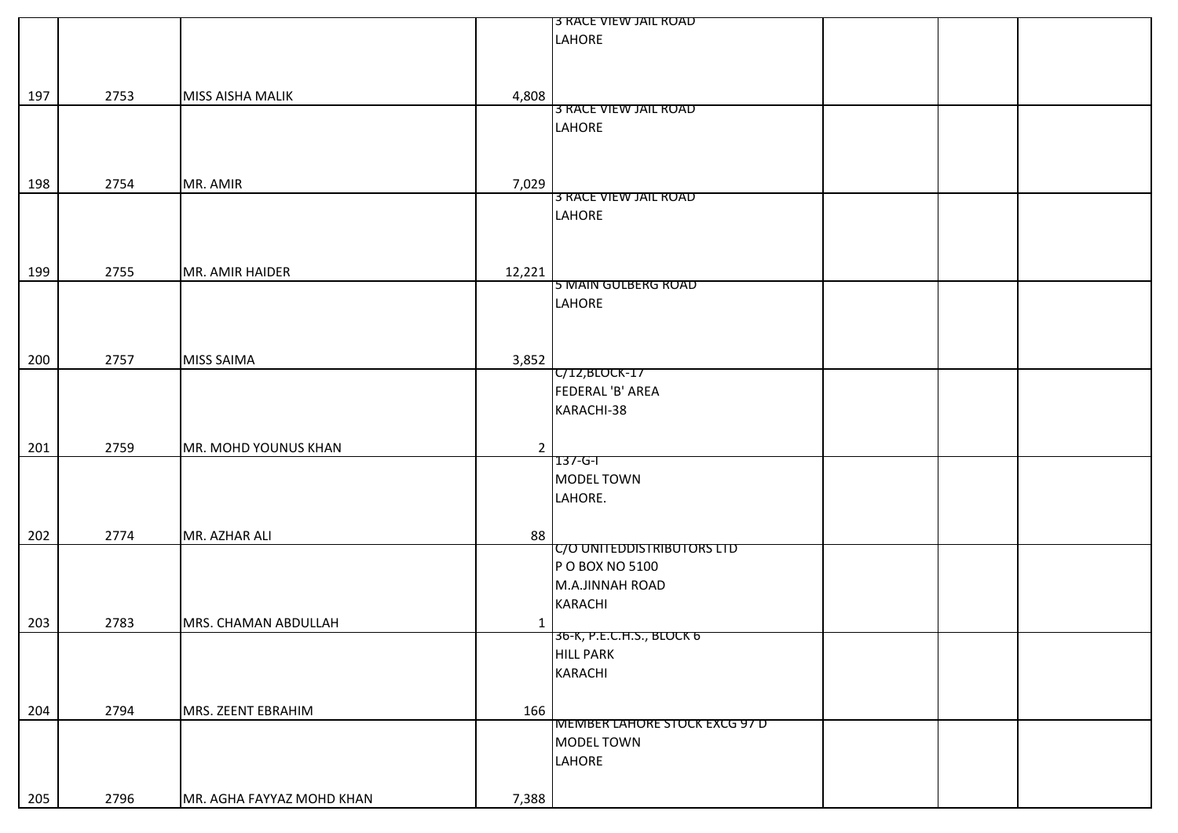|     |      |                                    | 3 RACE VIEW JAIL ROAD                |  |  |
|-----|------|------------------------------------|--------------------------------------|--|--|
|     |      |                                    | LAHORE                               |  |  |
|     |      |                                    |                                      |  |  |
|     |      |                                    |                                      |  |  |
|     |      |                                    |                                      |  |  |
| 197 | 2753 | 4,808<br>MISS AISHA MALIK          |                                      |  |  |
|     |      |                                    | 3 RACE VIEW JAIL ROAD                |  |  |
|     |      |                                    | LAHORE                               |  |  |
|     |      |                                    |                                      |  |  |
|     |      |                                    |                                      |  |  |
|     |      |                                    |                                      |  |  |
| 198 | 2754 | MR. AMIR<br>7,029                  | 3 RACE VIEW JAIL ROAD                |  |  |
|     |      |                                    |                                      |  |  |
|     |      |                                    | LAHORE                               |  |  |
|     |      |                                    |                                      |  |  |
|     |      |                                    |                                      |  |  |
| 199 | 2755 | 12,221<br>MR. AMIR HAIDER          |                                      |  |  |
|     |      |                                    | 5 MAIN GULBERG ROAD                  |  |  |
|     |      |                                    | LAHORE                               |  |  |
|     |      |                                    |                                      |  |  |
|     |      |                                    |                                      |  |  |
|     |      |                                    |                                      |  |  |
| 200 | 2757 | <b>MISS SAIMA</b><br>3,852         |                                      |  |  |
|     |      |                                    | C/12, BLOCK-17                       |  |  |
|     |      |                                    | FEDERAL 'B' AREA                     |  |  |
|     |      |                                    | KARACHI-38                           |  |  |
|     |      |                                    |                                      |  |  |
| 201 | 2759 | MR. MOHD YOUNUS KHAN               |                                      |  |  |
|     |      |                                    | $137 - 6 - 1$                        |  |  |
|     |      |                                    | MODEL TOWN                           |  |  |
|     |      |                                    |                                      |  |  |
|     |      |                                    | LAHORE.                              |  |  |
|     |      |                                    |                                      |  |  |
| 202 | 2774 | MR. AZHAR ALI<br>88                |                                      |  |  |
|     |      |                                    | C/O UNITEDDISTRIBUTORS LTD           |  |  |
|     |      |                                    | P O BOX NO 5100                      |  |  |
|     |      |                                    | M.A.JINNAH ROAD                      |  |  |
|     |      |                                    | <b>KARACHI</b>                       |  |  |
|     |      |                                    |                                      |  |  |
| 203 | 2783 | MRS. CHAMAN ABDULLAH               | 36-K, P.E.C.H.S., BLOCK 6            |  |  |
|     |      |                                    |                                      |  |  |
|     |      |                                    | <b>HILL PARK</b>                     |  |  |
|     |      |                                    | <b>KARACHI</b>                       |  |  |
|     |      |                                    |                                      |  |  |
| 204 | 2794 | MRS. ZEENT EBRAHIM<br>166          |                                      |  |  |
|     |      |                                    | <b>MEMBER LAHORE STOCK EXCG 97 D</b> |  |  |
|     |      |                                    | MODEL TOWN                           |  |  |
|     |      |                                    | LAHORE                               |  |  |
|     |      |                                    |                                      |  |  |
|     |      |                                    |                                      |  |  |
| 205 | 2796 | 7,388<br>MR. AGHA FAYYAZ MOHD KHAN |                                      |  |  |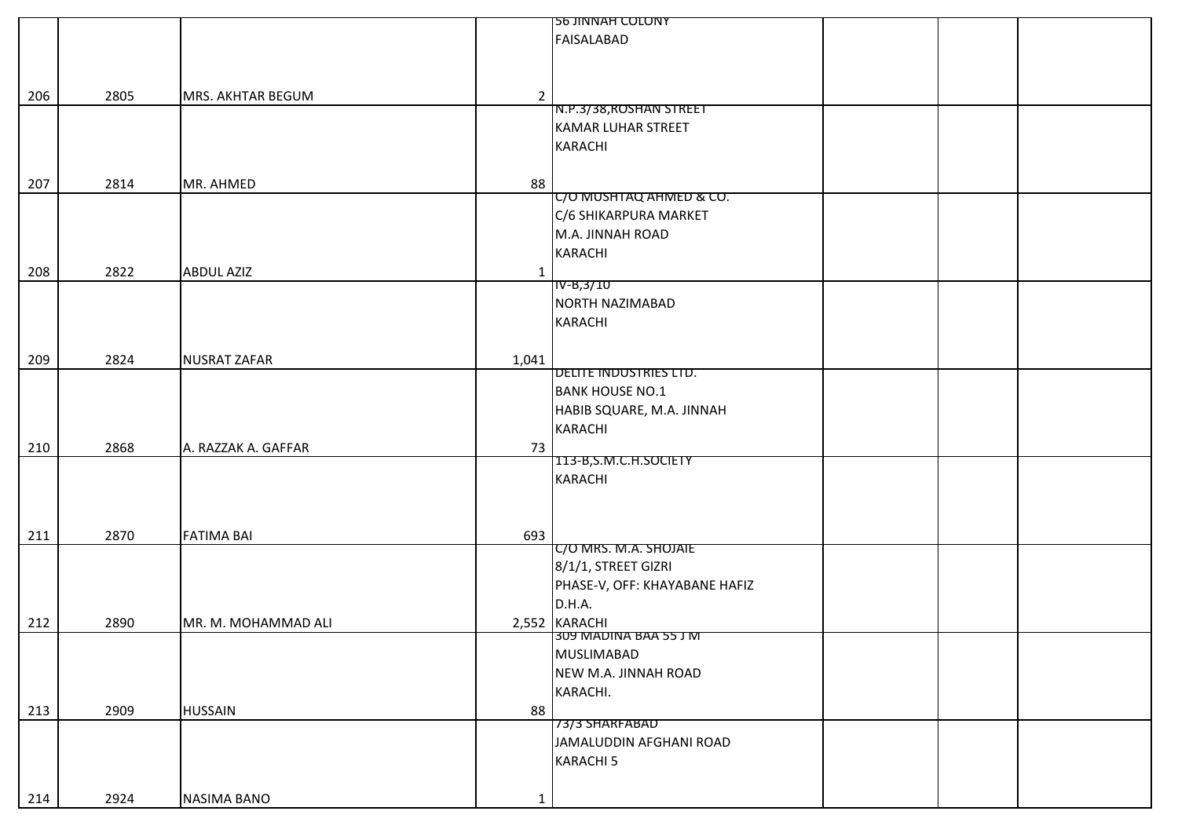|     |      |                     |                | <b>56 JINNAH COLONY</b>       |  |
|-----|------|---------------------|----------------|-------------------------------|--|
|     |      |                     |                | <b>FAISALABAD</b>             |  |
|     |      |                     |                |                               |  |
|     |      |                     |                |                               |  |
|     |      |                     |                |                               |  |
| 206 | 2805 | MRS. AKHTAR BEGUM   | $\overline{2}$ |                               |  |
|     |      |                     |                | N.P.3/38, ROSHAN STREET       |  |
|     |      |                     |                | <b>KAMAR LUHAR STREET</b>     |  |
|     |      |                     |                | KARACHI                       |  |
|     |      |                     |                |                               |  |
| 207 | 2814 | MR. AHMED           | 88             |                               |  |
|     |      |                     |                | C/O MUSHTAQ AHMED & CO.       |  |
|     |      |                     |                | C/6 SHIKARPURA MARKET         |  |
|     |      |                     |                |                               |  |
|     |      |                     |                | M.A. JINNAH ROAD              |  |
|     |      |                     |                | <b>KARACHI</b>                |  |
| 208 | 2822 | <b>ABDUL AZIZ</b>   | $\mathbf{1}$   |                               |  |
|     |      |                     |                | IV-B,3/10                     |  |
|     |      |                     |                | NORTH NAZIMABAD               |  |
|     |      |                     |                | <b>KARACHI</b>                |  |
|     |      |                     |                |                               |  |
| 209 | 2824 | <b>NUSRAT ZAFAR</b> |                |                               |  |
|     |      |                     | 1,041          | DELITE INDUSTRIES LTD.        |  |
|     |      |                     |                | <b>BANK HOUSE NO.1</b>        |  |
|     |      |                     |                |                               |  |
|     |      |                     |                | HABIB SQUARE, M.A. JINNAH     |  |
|     |      |                     |                | <b>KARACHI</b>                |  |
| 210 | 2868 | A. RAZZAK A. GAFFAR | 73             |                               |  |
|     |      |                     |                | 113-B, S.M.C.H.SOCIETY        |  |
|     |      |                     |                | <b>KARACHI</b>                |  |
|     |      |                     |                |                               |  |
|     |      |                     |                |                               |  |
|     |      |                     |                |                               |  |
| 211 | 2870 | <b>FATIMA BAI</b>   | 693            | C/O MRS. M.A. SHOJAIE         |  |
|     |      |                     |                |                               |  |
|     |      |                     |                | 8/1/1, STREET GIZRI           |  |
|     |      |                     |                | PHASE-V, OFF: KHAYABANE HAFIZ |  |
|     |      |                     |                | D.H.A.                        |  |
| 212 | 2890 | MR. M. MOHAMMAD ALI |                | 2,552 KARACHI                 |  |
|     |      |                     |                | 309 MADINA BAA 55 J M         |  |
|     |      |                     |                | MUSLIMABAD                    |  |
|     |      |                     |                | NEW M.A. JINNAH ROAD          |  |
|     |      |                     |                | KARACHI.                      |  |
|     |      |                     |                |                               |  |
| 213 | 2909 | <b>HUSSAIN</b>      | 88             | 73/3 SHARFABAD                |  |
|     |      |                     |                |                               |  |
|     |      |                     |                | JAMALUDDIN AFGHANI ROAD       |  |
|     |      |                     |                | <b>KARACHI 5</b>              |  |
|     |      |                     |                |                               |  |
| 214 | 2924 | NASIMA BANO         | $\mathbf{1}$   |                               |  |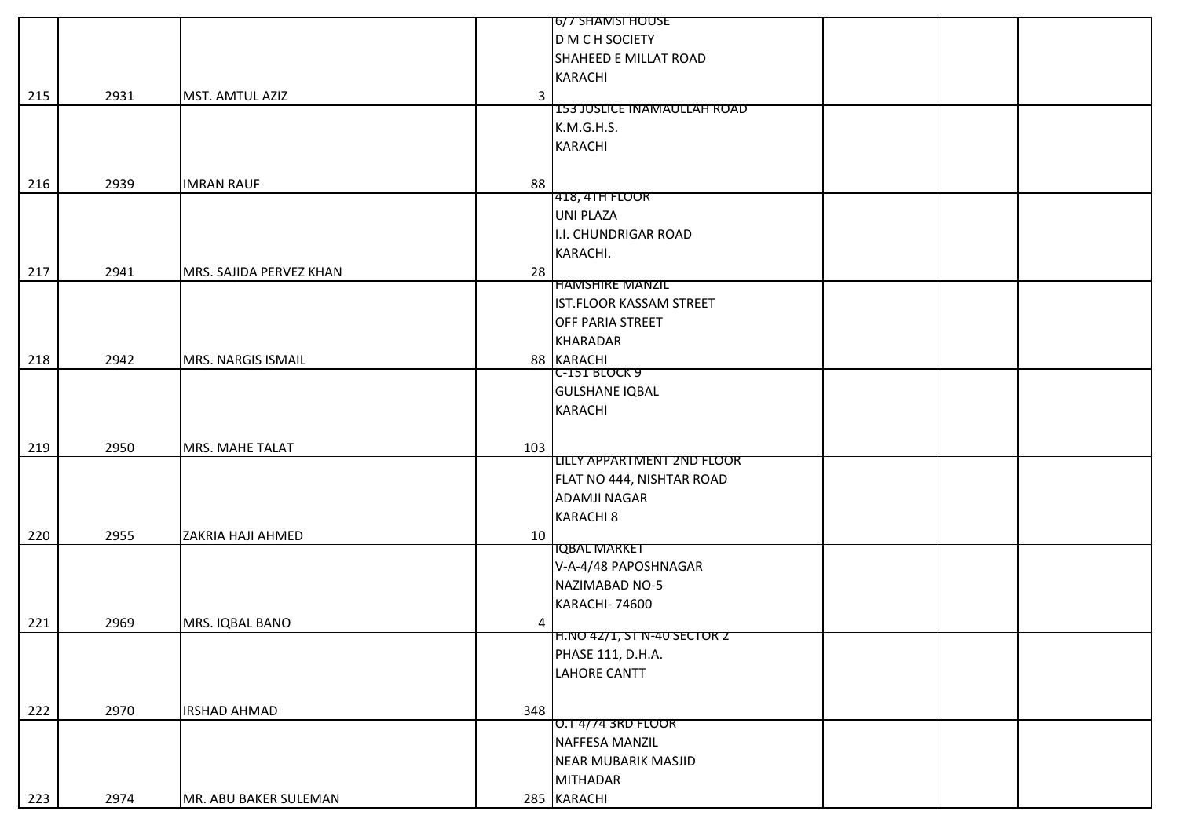|     |      |                               | 6/7 SHAMSI HOUSE                   |
|-----|------|-------------------------------|------------------------------------|
|     |      |                               | D M C H SOCIETY                    |
|     |      |                               | SHAHEED E MILLAT ROAD              |
|     |      |                               | <b>KARACHI</b>                     |
| 215 | 2931 | MST. AMTUL AZIZ               | 3                                  |
|     |      |                               | <b>153 JUSLICE INAMAULLAH ROAD</b> |
|     |      |                               | K.M.G.H.S.                         |
|     |      |                               | <b>KARACHI</b>                     |
|     |      |                               |                                    |
| 216 | 2939 | 88<br><b>IMRAN RAUF</b>       |                                    |
|     |      |                               | 418, 41H FLOOR                     |
|     |      |                               | <b>UNI PLAZA</b>                   |
|     |      |                               | I.I. CHUNDRIGAR ROAD               |
|     |      |                               | KARACHI.                           |
|     |      |                               |                                    |
| 217 | 2941 | MRS. SAJIDA PERVEZ KHAN<br>28 | <b>HAMSHIRE MANZIL</b>             |
|     |      |                               | IST.FLOOR KASSAM STREET            |
|     |      |                               | OFF PARIA STREET                   |
|     |      |                               | <b>KHARADAR</b>                    |
|     |      |                               |                                    |
| 218 | 2942 | MRS. NARGIS ISMAIL            | 88 KARACHI<br>C-151 BLOCK 9        |
|     |      |                               | <b>GULSHANE IQBAL</b>              |
|     |      |                               | <b>KARACHI</b>                     |
|     |      |                               |                                    |
|     |      |                               |                                    |
| 219 | 2950 | MRS. MAHE TALAT<br>103        | <b>LILLY APPARTMENT 2ND FLOOR</b>  |
|     |      |                               | FLAT NO 444, NISHTAR ROAD          |
|     |      |                               | <b>ADAMJI NAGAR</b>                |
|     |      |                               |                                    |
|     |      |                               | <b>KARACHI 8</b>                   |
| 220 | 2955 | ZAKRIA HAJI AHMED<br>10       | <b>IQBAL MARKET</b>                |
|     |      |                               | V-A-4/48 PAPOSHNAGAR               |
|     |      |                               |                                    |
|     |      |                               | NAZIMABAD NO-5                     |
|     |      |                               | KARACHI-74600                      |
| 221 | 2969 | MRS. IQBAL BANO               | 4                                  |
|     |      |                               | <b>H.NO 42/1, ST N-40 SECTOR 2</b> |
|     |      |                               | PHASE 111, D.H.A.                  |
|     |      |                               | <b>LAHORE CANTT</b>                |
|     |      |                               |                                    |
| 222 | 2970 | 348<br><b>IRSHAD AHMAD</b>    |                                    |
|     |      |                               | <b>U.I 4/74 3RD FLOOR</b>          |
|     |      |                               | NAFFESA MANZIL                     |
|     |      |                               | NEAR MUBARIK MASJID                |
|     |      |                               | <b>MITHADAR</b>                    |
| 223 | 2974 | MR. ABU BAKER SULEMAN         | 285 KARACHI                        |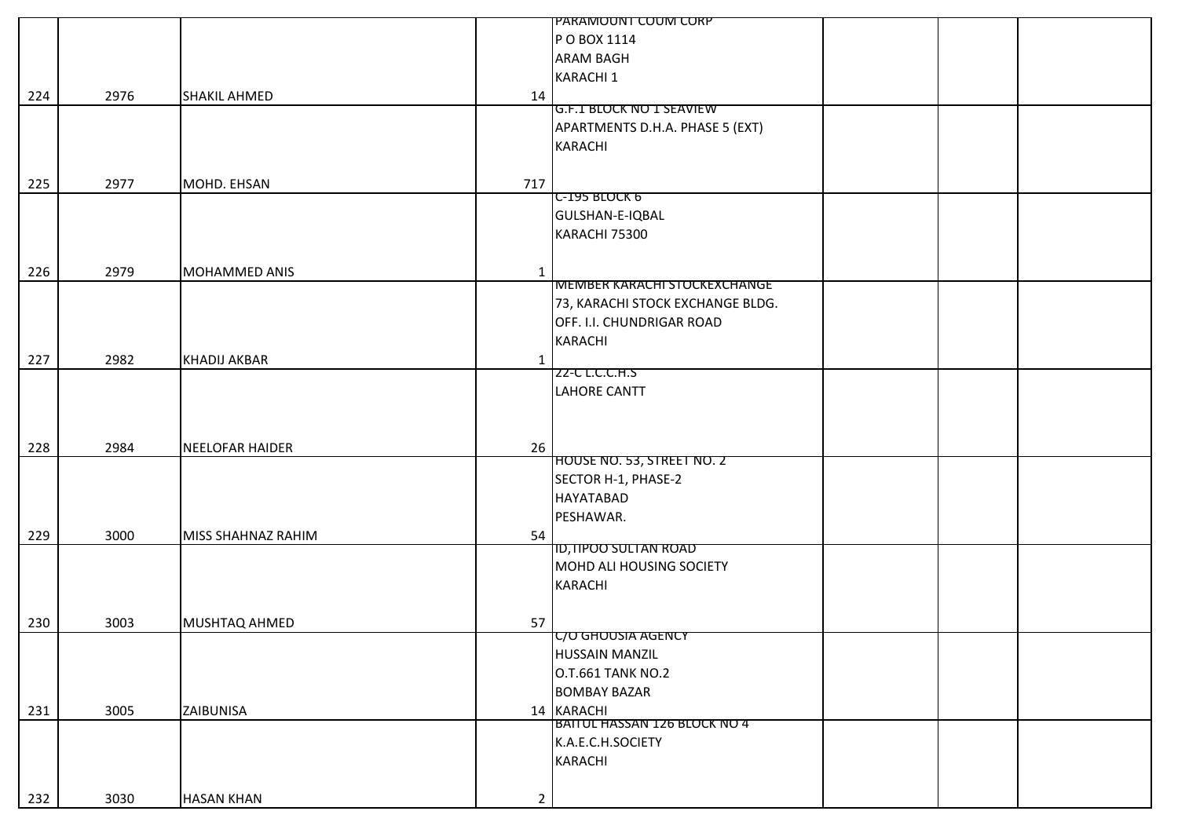|     |      |                        |                | PARAMOUNT COUM CORP                 |  |
|-----|------|------------------------|----------------|-------------------------------------|--|
|     |      |                        |                | P O BOX 1114                        |  |
|     |      |                        |                | <b>ARAM BAGH</b>                    |  |
|     |      |                        |                | <b>KARACHI 1</b>                    |  |
| 224 | 2976 | <b>SHAKIL AHMED</b>    | 14             |                                     |  |
|     |      |                        |                | <b>G.F.1 BLOCK NO 1 SEAVIEW</b>     |  |
|     |      |                        |                | APARTMENTS D.H.A. PHASE 5 (EXT)     |  |
|     |      |                        |                | <b>KARACHI</b>                      |  |
|     |      |                        |                |                                     |  |
| 225 | 2977 | MOHD. EHSAN            | 717            |                                     |  |
|     |      |                        |                | C-195 BLOCK 6                       |  |
|     |      |                        |                | GULSHAN-E-IQBAL                     |  |
|     |      |                        |                | KARACHI 75300                       |  |
|     |      |                        |                |                                     |  |
| 226 | 2979 | MOHAMMED ANIS          | $\mathbf{1}$   |                                     |  |
|     |      |                        |                | <b>MEMBER KARACHI STOCKEXCHANGE</b> |  |
|     |      |                        |                | 73, KARACHI STOCK EXCHANGE BLDG.    |  |
|     |      |                        |                | OFF. I.I. CHUNDRIGAR ROAD           |  |
|     |      |                        |                | <b>KARACHI</b>                      |  |
| 227 | 2982 | <b>KHADIJ AKBAR</b>    | $\mathbf{1}$   |                                     |  |
|     |      |                        |                | <b>ZZ-C L.C.C.H.S</b>               |  |
|     |      |                        |                | <b>LAHORE CANTT</b>                 |  |
|     |      |                        |                |                                     |  |
|     |      |                        |                |                                     |  |
| 228 | 2984 | <b>NEELOFAR HAIDER</b> | 26             |                                     |  |
|     |      |                        |                | HOUSE NO. 53, STREET NO. 2          |  |
|     |      |                        |                | SECTOR H-1, PHASE-2                 |  |
|     |      |                        |                | <b>HAYATABAD</b>                    |  |
|     |      |                        |                | PESHAWAR.                           |  |
| 229 | 3000 | MISS SHAHNAZ RAHIM     | 54             |                                     |  |
|     |      |                        |                | ID, HPOO SULTAN ROAD                |  |
|     |      |                        |                | MOHD ALI HOUSING SOCIETY            |  |
|     |      |                        |                | <b>KARACHI</b>                      |  |
|     |      |                        |                |                                     |  |
| 230 | 3003 | MUSHTAQ AHMED          | 57             |                                     |  |
|     |      |                        |                | <b>C/O GHOUSIA AGENCY</b>           |  |
|     |      |                        |                | <b>HUSSAIN MANZIL</b>               |  |
|     |      |                        |                | <b>O.T.661 TANK NO.2</b>            |  |
|     |      |                        |                | <b>BOMBAY BAZAR</b>                 |  |
| 231 | 3005 | ZAIBUNISA              |                | 14 KARACHI                          |  |
|     |      |                        |                | BAITUL HASSAN 126 BLOCK NO 4        |  |
|     |      |                        |                | K.A.E.C.H.SOCIETY                   |  |
|     |      |                        |                | <b>KARACHI</b>                      |  |
|     |      |                        |                |                                     |  |
|     |      |                        |                |                                     |  |
| 232 | 3030 | <b>HASAN KHAN</b>      | $\overline{2}$ |                                     |  |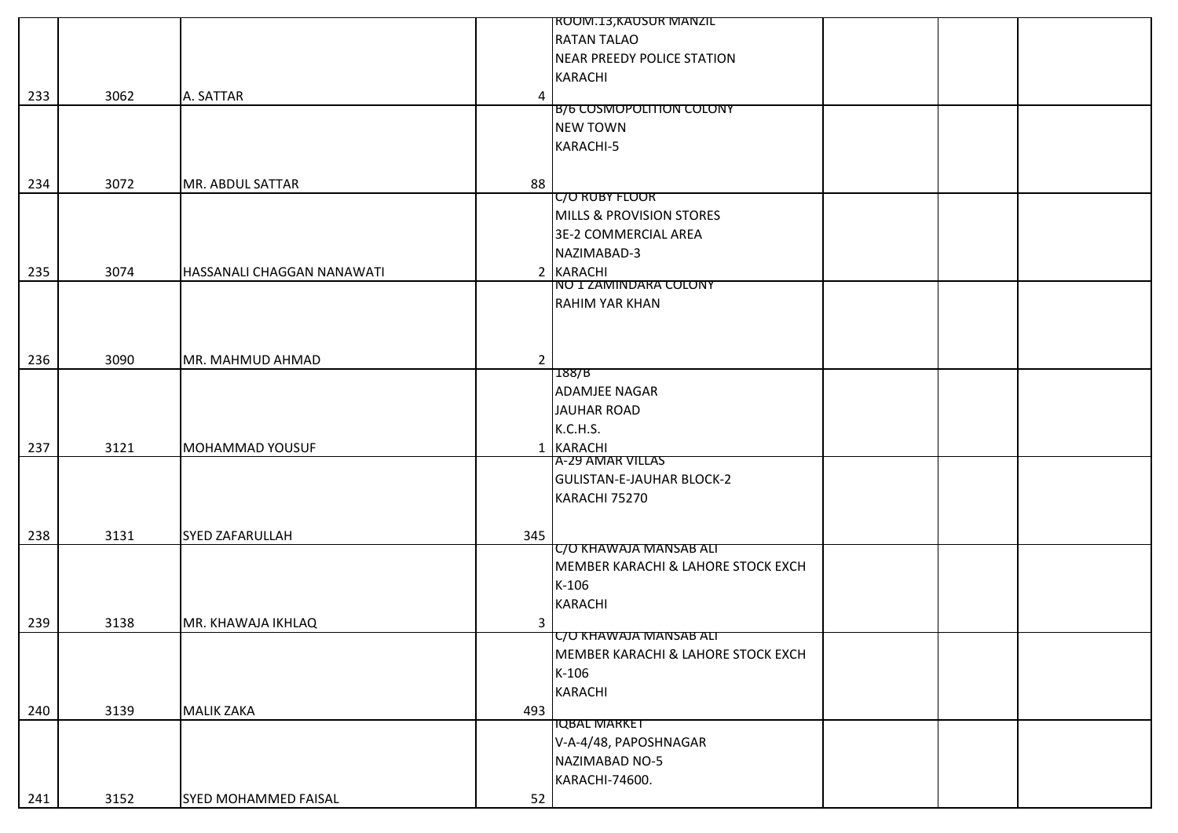|     |      |                            |                | ROOM.13, KAUSUR MANZIL             |  |
|-----|------|----------------------------|----------------|------------------------------------|--|
|     |      |                            |                | <b>RATAN TALAO</b>                 |  |
|     |      |                            |                | <b>NEAR PREEDY POLICE STATION</b>  |  |
|     |      |                            |                | <b>KARACHI</b>                     |  |
| 233 | 3062 | A. SATTAR                  | 4              |                                    |  |
|     |      |                            |                | <b>B/6 COSMOPOLITION COLONY</b>    |  |
|     |      |                            |                | <b>NEW TOWN</b>                    |  |
|     |      |                            |                | KARACHI-5                          |  |
|     |      |                            |                |                                    |  |
| 234 | 3072 | MR. ABDUL SATTAR           | 88             |                                    |  |
|     |      |                            |                | <b>C/O RUBY FLOOR</b>              |  |
|     |      |                            |                | MILLS & PROVISION STORES           |  |
|     |      |                            |                | 3E-2 COMMERCIAL AREA               |  |
|     |      |                            |                | NAZIMABAD-3                        |  |
| 235 | 3074 | HASSANALI CHAGGAN NANAWATI |                | 2 KARACHI                          |  |
|     |      |                            |                | NO 1 ZAMINDARA COLONY              |  |
|     |      |                            |                | <b>RAHIM YAR KHAN</b>              |  |
|     |      |                            |                |                                    |  |
|     |      |                            |                |                                    |  |
| 236 | 3090 | MR. MAHMUD AHMAD           | $\overline{2}$ |                                    |  |
|     |      |                            |                | 188/B                              |  |
|     |      |                            |                | <b>ADAMJEE NAGAR</b>               |  |
|     |      |                            |                | JAUHAR ROAD                        |  |
|     |      |                            |                | K.C.H.S.                           |  |
| 237 | 3121 | MOHAMMAD YOUSUF            |                | 1 KARACHI                          |  |
|     |      |                            |                | A-29 AMAR VILLAS                   |  |
|     |      |                            |                | <b>GULISTAN-E-JAUHAR BLOCK-2</b>   |  |
|     |      |                            |                | KARACHI 75270                      |  |
|     |      |                            |                |                                    |  |
| 238 | 3131 | <b>SYED ZAFARULLAH</b>     | 345            |                                    |  |
|     |      |                            |                | C/O KHAWAJA MANSAB ALI             |  |
|     |      |                            |                | MEMBER KARACHI & LAHORE STOCK EXCH |  |
|     |      |                            |                | $K-106$                            |  |
|     |      |                            |                | <b>KARACHI</b>                     |  |
| 239 | 3138 | MR. KHAWAJA IKHLAQ         | 3              |                                    |  |
|     |      |                            |                | C/O KHAWAJA MANSAB ALI             |  |
|     |      |                            |                | MEMBER KARACHI & LAHORE STOCK EXCH |  |
|     |      |                            |                | $K-106$                            |  |
|     |      |                            |                | KARACHI                            |  |
| 240 | 3139 | <b>MALIK ZAKA</b>          | 493            |                                    |  |
|     |      |                            |                | <b>IQBAL MARKET</b>                |  |
|     |      |                            |                | V-A-4/48, PAPOSHNAGAR              |  |
|     |      |                            |                | NAZIMABAD NO-5                     |  |
|     |      |                            |                | KARACHI-74600.                     |  |
| 241 | 3152 | SYED MOHAMMED FAISAL       | 52             |                                    |  |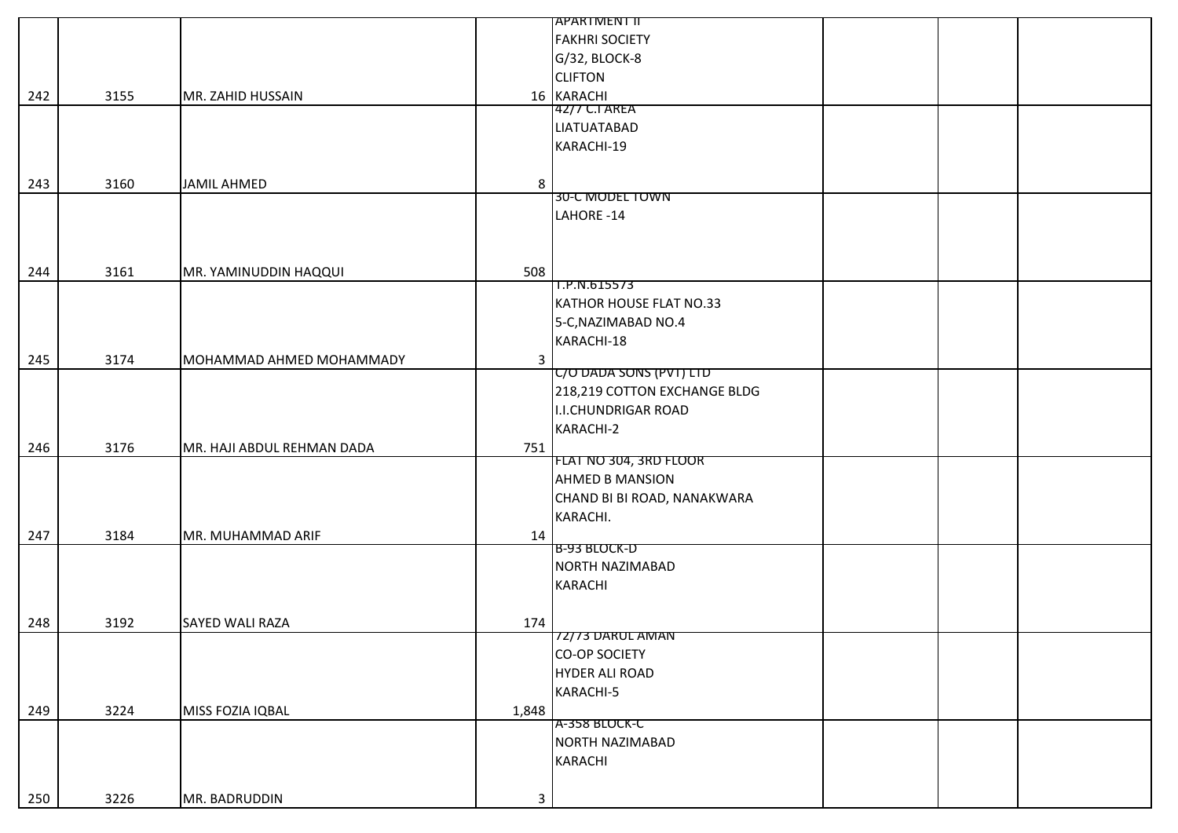|     |      |                            |              | APARTMENT II                 |  |
|-----|------|----------------------------|--------------|------------------------------|--|
|     |      |                            |              | <b>FAKHRI SOCIETY</b>        |  |
|     |      |                            |              | G/32, BLOCK-8                |  |
|     |      |                            |              | <b>CLIFTON</b>               |  |
| 242 | 3155 | MR. ZAHID HUSSAIN          |              | 16 KARACHI                   |  |
|     |      |                            |              | 42/7 C.I AREA                |  |
|     |      |                            |              | <b>LIATUATABAD</b>           |  |
|     |      |                            |              | KARACHI-19                   |  |
|     |      |                            |              |                              |  |
|     |      |                            |              |                              |  |
| 243 | 3160 | <b>JAMIL AHMED</b>         | 8            | 30-C MODEL TOWN              |  |
|     |      |                            |              |                              |  |
|     |      |                            |              | LAHORE -14                   |  |
|     |      |                            |              |                              |  |
|     |      |                            |              |                              |  |
| 244 | 3161 | MR. YAMINUDDIN HAQQUI      | 508          |                              |  |
|     |      |                            |              | 1.P.N.615573                 |  |
|     |      |                            |              | KATHOR HOUSE FLAT NO.33      |  |
|     |      |                            |              | 5-C, NAZIMABAD NO.4          |  |
|     |      |                            |              | KARACHI-18                   |  |
| 245 | 3174 | MOHAMMAD AHMED MOHAMMADY   | $\mathbf{3}$ |                              |  |
|     |      |                            |              | C/O DADA SONS (PVT) LTD      |  |
|     |      |                            |              | 218,219 COTTON EXCHANGE BLDG |  |
|     |      |                            |              | <b>I.I.CHUNDRIGAR ROAD</b>   |  |
|     |      |                            |              | KARACHI-2                    |  |
| 246 | 3176 | MR. HAJI ABDUL REHMAN DADA | 751          |                              |  |
|     |      |                            |              | FLAT NO 304, 3RD FLOOR       |  |
|     |      |                            |              | <b>AHMED B MANSION</b>       |  |
|     |      |                            |              | CHAND BI BI ROAD, NANAKWARA  |  |
|     |      |                            |              | KARACHI.                     |  |
| 247 | 3184 | MR. MUHAMMAD ARIF          | 14           |                              |  |
|     |      |                            |              | <b>B-93 BLOCK-D</b>          |  |
|     |      |                            |              | NORTH NAZIMABAD              |  |
|     |      |                            |              | <b>KARACHI</b>               |  |
|     |      |                            |              |                              |  |
|     |      | <b>SAYED WALI RAZA</b>     |              |                              |  |
| 248 | 3192 |                            | 174          | 72/73 DARUL AMAN             |  |
|     |      |                            |              | <b>CO-OP SOCIETY</b>         |  |
|     |      |                            |              | <b>HYDER ALI ROAD</b>        |  |
|     |      |                            |              |                              |  |
|     |      |                            |              | KARACHI-5                    |  |
| 249 | 3224 | MISS FOZIA IQBAL           | 1,848        | A-358 BLOCK-C                |  |
|     |      |                            |              | NORTH NAZIMABAD              |  |
|     |      |                            |              |                              |  |
|     |      |                            |              | <b>KARACHI</b>               |  |
|     |      |                            |              |                              |  |
| 250 | 3226 | MR. BADRUDDIN              | 3            |                              |  |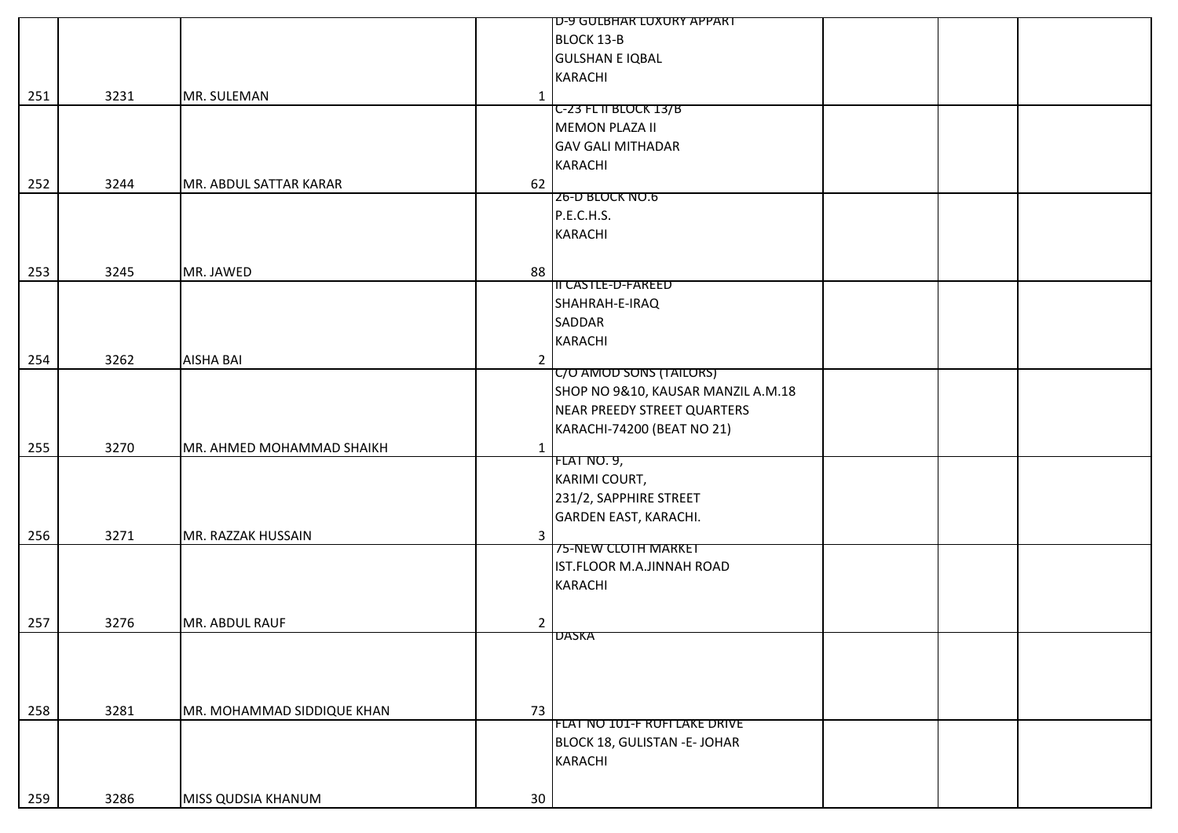|     |      |                            |                | ID-9 GULBHAR LUXURY APPART         |  |
|-----|------|----------------------------|----------------|------------------------------------|--|
|     |      |                            |                | <b>BLOCK 13-B</b>                  |  |
|     |      |                            |                | <b>GULSHAN E IQBAL</b>             |  |
|     |      |                            |                | KARACHI                            |  |
| 251 | 3231 | MR. SULEMAN                | $\mathbf{1}$   |                                    |  |
|     |      |                            |                | C-23 FL II BLOCK 13/B              |  |
|     |      |                            |                | <b>MEMON PLAZA II</b>              |  |
|     |      |                            |                | <b>GAV GALI MITHADAR</b>           |  |
|     |      |                            |                | <b>KARACHI</b>                     |  |
| 252 | 3244 | MR. ABDUL SATTAR KARAR     | 62             |                                    |  |
|     |      |                            |                | <b>Z6-D BLOCK NO.6</b>             |  |
|     |      |                            |                | P.E.C.H.S.                         |  |
|     |      |                            |                | <b>KARACHI</b>                     |  |
|     |      |                            |                |                                    |  |
|     |      |                            |                |                                    |  |
| 253 | 3245 | MR. JAWED                  | 88             | II CASTLE-D-FAREED                 |  |
|     |      |                            |                | SHAHRAH-E-IRAQ                     |  |
|     |      |                            |                | SADDAR                             |  |
|     |      |                            |                |                                    |  |
|     |      |                            |                | <b>KARACHI</b>                     |  |
| 254 | 3262 | <b>AISHA BAI</b>           | $\overline{2}$ | C/O AMOD SONS (TAILORS)            |  |
|     |      |                            |                |                                    |  |
|     |      |                            |                | SHOP NO 9&10, KAUSAR MANZIL A.M.18 |  |
|     |      |                            |                | NEAR PREEDY STREET QUARTERS        |  |
|     |      |                            |                | KARACHI-74200 (BEAT NO 21)         |  |
| 255 | 3270 | MR. AHMED MOHAMMAD SHAIKH  | $\mathbf{1}$   |                                    |  |
|     |      |                            |                | <b>FLAT NO. 9,</b>                 |  |
|     |      |                            |                | KARIMI COURT,                      |  |
|     |      |                            |                | 231/2, SAPPHIRE STREET             |  |
|     |      |                            |                | <b>GARDEN EAST, KARACHI.</b>       |  |
| 256 | 3271 | MR. RAZZAK HUSSAIN         | $\mathbf{3}$   |                                    |  |
|     |      |                            |                | 75-NEW CLOTH MARKET                |  |
|     |      |                            |                | IST.FLOOR M.A.JINNAH ROAD          |  |
|     |      |                            |                | <b>KARACHI</b>                     |  |
|     |      |                            |                |                                    |  |
| 257 | 3276 | MR. ABDUL RAUF             | $\overline{2}$ |                                    |  |
|     |      |                            |                | <b>DASKA</b>                       |  |
|     |      |                            |                |                                    |  |
|     |      |                            |                |                                    |  |
|     |      |                            |                |                                    |  |
| 258 | 3281 | MR. MOHAMMAD SIDDIQUE KHAN | 73             |                                    |  |
|     |      |                            |                | FLAT NO 101-F RUFI LAKE DRIVE      |  |
|     |      |                            |                | BLOCK 18, GULISTAN - E- JOHAR      |  |
|     |      |                            |                | KARACHI                            |  |
|     |      |                            |                |                                    |  |
| 259 | 3286 | MISS QUDSIA KHANUM         | 30             |                                    |  |
|     |      |                            |                |                                    |  |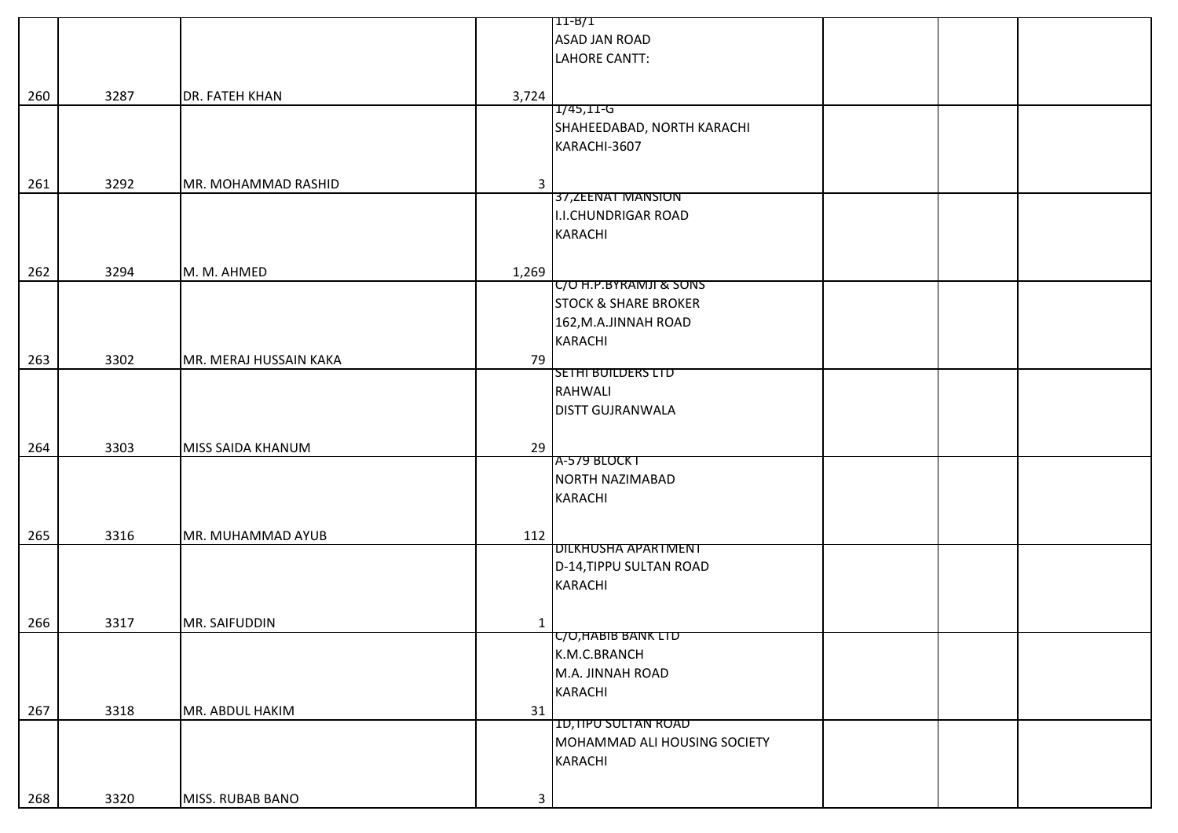|     |      |                        |              | [11-B/1                         |  |  |
|-----|------|------------------------|--------------|---------------------------------|--|--|
|     |      |                        |              | ASAD JAN ROAD                   |  |  |
|     |      |                        |              |                                 |  |  |
|     |      |                        |              | LAHORE CANTT:                   |  |  |
|     |      |                        |              |                                 |  |  |
| 260 | 3287 | <b>DR. FATEH KHAN</b>  | 3,724        |                                 |  |  |
|     |      |                        |              | $1/45, 11-G$                    |  |  |
|     |      |                        |              | SHAHEEDABAD, NORTH KARACHI      |  |  |
|     |      |                        |              | KARACHI-3607                    |  |  |
|     |      |                        |              |                                 |  |  |
|     |      |                        |              |                                 |  |  |
| 261 | 3292 | MR. MOHAMMAD RASHID    | $\mathbf{3}$ |                                 |  |  |
|     |      |                        |              | 37, ZEENAT MANSION              |  |  |
|     |      |                        |              | <b>I.I.CHUNDRIGAR ROAD</b>      |  |  |
|     |      |                        |              | <b>KARACHI</b>                  |  |  |
|     |      |                        |              |                                 |  |  |
|     |      |                        |              |                                 |  |  |
| 262 | 3294 | M. M. AHMED            | 1,269        |                                 |  |  |
|     |      |                        |              | C/O H.P.BYRAMJI & SONS          |  |  |
|     |      |                        |              | <b>STOCK &amp; SHARE BROKER</b> |  |  |
|     |      |                        |              | 162, M.A.JINNAH ROAD            |  |  |
|     |      |                        |              | <b>KARACHI</b>                  |  |  |
| 263 | 3302 | MR. MERAJ HUSSAIN KAKA | 79           |                                 |  |  |
|     |      |                        |              | SETHI BUILDERS LTD              |  |  |
|     |      |                        |              |                                 |  |  |
|     |      |                        |              | <b>RAHWALI</b>                  |  |  |
|     |      |                        |              | <b>DISTT GUJRANWALA</b>         |  |  |
|     |      |                        |              |                                 |  |  |
| 264 | 3303 | MISS SAIDA KHANUM      | 29           |                                 |  |  |
|     |      |                        |              | A-579 BLOCK T                   |  |  |
|     |      |                        |              | NORTH NAZIMABAD                 |  |  |
|     |      |                        |              | <b>KARACHI</b>                  |  |  |
|     |      |                        |              |                                 |  |  |
|     |      |                        |              |                                 |  |  |
| 265 | 3316 | MR. MUHAMMAD AYUB      | 112          |                                 |  |  |
|     |      |                        |              | <b>DILKHUSHA APARTMENT</b>      |  |  |
|     |      |                        |              | D-14, TIPPU SULTAN ROAD         |  |  |
|     |      |                        |              | <b>KARACHI</b>                  |  |  |
|     |      |                        |              |                                 |  |  |
|     |      |                        |              |                                 |  |  |
| 266 | 3317 | MR. SAIFUDDIN          | $\mathbf{1}$ |                                 |  |  |
|     |      |                        |              | C/O, HABIB BANK LID             |  |  |
|     |      |                        |              | K.M.C.BRANCH                    |  |  |
|     |      |                        |              | M.A. JINNAH ROAD                |  |  |
|     |      |                        |              | <b>KARACHI</b>                  |  |  |
| 267 | 3318 | MR. ABDUL HAKIM        | 31           |                                 |  |  |
|     |      |                        |              | <b>ID, IIPU SULTAN ROAD</b>     |  |  |
|     |      |                        |              | MOHAMMAD ALI HOUSING SOCIETY    |  |  |
|     |      |                        |              |                                 |  |  |
|     |      |                        |              | KARACHI                         |  |  |
|     |      |                        |              |                                 |  |  |
| 268 | 3320 | MISS. RUBAB BANO       | $\mathbf{3}$ |                                 |  |  |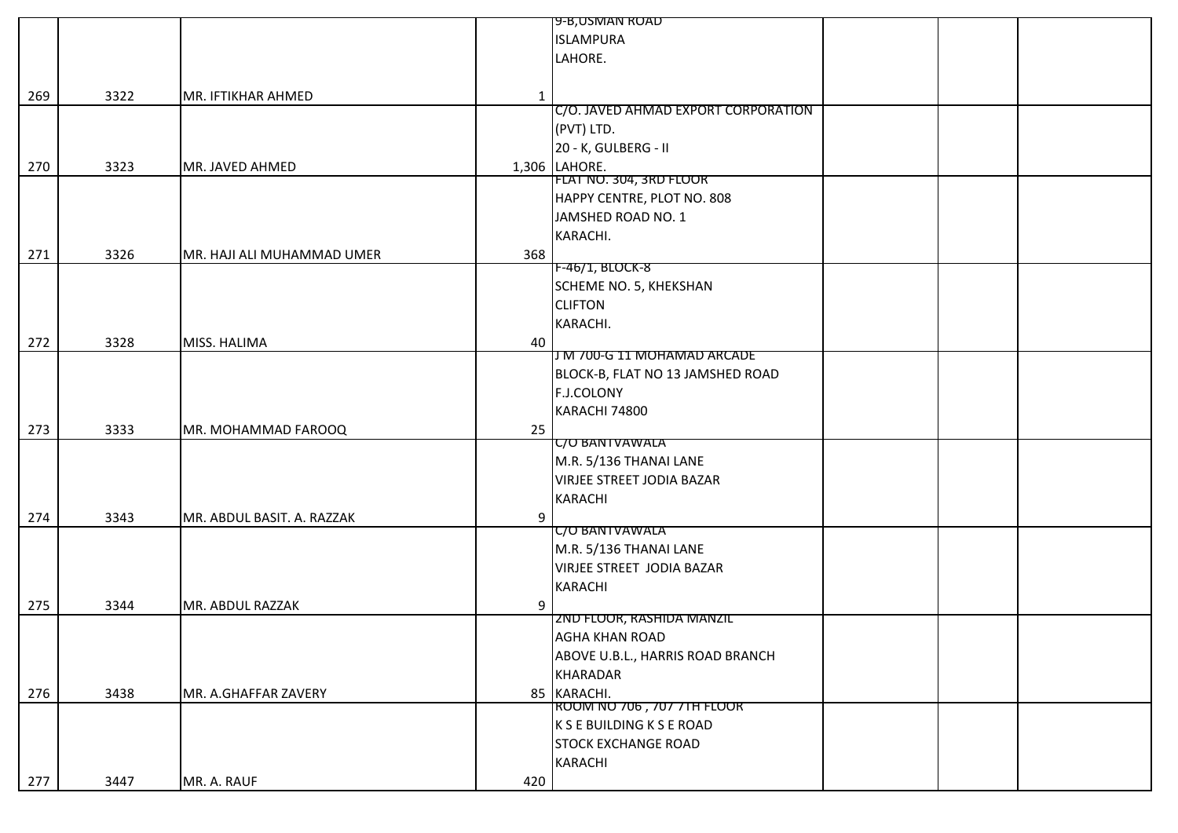|     |      |                            |     | 9-B,USMAN ROAD                      |  |
|-----|------|----------------------------|-----|-------------------------------------|--|
|     |      |                            |     | <b>ISLAMPURA</b>                    |  |
|     |      |                            |     | LAHORE.                             |  |
|     |      |                            |     |                                     |  |
| 269 | 3322 | MR. IFTIKHAR AHMED         | 1   |                                     |  |
|     |      |                            |     | C/O. JAVED AHMAD EXPORT CORPORATION |  |
|     |      |                            |     | (PVT) LTD.                          |  |
|     |      |                            |     | 20 - K, GULBERG - II                |  |
| 270 | 3323 | MR. JAVED AHMED            |     | 1,306 LAHORE.                       |  |
|     |      |                            |     | FLAT NO. 304, 3RD FLOOR             |  |
|     |      |                            |     | HAPPY CENTRE, PLOT NO. 808          |  |
|     |      |                            |     | JAMSHED ROAD NO. 1                  |  |
|     |      |                            |     | KARACHI.                            |  |
| 271 | 3326 | MR. HAJI ALI MUHAMMAD UMER | 368 |                                     |  |
|     |      |                            |     | F-46/1, BLOCK-8                     |  |
|     |      |                            |     | SCHEME NO. 5, KHEKSHAN              |  |
|     |      |                            |     | <b>CLIFTON</b>                      |  |
|     |      |                            |     | KARACHI.                            |  |
|     |      |                            |     |                                     |  |
| 272 | 3328 | MISS. HALIMA               | 40  | J M 700-G 11 MOHAMAD ARCADE         |  |
|     |      |                            |     | BLOCK-B, FLAT NO 13 JAMSHED ROAD    |  |
|     |      |                            |     | <b>F.J.COLONY</b>                   |  |
|     |      |                            |     |                                     |  |
|     |      |                            |     | KARACHI 74800                       |  |
| 273 | 3333 | MR. MOHAMMAD FAROOQ        | 25  | <b>C/O BANTVAWALA</b>               |  |
|     |      |                            |     | M.R. 5/136 THANAI LANE              |  |
|     |      |                            |     |                                     |  |
|     |      |                            |     | <b>VIRJEE STREET JODIA BAZAR</b>    |  |
|     |      |                            |     | <b>KARACHI</b>                      |  |
| 274 | 3343 | MR. ABDUL BASIT. A. RAZZAK | 9   | <b>C/O BANTVAWALA</b>               |  |
|     |      |                            |     |                                     |  |
|     |      |                            |     | M.R. 5/136 THANAI LANE              |  |
|     |      |                            |     | <b>VIRJEE STREET JODIA BAZAR</b>    |  |
|     |      |                            |     | <b>KARACHI</b>                      |  |
| 275 | 3344 | MR. ABDUL RAZZAK           | 9   | ZND FLOOR, RASHIDA MANZIL           |  |
|     |      |                            |     |                                     |  |
|     |      |                            |     | <b>AGHA KHAN ROAD</b>               |  |
|     |      |                            |     | ABOVE U.B.L., HARRIS ROAD BRANCH    |  |
|     |      |                            |     | <b>KHARADAR</b>                     |  |
| 276 | 3438 | MR. A.GHAFFAR ZAVERY       |     | 85 KARACHI.                         |  |
|     |      |                            |     | ROOM NO 706, 707 7TH FLOOR          |  |
|     |      |                            |     | K S E BUILDING K S E ROAD           |  |
|     |      |                            |     | <b>STOCK EXCHANGE ROAD</b>          |  |
|     |      |                            |     | KARACHI                             |  |
| 277 | 3447 | MR. A. RAUF                | 420 |                                     |  |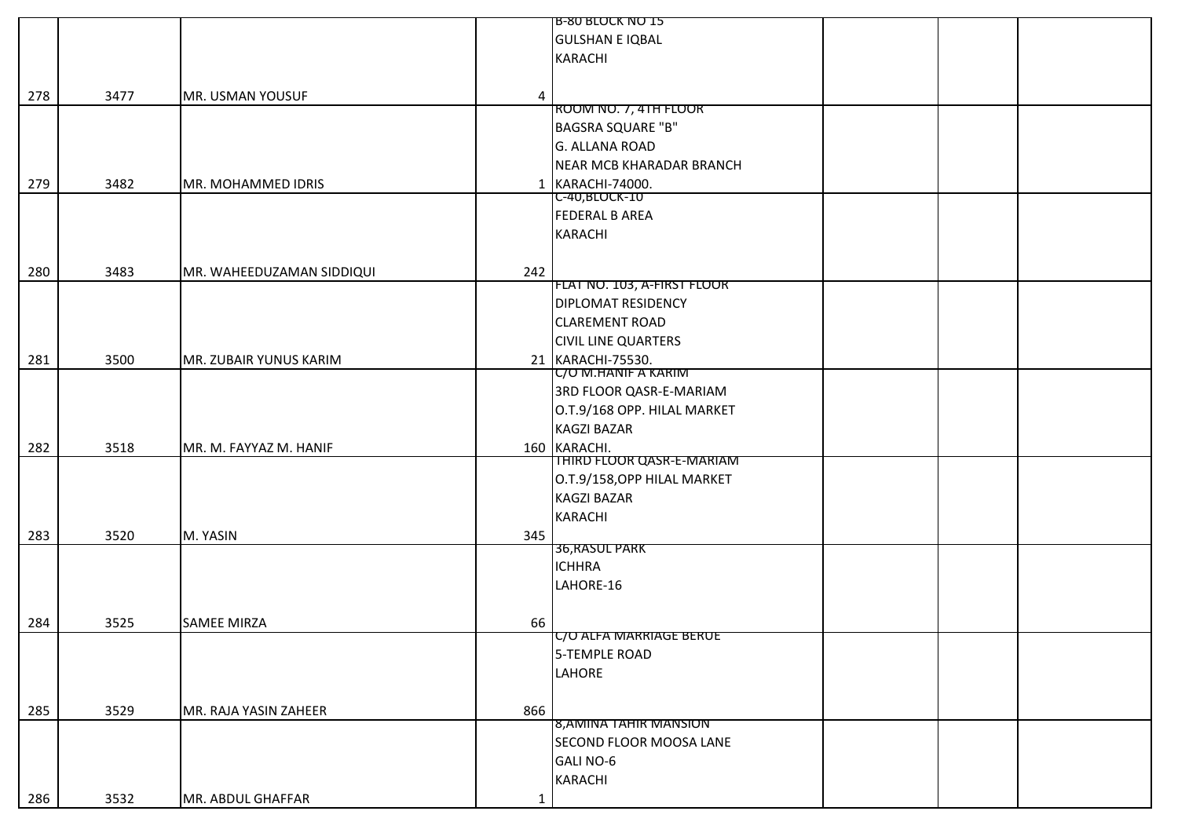|     |      |                           |             | <b>B-80 BLOCK NO 15</b>     |  |
|-----|------|---------------------------|-------------|-----------------------------|--|
|     |      |                           |             | <b>GULSHAN E IQBAL</b>      |  |
|     |      |                           |             | <b>KARACHI</b>              |  |
|     |      |                           |             |                             |  |
| 278 | 3477 | MR. USMAN YOUSUF          | 4           |                             |  |
|     |      |                           |             | ROOM NO. 7, 4TH FLOOR       |  |
|     |      |                           |             | BAGSRA SQUARE "B"           |  |
|     |      |                           |             | <b>G. ALLANA ROAD</b>       |  |
|     |      |                           |             | NEAR MCB KHARADAR BRANCH    |  |
| 279 | 3482 | MR. MOHAMMED IDRIS        |             | 1 KARACHI-74000.            |  |
|     |      |                           |             | <u>C-40,BLOCK-IU</u>        |  |
|     |      |                           |             | <b>FEDERAL B AREA</b>       |  |
|     |      |                           |             | <b>KARACHI</b>              |  |
|     |      |                           |             |                             |  |
|     |      |                           |             |                             |  |
| 280 | 3483 | MR. WAHEEDUZAMAN SIDDIQUI | 242         | FLAT NO. 103, A-FIRST FLOOR |  |
|     |      |                           |             | <b>DIPLOMAT RESIDENCY</b>   |  |
|     |      |                           |             | <b>CLAREMENT ROAD</b>       |  |
|     |      |                           |             |                             |  |
|     |      |                           |             | <b>CIVIL LINE QUARTERS</b>  |  |
| 281 | 3500 | MR. ZUBAIR YUNUS KARIM    |             | 21 KARACHI-75530.           |  |
|     |      |                           |             | <b>C/O M.HANIF A KARIM</b>  |  |
|     |      |                           |             | 3RD FLOOR QASR-E-MARIAM     |  |
|     |      |                           |             | O.T.9/168 OPP. HILAL MARKET |  |
|     |      |                           |             | <b>KAGZI BAZAR</b>          |  |
| 282 | 3518 | MR. M. FAYYAZ M. HANIF    |             | 160 KARACHI.                |  |
|     |      |                           |             | THIRD FLOOR QASR-E-MARIAM   |  |
|     |      |                           |             | O.T.9/158, OPP HILAL MARKET |  |
|     |      |                           |             | <b>KAGZI BAZAR</b>          |  |
|     |      |                           |             | <b>KARACHI</b>              |  |
| 283 | 3520 | M. YASIN                  | 345         |                             |  |
|     |      |                           |             | 36, RASUL PARK              |  |
|     |      |                           |             | <b>ICHHRA</b>               |  |
|     |      |                           |             | LAHORE-16                   |  |
|     |      |                           |             |                             |  |
| 284 | 3525 | <b>SAMEE MIRZA</b>        | 66          |                             |  |
|     |      |                           |             | C/O ALFA MARRIAGE BERUE     |  |
|     |      |                           |             | 5-TEMPLE ROAD               |  |
|     |      |                           |             | LAHORE                      |  |
|     |      |                           |             |                             |  |
| 285 | 3529 | MR. RAJA YASIN ZAHEER     | 866         |                             |  |
|     |      |                           |             | 8,AMINA TAHIR MANSION       |  |
|     |      |                           |             | SECOND FLOOR MOOSA LANE     |  |
|     |      |                           |             | <b>GALI NO-6</b>            |  |
|     |      |                           |             | <b>KARACHI</b>              |  |
|     |      |                           |             |                             |  |
| 286 | 3532 | MR. ABDUL GHAFFAR         | $\mathbf 1$ |                             |  |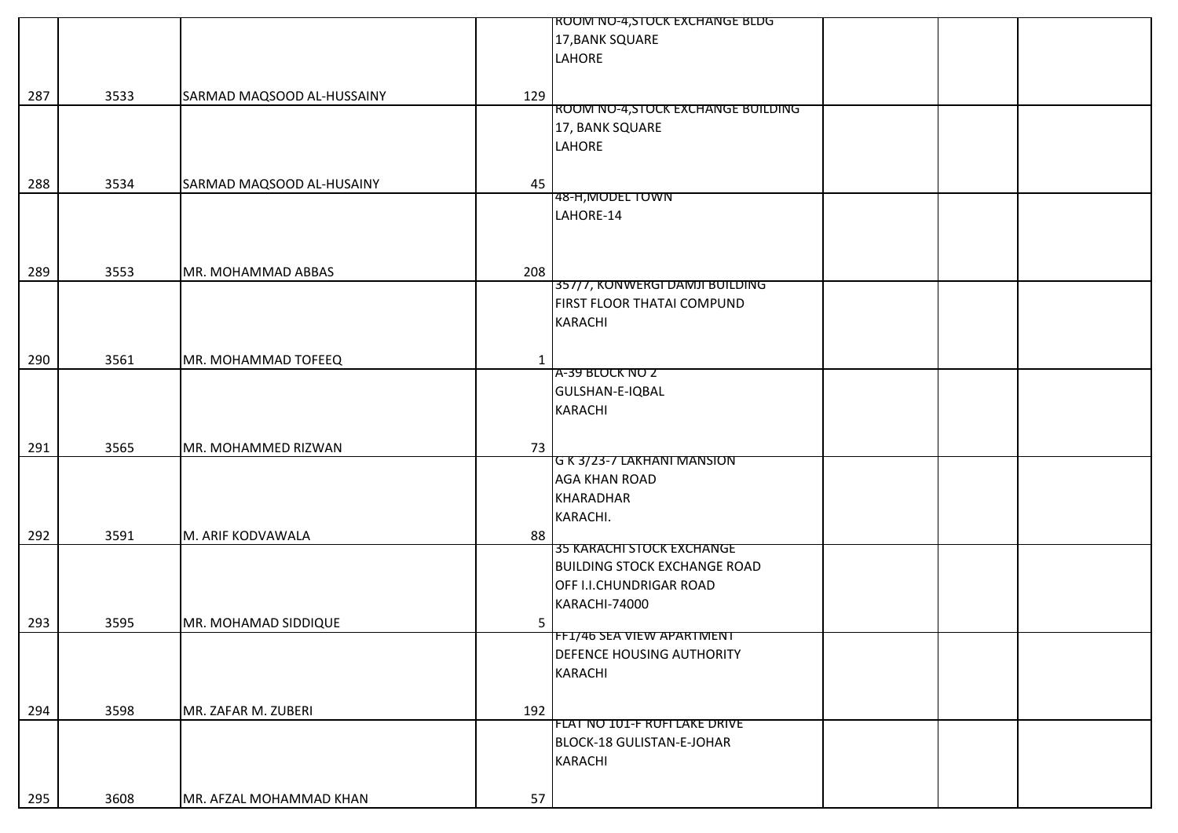|     |      |                            | ROOM NO-4,STOCK EXCHANGE BLDG         |
|-----|------|----------------------------|---------------------------------------|
|     |      |                            | 17, BANK SQUARE                       |
|     |      |                            | LAHORE                                |
|     |      |                            |                                       |
|     |      |                            |                                       |
| 287 | 3533 | SARMAD MAQSOOD AL-HUSSAINY | 129                                   |
|     |      |                            | ROOM NO-4, STOCK EXCHANGE BUILDING    |
|     |      |                            | 17, BANK SQUARE                       |
|     |      |                            | LAHORE                                |
|     |      |                            |                                       |
| 288 | 3534 | SARMAD MAQSOOD AL-HUSAINY  | 45                                    |
|     |      |                            | 48-H, MODEL TOWN                      |
|     |      |                            | LAHORE-14                             |
|     |      |                            |                                       |
|     |      |                            |                                       |
|     |      |                            |                                       |
| 289 | 3553 | MR. MOHAMMAD ABBAS         | 208<br>357/7, KONWERGI DAMJI BUILDING |
|     |      |                            |                                       |
|     |      |                            | FIRST FLOOR THATAI COMPUND            |
|     |      |                            | <b>KARACHI</b>                        |
|     |      |                            |                                       |
| 290 | 3561 | MR. MOHAMMAD TOFEEQ        | $\mathbf{1}$                          |
|     |      |                            | A-39 BLOCK NO Z                       |
|     |      |                            | GULSHAN-E-IQBAL                       |
|     |      |                            | <b>KARACHI</b>                        |
|     |      |                            |                                       |
|     |      |                            |                                       |
| 291 | 3565 | MR. MOHAMMED RIZWAN        | 73<br>G K 3/23-7 LAKHANI MANSION      |
|     |      |                            | <b>AGA KHAN ROAD</b>                  |
|     |      |                            |                                       |
|     |      |                            | <b>KHARADHAR</b>                      |
|     |      |                            | KARACHI.                              |
| 292 | 3591 | M. ARIF KODVAWALA          | 88                                    |
|     |      |                            | 35 KARACHI STOCK EXCHANGE             |
|     |      |                            | <b>BUILDING STOCK EXCHANGE ROAD</b>   |
|     |      |                            | OFF I.I.CHUNDRIGAR ROAD               |
|     |      |                            | KARACHI-74000                         |
| 293 | 3595 | MR. MOHAMAD SIDDIQUE       |                                       |
|     |      |                            | 5<br>FF1/46 SEA VIEW APARTMENT        |
|     |      |                            | DEFENCE HOUSING AUTHORITY             |
|     |      |                            |                                       |
|     |      |                            | <b>KARACHI</b>                        |
|     |      |                            |                                       |
| 294 | 3598 | MR. ZAFAR M. ZUBERI        | 192                                   |
|     |      |                            | FLAT NO 101-F RUFI LAKE DRIVE         |
|     |      |                            | BLOCK-18 GULISTAN-E-JOHAR             |
|     |      |                            | <b>KARACHI</b>                        |
|     |      |                            |                                       |
| 295 | 3608 | MR. AFZAL MOHAMMAD KHAN    | 57                                    |
|     |      |                            |                                       |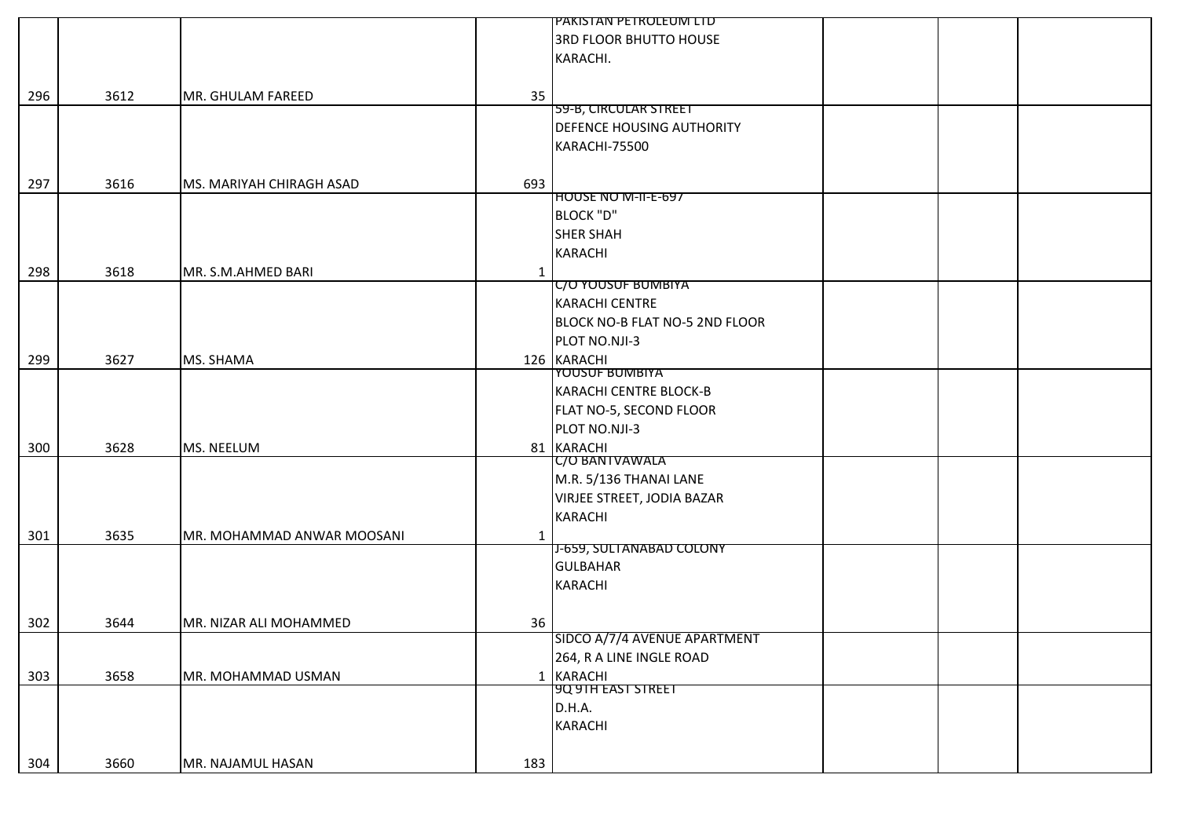|     |      |                            |              | PAKISTAN PETROLEUM LTD         |  |
|-----|------|----------------------------|--------------|--------------------------------|--|
|     |      |                            |              | <b>3RD FLOOR BHUTTO HOUSE</b>  |  |
|     |      |                            |              | KARACHI.                       |  |
|     |      |                            |              |                                |  |
| 296 | 3612 | MR. GHULAM FAREED          | 35           |                                |  |
|     |      |                            |              | 59-B, CIRCULAR STREET          |  |
|     |      |                            |              | DEFENCE HOUSING AUTHORITY      |  |
|     |      |                            |              | KARACHI-75500                  |  |
|     |      |                            |              |                                |  |
|     |      |                            |              |                                |  |
| 297 | 3616 | MS. MARIYAH CHIRAGH ASAD   | 693          | HOUSE NO M-II-E-697            |  |
|     |      |                            |              | <b>BLOCK "D"</b>               |  |
|     |      |                            |              |                                |  |
|     |      |                            |              | <b>SHER SHAH</b>               |  |
|     |      |                            |              | <b>KARACHI</b>                 |  |
| 298 | 3618 | MR. S.M.AHMED BARI         | $\mathbf{1}$ |                                |  |
|     |      |                            |              | <b>C/O YOUSUF BUMBIYA</b>      |  |
|     |      |                            |              | <b>KARACHI CENTRE</b>          |  |
|     |      |                            |              | BLOCK NO-B FLAT NO-5 2ND FLOOR |  |
|     |      |                            |              | PLOT NO.NJI-3                  |  |
| 299 | 3627 | MS. SHAMA                  |              | 126 KARACHI                    |  |
|     |      |                            |              | <b>YOUSUF BUMBIYA</b>          |  |
|     |      |                            |              | KARACHI CENTRE BLOCK-B         |  |
|     |      |                            |              | FLAT NO-5, SECOND FLOOR        |  |
|     |      |                            |              | PLOT NO.NJI-3                  |  |
| 300 | 3628 | MS. NEELUM                 |              | 81 KARACHI                     |  |
|     |      |                            |              | C/O BANTVAWALA                 |  |
|     |      |                            |              | M.R. 5/136 THANAI LANE         |  |
|     |      |                            |              | VIRJEE STREET, JODIA BAZAR     |  |
|     |      |                            |              | <b>KARACHI</b>                 |  |
| 301 | 3635 | MR. MOHAMMAD ANWAR MOOSANI | 1            |                                |  |
|     |      |                            |              | J-659, SULTANABAD COLONY       |  |
|     |      |                            |              | <b>GULBAHAR</b>                |  |
|     |      |                            |              | <b>KARACHI</b>                 |  |
|     |      |                            |              |                                |  |
|     |      |                            |              |                                |  |
| 302 | 3644 | MR. NIZAR ALI MOHAMMED     | 36           | SIDCO A/7/4 AVENUE APARTMENT   |  |
|     |      |                            |              |                                |  |
|     |      |                            |              | 264, R A LINE INGLE ROAD       |  |
| 303 | 3658 | MR. MOHAMMAD USMAN         |              | 1 KARACHI                      |  |
|     |      |                            |              | <b>9Q 9TH EAST STREET</b>      |  |
|     |      |                            |              | D.H.A.                         |  |
|     |      |                            |              | <b>KARACHI</b>                 |  |
|     |      |                            |              |                                |  |
| 304 | 3660 | MR. NAJAMUL HASAN          | 183          |                                |  |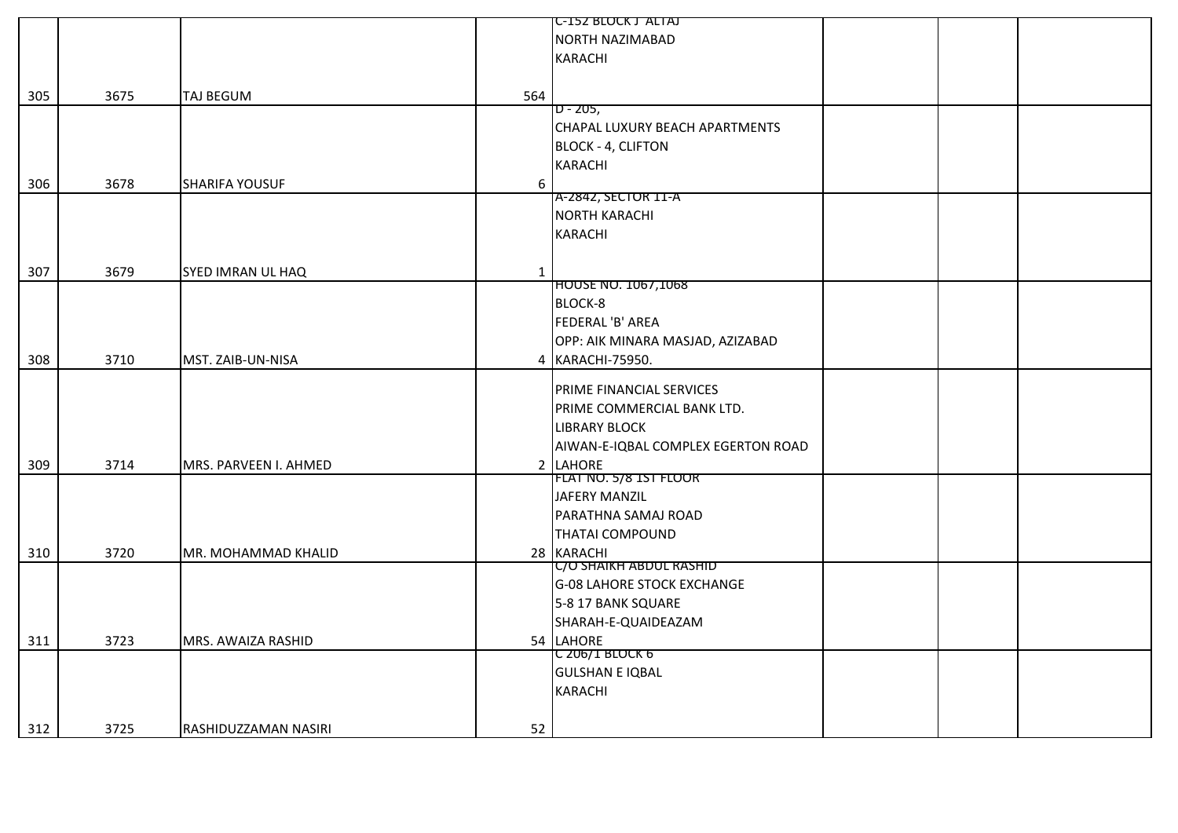|     |      |                       |              | <b>C-152 BLOCK J ALIAJ</b>         |  |  |
|-----|------|-----------------------|--------------|------------------------------------|--|--|
|     |      |                       |              | <b>NORTH NAZIMABAD</b>             |  |  |
|     |      |                       |              | <b>KARACHI</b>                     |  |  |
|     |      |                       |              |                                    |  |  |
| 305 | 3675 | <b>TAJ BEGUM</b>      | 564          |                                    |  |  |
|     |      |                       |              | $D - 205,$                         |  |  |
|     |      |                       |              | CHAPAL LUXURY BEACH APARTMENTS     |  |  |
|     |      |                       |              | <b>BLOCK - 4, CLIFTON</b>          |  |  |
|     |      |                       |              | <b>KARACHI</b>                     |  |  |
| 306 | 3678 | <b>SHARIFA YOUSUF</b> | 6            |                                    |  |  |
|     |      |                       |              | A-2842, SECTOR 11-A                |  |  |
|     |      |                       |              | <b>NORTH KARACHI</b>               |  |  |
|     |      |                       |              | <b>KARACHI</b>                     |  |  |
|     |      |                       |              |                                    |  |  |
| 307 | 3679 | SYED IMRAN UL HAQ     | $\mathbf{1}$ |                                    |  |  |
|     |      |                       |              | <b>HOUSE NO. 1067,1068</b>         |  |  |
|     |      |                       |              | BLOCK-8                            |  |  |
|     |      |                       |              | FEDERAL 'B' AREA                   |  |  |
|     |      |                       |              | OPP: AIK MINARA MASJAD, AZIZABAD   |  |  |
| 308 | 3710 | MST. ZAIB-UN-NISA     |              | 4 KARACHI-75950.                   |  |  |
|     |      |                       |              |                                    |  |  |
|     |      |                       |              | <b>PRIME FINANCIAL SERVICES</b>    |  |  |
|     |      |                       |              | PRIME COMMERCIAL BANK LTD.         |  |  |
|     |      |                       |              | <b>LIBRARY BLOCK</b>               |  |  |
|     |      |                       |              | AIWAN-E-IQBAL COMPLEX EGERTON ROAD |  |  |
| 309 | 3714 | MRS. PARVEEN I. AHMED |              | 2 LAHORE                           |  |  |
|     |      |                       |              | FLAT NO. 5/8 1ST FLOOR             |  |  |
|     |      |                       |              | JAFERY MANZIL                      |  |  |
|     |      |                       |              | PARATHNA SAMAJ ROAD                |  |  |
|     |      |                       |              | <b>THATAI COMPOUND</b>             |  |  |
| 310 | 3720 | MR. MOHAMMAD KHALID   |              | 28 KARACHI                         |  |  |
|     |      |                       |              | C/O SHAIKH ABDUL RASHID            |  |  |
|     |      |                       |              | <b>G-08 LAHORE STOCK EXCHANGE</b>  |  |  |
|     |      |                       |              | 5-8 17 BANK SQUARE                 |  |  |
|     |      |                       |              | SHARAH-E-QUAIDEAZAM                |  |  |
| 311 | 3723 | MRS. AWAIZA RASHID    |              | 54 LAHORE                          |  |  |
|     |      |                       |              | C 206/I BLOCK 6                    |  |  |
|     |      |                       |              | <b>GULSHAN E IQBAL</b>             |  |  |
|     |      |                       |              | <b>KARACHI</b>                     |  |  |
|     |      |                       |              |                                    |  |  |
|     |      |                       |              |                                    |  |  |
| 312 | 3725 | RASHIDUZZAMAN NASIRI  | 52           |                                    |  |  |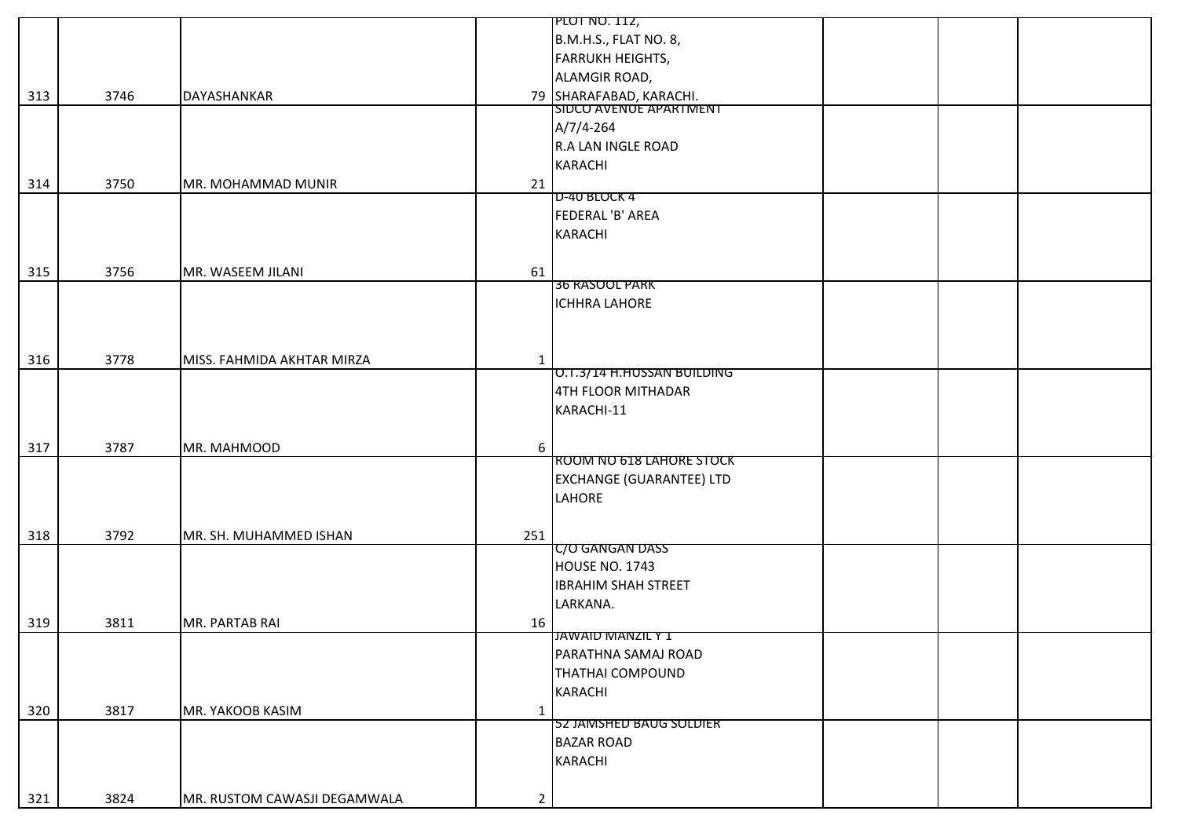|     |      |                              |                | <b>PLOT NO. 112,</b>                              |  |
|-----|------|------------------------------|----------------|---------------------------------------------------|--|
|     |      |                              |                | B.M.H.S., FLAT NO. 8,                             |  |
|     |      |                              |                | <b>FARRUKH HEIGHTS,</b>                           |  |
|     |      |                              |                | ALAMGIR ROAD,                                     |  |
| 313 | 3746 | DAYASHANKAR                  |                |                                                   |  |
|     |      |                              |                | 79 SHARAFABAD, KARACHI.<br>SIDCO AVENUE APARTMENT |  |
|     |      |                              |                | $A/7/4-264$                                       |  |
|     |      |                              |                | R.A LAN INGLE ROAD                                |  |
|     |      |                              |                | KARACHI                                           |  |
| 314 | 3750 | MR. MOHAMMAD MUNIR           | 21             |                                                   |  |
|     |      |                              |                | D-40 BLOCK 4                                      |  |
|     |      |                              |                | FEDERAL 'B' AREA                                  |  |
|     |      |                              |                | <b>KARACHI</b>                                    |  |
|     |      |                              |                |                                                   |  |
| 315 | 3756 | MR. WASEEM JILANI            | 61             |                                                   |  |
|     |      |                              |                | <b>36 RASOOL PARK</b>                             |  |
|     |      |                              |                | <b>ICHHRA LAHORE</b>                              |  |
|     |      |                              |                |                                                   |  |
|     |      |                              |                |                                                   |  |
| 316 | 3778 | MISS. FAHMIDA AKHTAR MIRZA   | $\mathbf{1}$   |                                                   |  |
|     |      |                              |                | O.T.3/14 H.HUSSAN BUILDING                        |  |
|     |      |                              |                | 4TH FLOOR MITHADAR                                |  |
|     |      |                              |                | KARACHI-11                                        |  |
|     |      |                              |                |                                                   |  |
| 317 | 3787 | MR. MAHMOOD                  | 6              |                                                   |  |
|     |      |                              |                | ROOM NO 618 LAHORE STOCK                          |  |
|     |      |                              |                | <b>EXCHANGE (GUARANTEE) LTD</b>                   |  |
|     |      |                              |                | LAHORE                                            |  |
|     |      |                              |                |                                                   |  |
| 318 | 3792 | MR. SH. MUHAMMED ISHAN       | 251            |                                                   |  |
|     |      |                              |                | C/O GANGAN DASS                                   |  |
|     |      |                              |                | HOUSE NO. 1743                                    |  |
|     |      |                              |                | <b>IBRAHIM SHAH STREET</b>                        |  |
|     |      |                              |                | LARKANA.                                          |  |
| 319 | 3811 | MR. PARTAB RAI               | 16             |                                                   |  |
|     |      |                              |                | JAWAID MANZIL Y 1                                 |  |
|     |      |                              |                | PARATHNA SAMAJ ROAD                               |  |
|     |      |                              |                | <b>THATHAI COMPOUND</b>                           |  |
|     |      |                              |                | <b>KARACHI</b>                                    |  |
| 320 | 3817 | MR. YAKOOB KASIM             | $\mathbf{1}$   |                                                   |  |
|     |      |                              |                | 52 JAMSHED BAUG SOLDIER                           |  |
|     |      |                              |                | <b>BAZAR ROAD</b>                                 |  |
|     |      |                              |                | <b>KARACHI</b>                                    |  |
|     |      |                              |                |                                                   |  |
| 321 | 3824 | MR. RUSTOM CAWASJI DEGAMWALA | $\overline{2}$ |                                                   |  |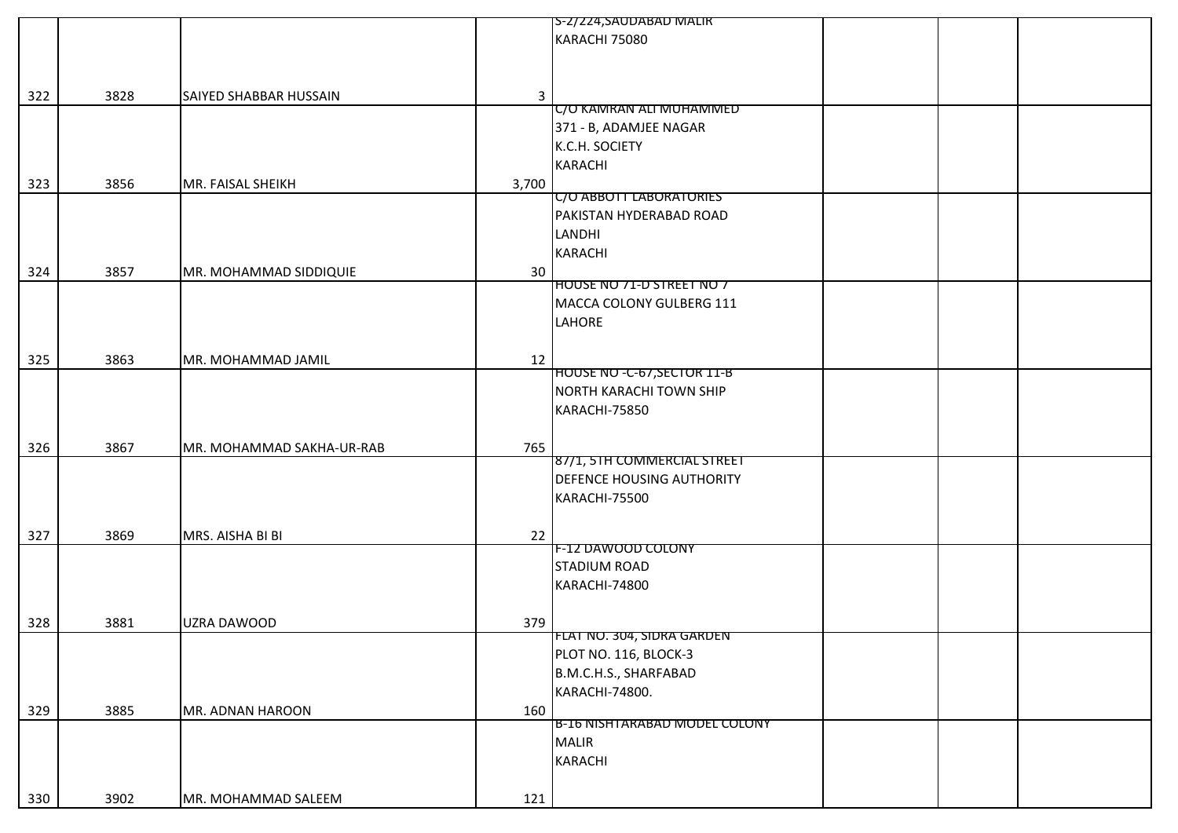|     |      |                           |              | S-2/224,SAUDABAD MALIR             |  |  |
|-----|------|---------------------------|--------------|------------------------------------|--|--|
|     |      |                           |              | KARACHI 75080                      |  |  |
|     |      |                           |              |                                    |  |  |
|     |      |                           |              |                                    |  |  |
|     | 3828 |                           |              |                                    |  |  |
| 322 |      | SAIYED SHABBAR HUSSAIN    | $\mathbf{3}$ | C/O KAMRAN ALI MUHAMMED            |  |  |
|     |      |                           |              | 371 - B, ADAMJEE NAGAR             |  |  |
|     |      |                           |              | K.C.H. SOCIETY                     |  |  |
|     |      |                           |              |                                    |  |  |
|     |      |                           |              | <b>KARACHI</b>                     |  |  |
| 323 | 3856 | MR. FAISAL SHEIKH         | 3,700        |                                    |  |  |
|     |      |                           |              | <b>C/O ABBOTT LABORATORIES</b>     |  |  |
|     |      |                           |              | PAKISTAN HYDERABAD ROAD            |  |  |
|     |      |                           |              | LANDHI                             |  |  |
|     |      |                           |              | <b>KARACHI</b>                     |  |  |
| 324 | 3857 | MR. MOHAMMAD SIDDIQUIE    | 30           |                                    |  |  |
|     |      |                           |              | HOUSE NO 71-D STREET NO 7          |  |  |
|     |      |                           |              | MACCA COLONY GULBERG 111           |  |  |
|     |      |                           |              | LAHORE                             |  |  |
|     |      |                           |              |                                    |  |  |
| 325 | 3863 | MR. MOHAMMAD JAMIL        | 12           |                                    |  |  |
|     |      |                           |              | <b>HOUSE NO -C-67, SECTOR 11-B</b> |  |  |
|     |      |                           |              | <b>NORTH KARACHI TOWN SHIP</b>     |  |  |
|     |      |                           |              | KARACHI-75850                      |  |  |
|     |      |                           |              |                                    |  |  |
|     |      |                           |              |                                    |  |  |
| 326 | 3867 | MR. MOHAMMAD SAKHA-UR-RAB | 765          | 87/1, 5TH COMMERCIAL STREET        |  |  |
|     |      |                           |              | DEFENCE HOUSING AUTHORITY          |  |  |
|     |      |                           |              |                                    |  |  |
|     |      |                           |              | KARACHI-75500                      |  |  |
|     |      |                           |              |                                    |  |  |
| 327 | 3869 | MRS. AISHA BI BI          | 22           |                                    |  |  |
|     |      |                           |              | F-12 DAWOOD COLONY                 |  |  |
|     |      |                           |              | <b>STADIUM ROAD</b>                |  |  |
|     |      |                           |              | KARACHI-74800                      |  |  |
|     |      |                           |              |                                    |  |  |
| 328 | 3881 | UZRA DAWOOD               | 379          |                                    |  |  |
|     |      |                           |              | <b>FLAT NO. 304, SIDRA GARDEN</b>  |  |  |
|     |      |                           |              | PLOT NO. 116, BLOCK-3              |  |  |
|     |      |                           |              | B.M.C.H.S., SHARFABAD              |  |  |
|     |      |                           |              | KARACHI-74800.                     |  |  |
|     | 3885 |                           |              |                                    |  |  |
| 329 |      | MR. ADNAN HAROON          | 160          | B-16 NISHTARABAD MODEL COLONY      |  |  |
|     |      |                           |              | <b>MALIR</b>                       |  |  |
|     |      |                           |              | <b>KARACHI</b>                     |  |  |
|     |      |                           |              |                                    |  |  |
|     |      |                           |              |                                    |  |  |
| 330 | 3902 | MR. MOHAMMAD SALEEM       | 121          |                                    |  |  |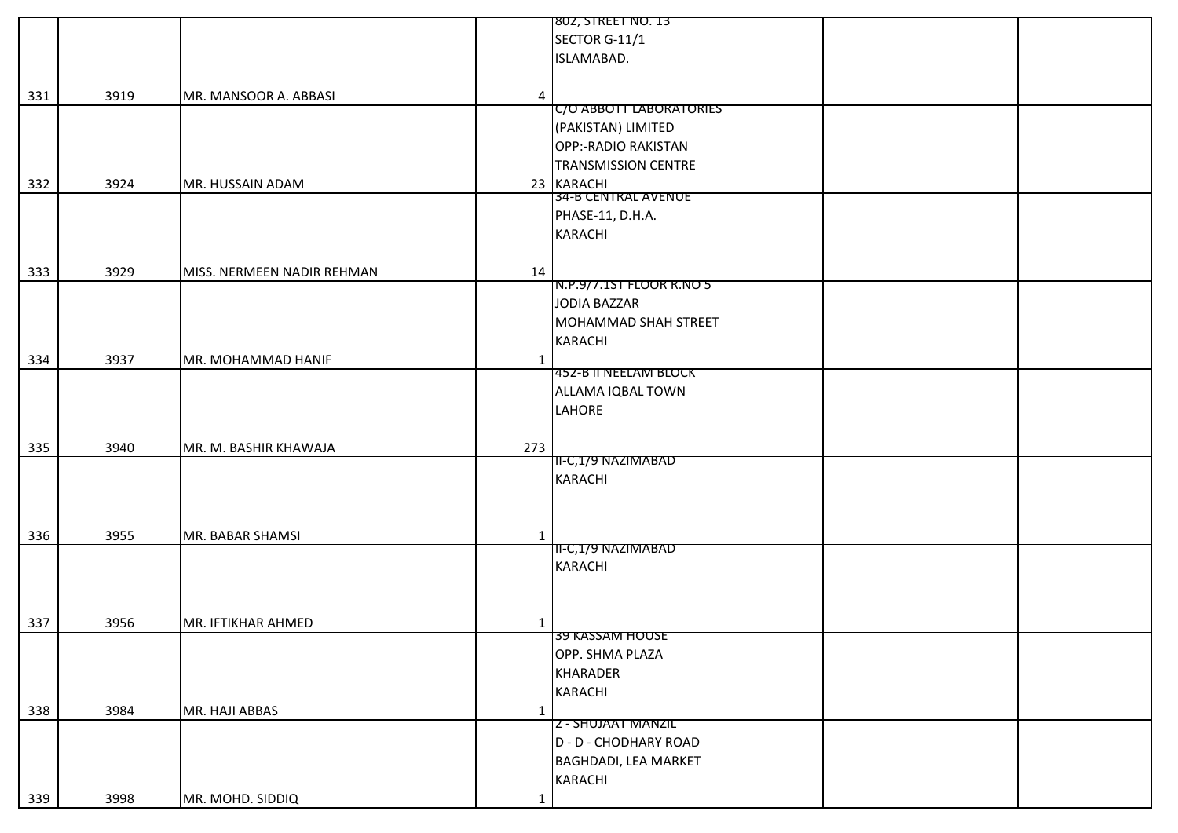|     |      |                            |              | 802, STREET NO. 13           |  |  |
|-----|------|----------------------------|--------------|------------------------------|--|--|
|     |      |                            |              | SECTOR G-11/1                |  |  |
|     |      |                            |              | ISLAMABAD.                   |  |  |
|     |      |                            |              |                              |  |  |
| 331 | 3919 | MR. MANSOOR A. ABBASI      | 4            |                              |  |  |
|     |      |                            |              | C/O ABBOTT LABORATORIES      |  |  |
|     |      |                            |              | (PAKISTAN) LIMITED           |  |  |
|     |      |                            |              | OPP:-RADIO RAKISTAN          |  |  |
|     |      |                            |              | <b>TRANSMISSION CENTRE</b>   |  |  |
| 332 | 3924 | MR. HUSSAIN ADAM           |              | 23 KARACHI                   |  |  |
|     |      |                            |              | 34-B CENTRAL AVENUE          |  |  |
|     |      |                            |              | PHASE-11, D.H.A.             |  |  |
|     |      |                            |              | <b>KARACHI</b>               |  |  |
|     |      |                            |              |                              |  |  |
| 333 | 3929 | MISS. NERMEEN NADIR REHMAN | 14           |                              |  |  |
|     |      |                            |              | N.P.9/7.1ST FLOOR R.NO 5     |  |  |
|     |      |                            |              | JODIA BAZZAR                 |  |  |
|     |      |                            |              | MOHAMMAD SHAH STREET         |  |  |
|     |      |                            |              | <b>KARACHI</b>               |  |  |
| 334 | 3937 | MR. MOHAMMAD HANIF         | $\mathbf{1}$ |                              |  |  |
|     |      |                            |              | <b>452-B II NEELAM BLOCK</b> |  |  |
|     |      |                            |              | ALLAMA IQBAL TOWN            |  |  |
|     |      |                            |              | LAHORE                       |  |  |
|     |      |                            |              |                              |  |  |
| 335 | 3940 | MR. M. BASHIR KHAWAJA      | 273          |                              |  |  |
|     |      |                            |              | II-C,1/9 NAZIMABAD           |  |  |
|     |      |                            |              | <b>KARACHI</b>               |  |  |
|     |      |                            |              |                              |  |  |
|     |      |                            |              |                              |  |  |
| 336 | 3955 | MR. BABAR SHAMSI           | $\mathbf{1}$ |                              |  |  |
|     |      |                            |              | II-C,1/9 NAZIMABAD           |  |  |
|     |      |                            |              | <b>KARACHI</b>               |  |  |
|     |      |                            |              |                              |  |  |
|     |      |                            |              |                              |  |  |
| 337 | 3956 | MR. IFTIKHAR AHMED         | $\mathbf{1}$ |                              |  |  |
|     |      |                            |              | <b>39 KASSAM HOUSE</b>       |  |  |
|     |      |                            |              | OPP. SHMA PLAZA              |  |  |
|     |      |                            |              | <b>KHARADER</b>              |  |  |
|     |      |                            |              | <b>KARACHI</b>               |  |  |
| 338 | 3984 | MR. HAJI ABBAS             | 1            |                              |  |  |
|     |      |                            |              | Z - SHUJAAT MANZIL           |  |  |
|     |      |                            |              | D - D - CHODHARY ROAD        |  |  |
|     |      |                            |              | <b>BAGHDADI, LEA MARKET</b>  |  |  |
|     |      |                            |              | <b>KARACHI</b>               |  |  |
|     |      |                            |              |                              |  |  |
| 339 | 3998 | MR. MOHD. SIDDIQ           | $\mathbf{1}$ |                              |  |  |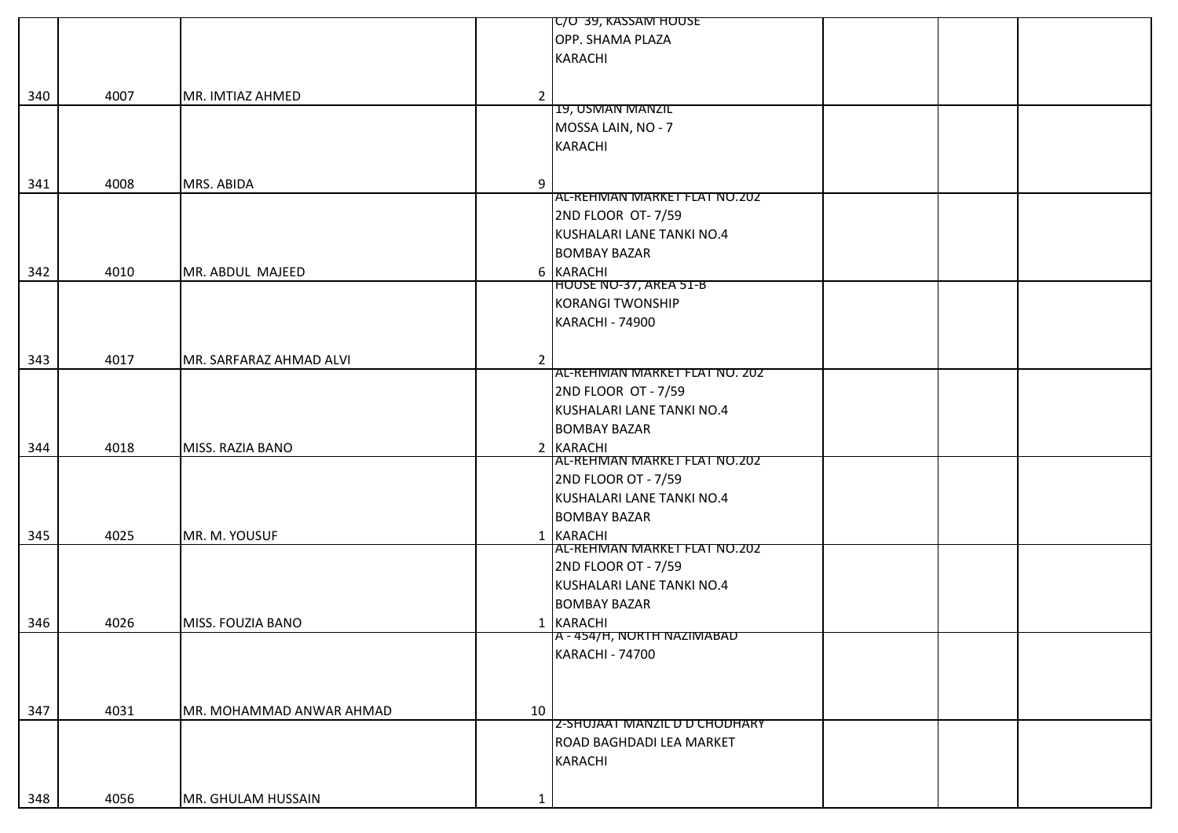|     |      |                          |                | C/O 39, KASSAM HOUSE                    |  |
|-----|------|--------------------------|----------------|-----------------------------------------|--|
|     |      |                          |                | OPP. SHAMA PLAZA                        |  |
|     |      |                          |                | <b>KARACHI</b>                          |  |
|     |      |                          |                |                                         |  |
| 340 | 4007 | MR. IMTIAZ AHMED         | $\overline{2}$ |                                         |  |
|     |      |                          |                | 19, USMAN MANZIL                        |  |
|     |      |                          |                | MOSSA LAIN, NO - 7                      |  |
|     |      |                          |                | <b>KARACHI</b>                          |  |
|     |      |                          |                |                                         |  |
|     |      |                          |                |                                         |  |
| 341 | 4008 | MRS. ABIDA               | 9              | AL-REHMAN MARKET FLAT NO.202            |  |
|     |      |                          |                |                                         |  |
|     |      |                          |                | 2ND FLOOR OT-7/59                       |  |
|     |      |                          |                | KUSHALARI LANE TANKI NO.4               |  |
|     |      |                          |                | <b>BOMBAY BAZAR</b>                     |  |
| 342 | 4010 | MR. ABDUL MAJEED         |                | 6 KARACHI                               |  |
|     |      |                          |                | HOUSE NO-37, AREA 51-B                  |  |
|     |      |                          |                | <b>KORANGI TWONSHIP</b>                 |  |
|     |      |                          |                | <b>KARACHI - 74900</b>                  |  |
|     |      |                          |                |                                         |  |
| 343 | 4017 | MR. SARFARAZ AHMAD ALVI  | $\overline{2}$ |                                         |  |
|     |      |                          |                | AL-REHMAN MARKET FLAT NO. 202           |  |
|     |      |                          |                | 2ND FLOOR OT - 7/59                     |  |
|     |      |                          |                | KUSHALARI LANE TANKI NO.4               |  |
|     |      |                          |                | <b>BOMBAY BAZAR</b>                     |  |
| 344 | 4018 | MISS. RAZIA BANO         |                | 2 KARACHI                               |  |
|     |      |                          |                | AL-REHMAN MARKET FLAT NO.202            |  |
|     |      |                          |                | 2ND FLOOR OT - 7/59                     |  |
|     |      |                          |                | KUSHALARI LANE TANKI NO.4               |  |
|     |      |                          |                | <b>BOMBAY BAZAR</b>                     |  |
| 345 | 4025 | MR. M. YOUSUF            |                | 1 KARACHI                               |  |
|     |      |                          |                | AL-REHMAN MARKET FLAT NO.202            |  |
|     |      |                          |                | 2ND FLOOR OT - 7/59                     |  |
|     |      |                          |                | KUSHALARI LANE TANKI NO.4               |  |
|     |      |                          |                | <b>BOMBAY BAZAR</b>                     |  |
|     |      |                          |                |                                         |  |
| 346 | 4026 | MISS. FOUZIA BANO        |                | 1 KARACHI<br>A - 454/H, NORTH NAZIMABAD |  |
|     |      |                          |                | <b>KARACHI - 74700</b>                  |  |
|     |      |                          |                |                                         |  |
|     |      |                          |                |                                         |  |
|     |      |                          |                |                                         |  |
| 347 | 4031 | MR. MOHAMMAD ANWAR AHMAD | 10             |                                         |  |
|     |      |                          |                | <b>Z-SHUJAAT MANZIL D D CHODHARY</b>    |  |
|     |      |                          |                | ROAD BAGHDADI LEA MARKET                |  |
|     |      |                          |                | <b>KARACHI</b>                          |  |
|     |      |                          |                |                                         |  |
| 348 | 4056 | MR. GHULAM HUSSAIN       | 1              |                                         |  |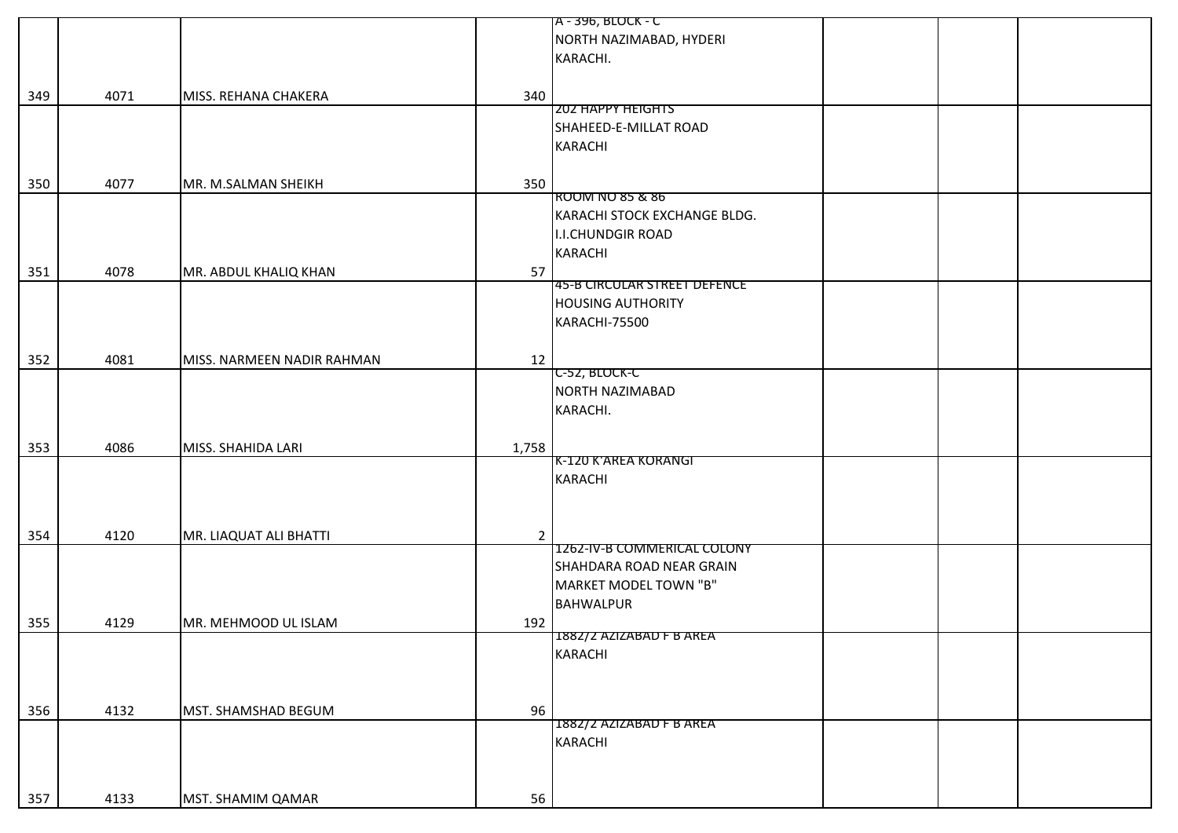|     |      |                            |                | A - 396, BLOCK - C                  |  |
|-----|------|----------------------------|----------------|-------------------------------------|--|
|     |      |                            |                | NORTH NAZIMABAD, HYDERI             |  |
|     |      |                            |                | KARACHI.                            |  |
|     |      |                            |                |                                     |  |
|     | 4071 |                            |                |                                     |  |
| 349 |      | MISS. REHANA CHAKERA       | 340            | <b>202 HAPPY HEIGHTS</b>            |  |
|     |      |                            |                | SHAHEED-E-MILLAT ROAD               |  |
|     |      |                            |                |                                     |  |
|     |      |                            |                | <b>KARACHI</b>                      |  |
|     |      |                            |                |                                     |  |
| 350 | 4077 | MR. M.SALMAN SHEIKH        | 350            |                                     |  |
|     |      |                            |                | ROOM NO 85 & 86                     |  |
|     |      |                            |                | KARACHI STOCK EXCHANGE BLDG.        |  |
|     |      |                            |                | <b>I.I.CHUNDGIR ROAD</b>            |  |
|     |      |                            |                | <b>KARACHI</b>                      |  |
| 351 | 4078 | MR. ABDUL KHALIQ KHAN      | 57             |                                     |  |
|     |      |                            |                | <b>45-B CIRCULAR STREET DEFENCE</b> |  |
|     |      |                            |                | <b>HOUSING AUTHORITY</b>            |  |
|     |      |                            |                | KARACHI-75500                       |  |
|     |      |                            |                |                                     |  |
| 352 | 4081 | MISS. NARMEEN NADIR RAHMAN | 12             |                                     |  |
|     |      |                            |                | C-52, BLOCK-C                       |  |
|     |      |                            |                | NORTH NAZIMABAD                     |  |
|     |      |                            |                | KARACHI.                            |  |
|     |      |                            |                |                                     |  |
|     |      |                            |                |                                     |  |
| 353 | 4086 | MISS. SHAHIDA LARI         | 1,758          | K-120 K'AREA KORANGI                |  |
|     |      |                            |                | <b>KARACHI</b>                      |  |
|     |      |                            |                |                                     |  |
|     |      |                            |                |                                     |  |
|     |      |                            |                |                                     |  |
| 354 | 4120 | MR. LIAQUAT ALI BHATTI     | $\overline{2}$ |                                     |  |
|     |      |                            |                | <b>1262-IV-B COMMERICAL COLONY</b>  |  |
|     |      |                            |                | SHAHDARA ROAD NEAR GRAIN            |  |
|     |      |                            |                | MARKET MODEL TOWN "B"               |  |
|     |      |                            |                | <b>BAHWALPUR</b>                    |  |
| 355 | 4129 | MR. MEHMOOD UL ISLAM       | 192            |                                     |  |
|     |      |                            |                | 1882/2 AZIZABAD F B AREA            |  |
|     |      |                            |                | <b>KARACHI</b>                      |  |
|     |      |                            |                |                                     |  |
|     |      |                            |                |                                     |  |
| 356 | 4132 | MST. SHAMSHAD BEGUM        | 96             |                                     |  |
|     |      |                            |                | 1882/2 AZIZABAD F B AREA            |  |
|     |      |                            |                | <b>KARACHI</b>                      |  |
|     |      |                            |                |                                     |  |
|     |      |                            |                |                                     |  |
| 357 | 4133 | MST. SHAMIM QAMAR          | 56             |                                     |  |
|     |      |                            |                |                                     |  |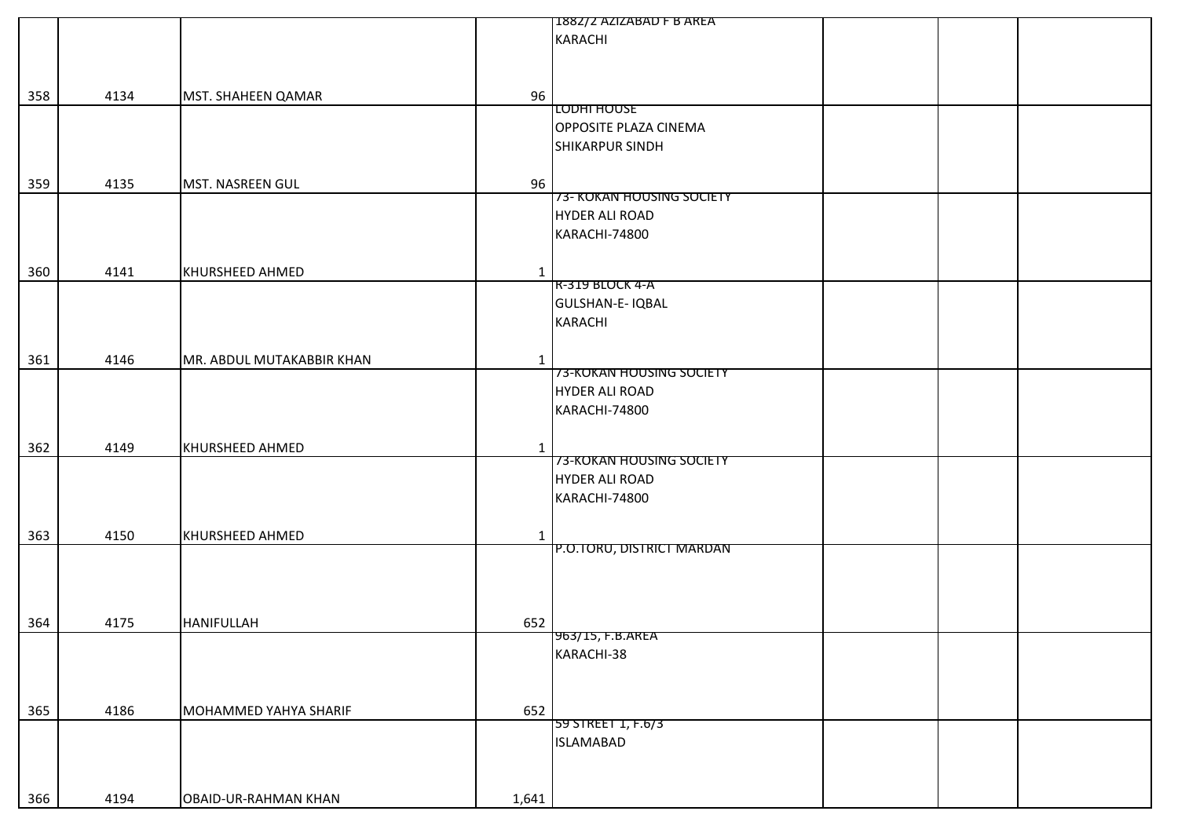|     |      |                           |              | 1882/2 AZIZABAD F B AREA     |
|-----|------|---------------------------|--------------|------------------------------|
|     |      |                           |              | <b>KARACHI</b>               |
|     |      |                           |              |                              |
|     |      |                           |              |                              |
|     |      |                           |              |                              |
| 358 | 4134 | MST. SHAHEEN QAMAR        | 96           |                              |
|     |      |                           |              | LODHI HOUSE                  |
|     |      |                           |              | <b>OPPOSITE PLAZA CINEMA</b> |
|     |      |                           |              | SHIKARPUR SINDH              |
|     |      |                           |              |                              |
| 359 | 4135 | MST. NASREEN GUL          | 96           |                              |
|     |      |                           |              | 73- KOKAN HOUSING SOCIETY    |
|     |      |                           |              | <b>HYDER ALI ROAD</b>        |
|     |      |                           |              |                              |
|     |      |                           |              | KARACHI-74800                |
|     |      |                           |              |                              |
| 360 | 4141 | KHURSHEED AHMED           | $\mathbf{1}$ |                              |
|     |      |                           |              | R-319 BLOCK 4-A              |
|     |      |                           |              | <b>GULSHAN-E-IQBAL</b>       |
|     |      |                           |              | KARACHI                      |
|     |      |                           |              |                              |
|     |      |                           |              |                              |
| 361 | 4146 | MR. ABDUL MUTAKABBIR KHAN | $\mathbf{1}$ |                              |
|     |      |                           |              | 73-KOKAN HOUSING SOCIETY     |
|     |      |                           |              | <b>HYDER ALI ROAD</b>        |
|     |      |                           |              | KARACHI-74800                |
|     |      |                           |              |                              |
| 362 | 4149 | KHURSHEED AHMED           |              |                              |
|     |      |                           | $\mathbf{1}$ | 73-KOKAN HOUSING SOCIETY     |
|     |      |                           |              | <b>HYDER ALI ROAD</b>        |
|     |      |                           |              |                              |
|     |      |                           |              | KARACHI-74800                |
|     |      |                           |              |                              |
| 363 | 4150 | KHURSHEED AHMED           | $\mathbf{1}$ |                              |
|     |      |                           |              | P.O.TORU, DISTRICT MARDAN    |
|     |      |                           |              |                              |
|     |      |                           |              |                              |
|     |      |                           |              |                              |
|     |      |                           |              |                              |
| 364 | 4175 | <b>HANIFULLAH</b>         | 652          |                              |
|     |      |                           |              | 963/15, F.B.AREA             |
|     |      |                           |              | KARACHI-38                   |
|     |      |                           |              |                              |
|     |      |                           |              |                              |
|     |      |                           |              |                              |
| 365 | 4186 | MOHAMMED YAHYA SHARIF     | 652          | 59 STREET 1, F.6/3           |
|     |      |                           |              |                              |
|     |      |                           |              | <b>ISLAMABAD</b>             |
|     |      |                           |              |                              |
|     |      |                           |              |                              |
| 366 | 4194 | OBAID-UR-RAHMAN KHAN      | 1,641        |                              |
|     |      |                           |              |                              |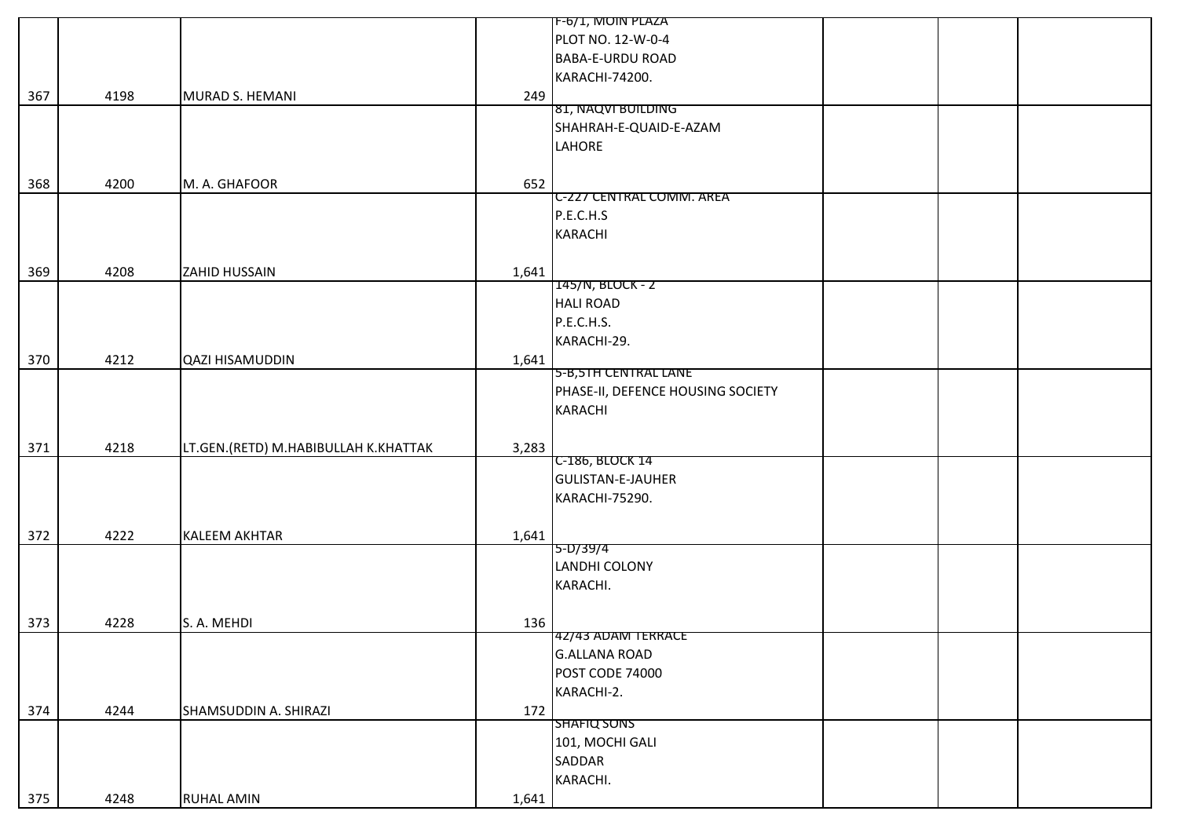| PLOT NO. 12-W-0-4<br><b>BABA-E-URDU ROAD</b><br>KARACHI-74200.<br>4198<br>367<br>MURAD S. HEMANI<br>249<br>81, NAQVI BUILDING<br>SHAHRAH-E-QUAID-E-AZAM<br>LAHORE |  |
|-------------------------------------------------------------------------------------------------------------------------------------------------------------------|--|
|                                                                                                                                                                   |  |
|                                                                                                                                                                   |  |
|                                                                                                                                                                   |  |
|                                                                                                                                                                   |  |
|                                                                                                                                                                   |  |
|                                                                                                                                                                   |  |
|                                                                                                                                                                   |  |
|                                                                                                                                                                   |  |
| 4200<br>652<br>368<br>M. A. GHAFOOR                                                                                                                               |  |
| <b>C-227 CENTRAL COMM. AREA</b>                                                                                                                                   |  |
| P.E.C.H.S                                                                                                                                                         |  |
| <b>KARACHI</b>                                                                                                                                                    |  |
|                                                                                                                                                                   |  |
| 4208<br>1,641<br>369<br><b>ZAHID HUSSAIN</b>                                                                                                                      |  |
| 145/N, BLOCK - 2                                                                                                                                                  |  |
| <b>HALI ROAD</b>                                                                                                                                                  |  |
| P.E.C.H.S.                                                                                                                                                        |  |
| KARACHI-29.                                                                                                                                                       |  |
| 4212<br>370<br>1,641<br><b>QAZI HISAMUDDIN</b>                                                                                                                    |  |
| 5-B,5TH CENTRAL LANE                                                                                                                                              |  |
| PHASE-II, DEFENCE HOUSING SOCIETY                                                                                                                                 |  |
| <b>KARACHI</b>                                                                                                                                                    |  |
|                                                                                                                                                                   |  |
| 4218<br>3,283<br>371<br>LT.GEN.(RETD) M.HABIBULLAH K.KHATTAK                                                                                                      |  |
| C-186, BLOCK 14                                                                                                                                                   |  |
| <b>GULISTAN-E-JAUHER</b>                                                                                                                                          |  |
| KARACHI-75290.                                                                                                                                                    |  |
|                                                                                                                                                                   |  |
| 4222<br>372<br><b>KALEEM AKHTAR</b><br>1,641                                                                                                                      |  |
| 5-D/39/4                                                                                                                                                          |  |
| LANDHI COLONY                                                                                                                                                     |  |
| KARACHI.                                                                                                                                                          |  |
|                                                                                                                                                                   |  |
| 373<br>4228<br>S. A. MEHDI<br>136                                                                                                                                 |  |
| 42/43 ADAM TERRACE                                                                                                                                                |  |
| <b>G.ALLANA ROAD</b>                                                                                                                                              |  |
| POST CODE 74000                                                                                                                                                   |  |
| KARACHI-2.                                                                                                                                                        |  |
| 4244<br>374<br>SHAMSUDDIN A. SHIRAZI<br>172                                                                                                                       |  |
| <b>SHAFIQ SONS</b>                                                                                                                                                |  |
| 101, MOCHI GALI                                                                                                                                                   |  |
| SADDAR                                                                                                                                                            |  |
| KARACHI.                                                                                                                                                          |  |
| 4248<br><b>RUHAL AMIN</b><br>375<br>1,641                                                                                                                         |  |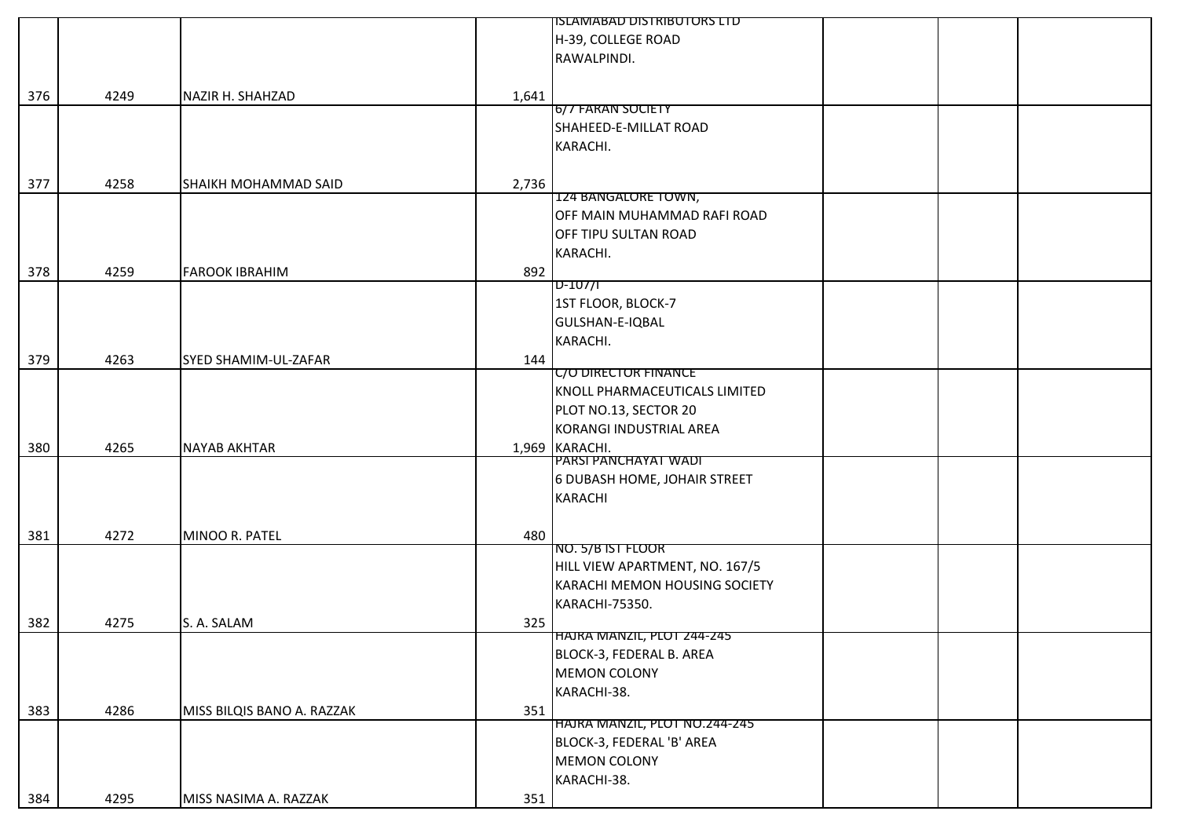|     |      |                             |       | ISLAMABAD DISTRIBUTORS LTD     |  |
|-----|------|-----------------------------|-------|--------------------------------|--|
|     |      |                             |       | H-39, COLLEGE ROAD             |  |
|     |      |                             |       | RAWALPINDI.                    |  |
|     |      |                             |       |                                |  |
| 376 | 4249 | NAZIR H. SHAHZAD            | 1,641 |                                |  |
|     |      |                             |       | 6/7 FARAN SOCIETY              |  |
|     |      |                             |       | SHAHEED-E-MILLAT ROAD          |  |
|     |      |                             |       | KARACHI.                       |  |
|     |      |                             |       |                                |  |
|     |      |                             |       |                                |  |
| 377 | 4258 | <b>SHAIKH MOHAMMAD SAID</b> | 2,736 | 124 BANGALORE TOWN,            |  |
|     |      |                             |       | OFF MAIN MUHAMMAD RAFI ROAD    |  |
|     |      |                             |       | OFF TIPU SULTAN ROAD           |  |
|     |      |                             |       |                                |  |
|     |      |                             |       | KARACHI.                       |  |
| 378 | 4259 | <b>FAROOK IBRAHIM</b>       | 892   | $D-107/1$                      |  |
|     |      |                             |       |                                |  |
|     |      |                             |       | 1ST FLOOR, BLOCK-7             |  |
|     |      |                             |       | GULSHAN-E-IQBAL                |  |
|     |      |                             |       | KARACHI.                       |  |
| 379 | 4263 | SYED SHAMIM-UL-ZAFAR        | 144   |                                |  |
|     |      |                             |       | <b>C/O DIRECTOR FINANCE</b>    |  |
|     |      |                             |       | KNOLL PHARMACEUTICALS LIMITED  |  |
|     |      |                             |       | PLOT NO.13, SECTOR 20          |  |
|     |      |                             |       | KORANGI INDUSTRIAL AREA        |  |
| 380 | 4265 | <b>NAYAB AKHTAR</b>         |       | 1,969 KARACHI.                 |  |
|     |      |                             |       | PARSI PANCHAYAT WADI           |  |
|     |      |                             |       | 6 DUBASH HOME, JOHAIR STREET   |  |
|     |      |                             |       | <b>KARACHI</b>                 |  |
|     |      |                             |       |                                |  |
| 381 | 4272 | MINOO R. PATEL              | 480   |                                |  |
|     |      |                             |       | NO. 5/B IST FLOOR              |  |
|     |      |                             |       | HILL VIEW APARTMENT, NO. 167/5 |  |
|     |      |                             |       | KARACHI MEMON HOUSING SOCIETY  |  |
|     |      |                             |       | KARACHI-75350.                 |  |
| 382 | 4275 | S. A. SALAM                 | 325   |                                |  |
|     |      |                             |       | HAJRA MANZIL, PLOT 244-245     |  |
|     |      |                             |       | BLOCK-3, FEDERAL B. AREA       |  |
|     |      |                             |       | <b>MEMON COLONY</b>            |  |
|     |      |                             |       | KARACHI-38.                    |  |
| 383 | 4286 | MISS BILQIS BANO A. RAZZAK  | 351   |                                |  |
|     |      |                             |       | HAJRA MANZIL, PLOT NO.244-245  |  |
|     |      |                             |       | BLOCK-3, FEDERAL 'B' AREA      |  |
|     |      |                             |       | <b>MEMON COLONY</b>            |  |
|     |      |                             |       | KARACHI-38.                    |  |
|     |      |                             |       |                                |  |
| 384 | 4295 | MISS NASIMA A. RAZZAK       | 351   |                                |  |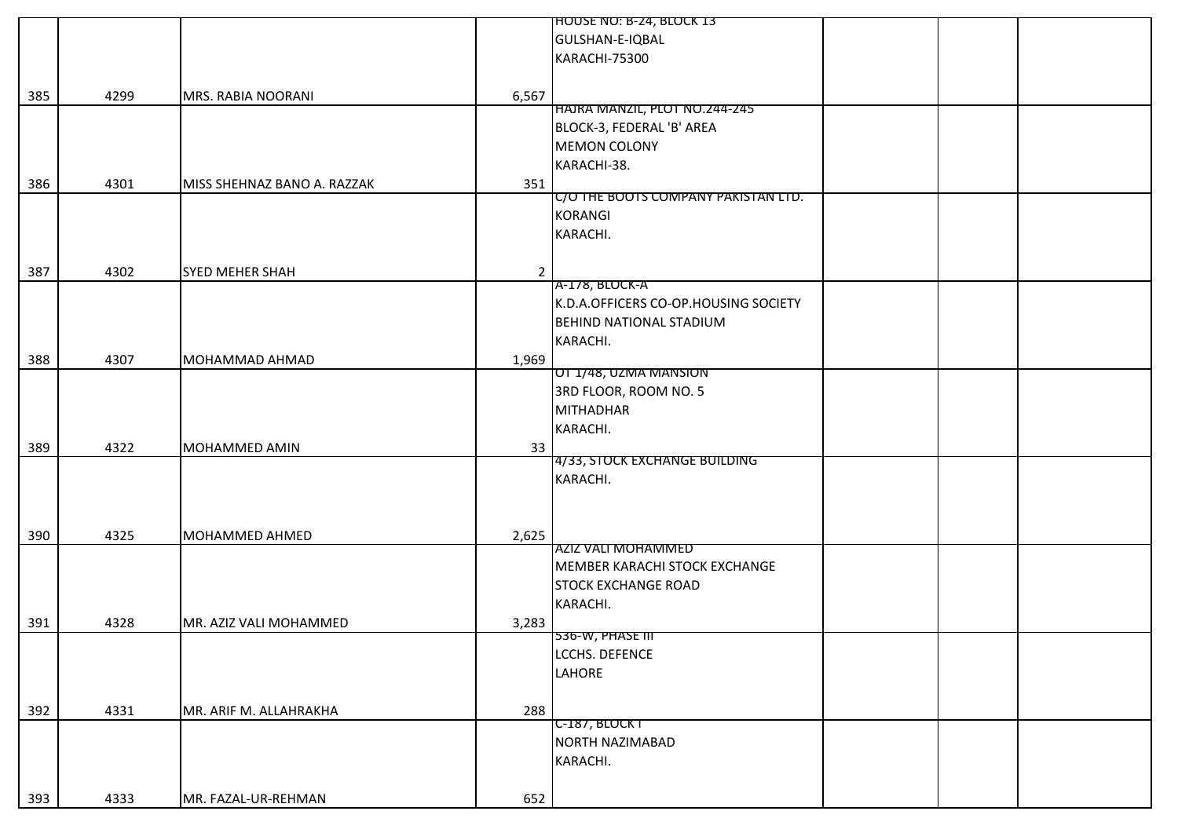|     |      |                             |                | <b>HOUSE NO: B-24, BLOCK 13</b>      |  |
|-----|------|-----------------------------|----------------|--------------------------------------|--|
|     |      |                             |                | GULSHAN-E-IQBAL                      |  |
|     |      |                             |                | KARACHI-75300                        |  |
|     |      |                             |                |                                      |  |
| 385 | 4299 | MRS. RABIA NOORANI          | 6,567          |                                      |  |
|     |      |                             |                | HAJRA MANZIL, PLOT NO.244-245        |  |
|     |      |                             |                | BLOCK-3, FEDERAL 'B' AREA            |  |
|     |      |                             |                | <b>MEMON COLONY</b>                  |  |
|     |      |                             |                | KARACHI-38.                          |  |
| 386 | 4301 | MISS SHEHNAZ BANO A. RAZZAK | 351            |                                      |  |
|     |      |                             |                | C/O THE BOOTS COMPANY PAKISTAN LTD.  |  |
|     |      |                             |                | <b>KORANGI</b>                       |  |
|     |      |                             |                | KARACHI.                             |  |
|     |      |                             |                |                                      |  |
| 387 | 4302 | <b>SYED MEHER SHAH</b>      | $\overline{2}$ |                                      |  |
|     |      |                             |                | A-178, BLOCK-A                       |  |
|     |      |                             |                | K.D.A.OFFICERS CO-OP.HOUSING SOCIETY |  |
|     |      |                             |                | <b>BEHIND NATIONAL STADIUM</b>       |  |
|     |      |                             |                | KARACHI.                             |  |
| 388 | 4307 | MOHAMMAD AHMAD              | 1,969          |                                      |  |
|     |      |                             |                | <b>OT 1/48, UZMA MANSION</b>         |  |
|     |      |                             |                | 3RD FLOOR, ROOM NO. 5                |  |
|     |      |                             |                | <b>MITHADHAR</b>                     |  |
|     |      |                             |                | KARACHI.                             |  |
| 389 | 4322 | MOHAMMED AMIN               | 33             |                                      |  |
|     |      |                             |                | 4/33, STOCK EXCHANGE BUILDING        |  |
|     |      |                             |                | KARACHI.                             |  |
|     |      |                             |                |                                      |  |
|     |      |                             |                |                                      |  |
| 390 | 4325 | <b>MOHAMMED AHMED</b>       | 2,625          |                                      |  |
|     |      |                             |                | AZIZ VALI MOHAMMED                   |  |
|     |      |                             |                | MEMBER KARACHI STOCK EXCHANGE        |  |
|     |      |                             |                | <b>STOCK EXCHANGE ROAD</b>           |  |
|     |      |                             |                | KARACHI.                             |  |
|     |      |                             |                |                                      |  |
| 391 | 4328 | MR. AZIZ VALI MOHAMMED      | 3,283          | $536-W, PHASE III$                   |  |
|     |      |                             |                | LCCHS. DEFENCE                       |  |
|     |      |                             |                | LAHORE                               |  |
|     |      |                             |                |                                      |  |
|     |      |                             |                |                                      |  |
| 392 | 4331 | MR. ARIF M. ALLAHRAKHA      | 288            | $C-187, BLOCKT$                      |  |
|     |      |                             |                | NORTH NAZIMABAD                      |  |
|     |      |                             |                | KARACHI.                             |  |
|     |      |                             |                |                                      |  |
|     |      |                             |                |                                      |  |
| 393 | 4333 | MR. FAZAL-UR-REHMAN         | 652            |                                      |  |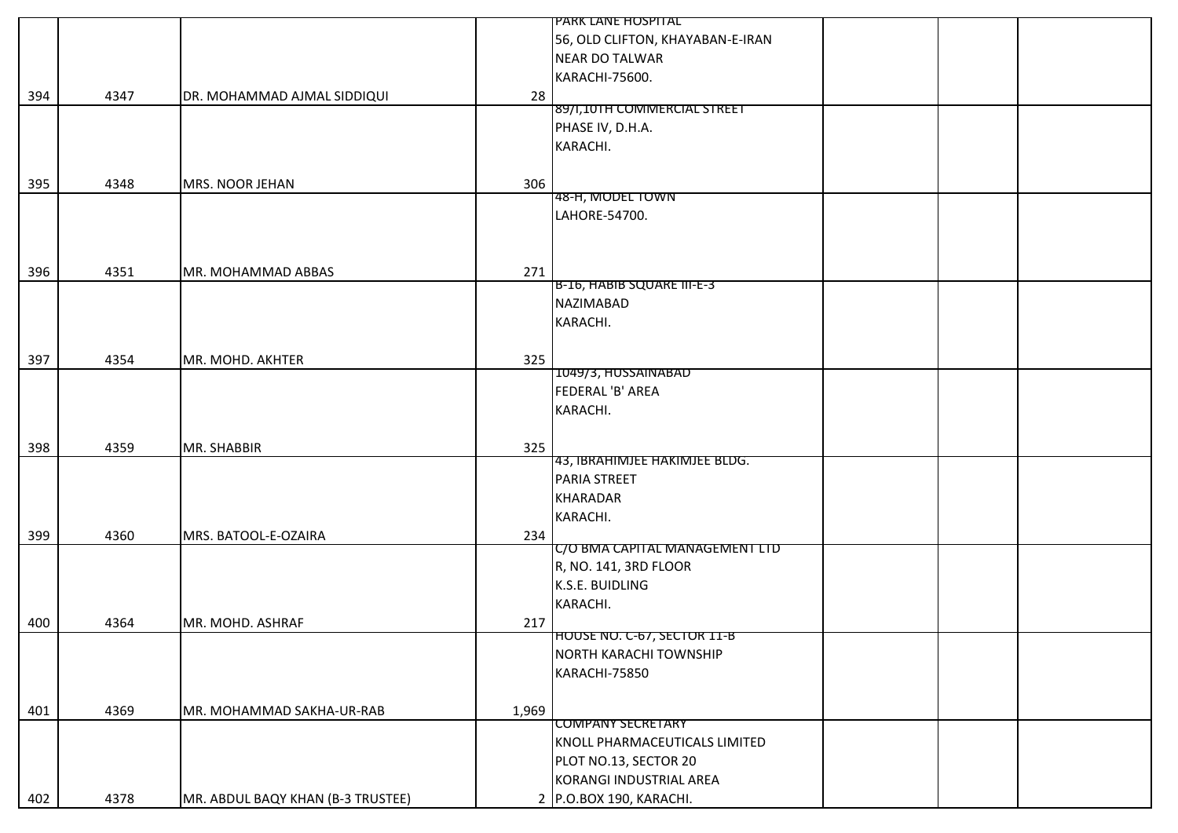|     |      |                                   |       | <b>PARK LANE HOSPITAL</b>          |  |
|-----|------|-----------------------------------|-------|------------------------------------|--|
|     |      |                                   |       | 56, OLD CLIFTON, KHAYABAN-E-IRAN   |  |
|     |      |                                   |       | <b>NEAR DO TALWAR</b>              |  |
|     |      |                                   |       | KARACHI-75600.                     |  |
| 394 | 4347 | DR. MOHAMMAD AJMAL SIDDIQUI       | 28    |                                    |  |
|     |      |                                   |       | 89/1,101H COMMERCIAL STREET        |  |
|     |      |                                   |       | PHASE IV, D.H.A.                   |  |
|     |      |                                   |       | KARACHI.                           |  |
|     |      |                                   |       |                                    |  |
| 395 | 4348 | MRS. NOOR JEHAN                   | 306   |                                    |  |
|     |      |                                   |       | 48-H, MODEL TOWN                   |  |
|     |      |                                   |       | LAHORE-54700.                      |  |
|     |      |                                   |       |                                    |  |
|     |      |                                   |       |                                    |  |
| 396 | 4351 | MR. MOHAMMAD ABBAS                | 271   |                                    |  |
|     |      |                                   |       | B-16, HABIB SQUARE III-E-3         |  |
|     |      |                                   |       | <b>NAZIMABAD</b>                   |  |
|     |      |                                   |       | KARACHI.                           |  |
|     |      |                                   |       |                                    |  |
| 397 | 4354 | MR. MOHD. AKHTER                  | 325   |                                    |  |
|     |      |                                   |       | 1049/3, HUSSAINABAD                |  |
|     |      |                                   |       | FEDERAL 'B' AREA                   |  |
|     |      |                                   |       | KARACHI.                           |  |
|     |      |                                   |       |                                    |  |
| 398 | 4359 | MR. SHABBIR                       | 325   |                                    |  |
|     |      |                                   |       | 43, IBRAHIMJEE HAKIMJEE BLDG.      |  |
|     |      |                                   |       | PARIA STREET                       |  |
|     |      |                                   |       | <b>KHARADAR</b>                    |  |
|     |      |                                   |       | KARACHI.                           |  |
| 399 | 4360 | MRS. BATOOL-E-OZAIRA              | 234   |                                    |  |
|     |      |                                   |       | C/O BMA CAPITAL MANAGEMENT LTD     |  |
|     |      |                                   |       | R, NO. 141, 3RD FLOOR              |  |
|     |      |                                   |       | K.S.E. BUIDLING                    |  |
|     |      |                                   |       | KARACHI.                           |  |
| 400 | 4364 | MR. MOHD. ASHRAF                  | 217   |                                    |  |
|     |      |                                   |       | <b>HOUSE NO. C-67, SECTOR 11-B</b> |  |
|     |      |                                   |       | NORTH KARACHI TOWNSHIP             |  |
|     |      |                                   |       | KARACHI-75850                      |  |
|     |      |                                   |       |                                    |  |
| 401 | 4369 | MR. MOHAMMAD SAKHA-UR-RAB         | 1,969 |                                    |  |
|     |      |                                   |       | <b>COMPANY SECRETARY</b>           |  |
|     |      |                                   |       | KNOLL PHARMACEUTICALS LIMITED      |  |
|     |      |                                   |       | PLOT NO.13, SECTOR 20              |  |
|     |      |                                   |       | KORANGI INDUSTRIAL AREA            |  |
| 402 | 4378 | MR. ABDUL BAQY KHAN (B-3 TRUSTEE) |       | 2 P.O.BOX 190, KARACHI.            |  |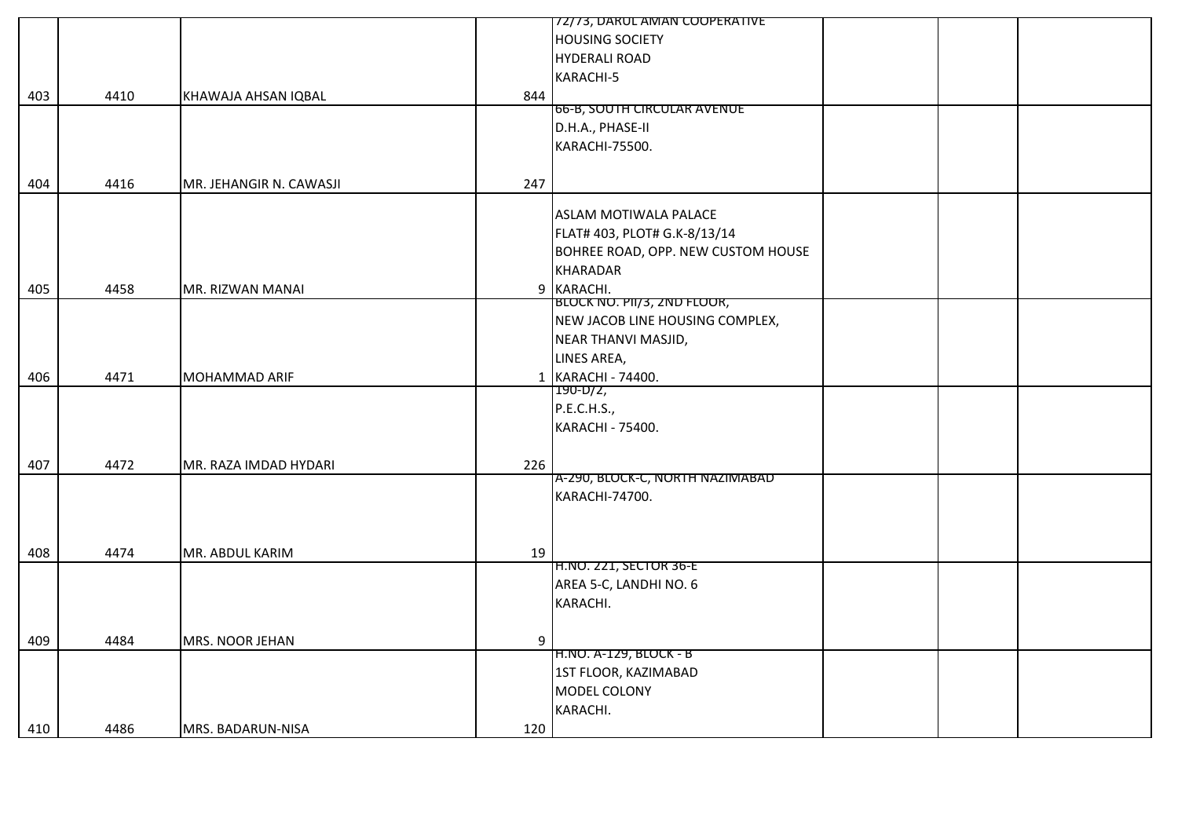|     |      |                          |     | 72/73, DARUL AMAN COOPERATIVE             |  |  |
|-----|------|--------------------------|-----|-------------------------------------------|--|--|
|     |      |                          |     | <b>HOUSING SOCIETY</b>                    |  |  |
|     |      |                          |     | <b>HYDERALI ROAD</b>                      |  |  |
|     |      |                          |     | KARACHI-5                                 |  |  |
| 403 | 4410 | KHAWAJA AHSAN IQBAL      | 844 |                                           |  |  |
|     |      |                          |     | 66-B, SOUTH CIRCULAR AVENUE               |  |  |
|     |      |                          |     | D.H.A., PHASE-II                          |  |  |
|     |      |                          |     | KARACHI-75500.                            |  |  |
|     |      |                          |     |                                           |  |  |
| 404 | 4416 | MR. JEHANGIR N. CAWASJI  | 247 |                                           |  |  |
|     |      |                          |     |                                           |  |  |
|     |      |                          |     | <b>ASLAM MOTIWALA PALACE</b>              |  |  |
|     |      |                          |     | FLAT# 403, PLOT# G.K-8/13/14              |  |  |
|     |      |                          |     | BOHREE ROAD, OPP. NEW CUSTOM HOUSE        |  |  |
|     |      |                          |     | <b>KHARADAR</b>                           |  |  |
|     |      |                          |     |                                           |  |  |
| 405 | 4458 | MR. RIZWAN MANAI         |     | 9 KARACHI.<br>BLOCK NO. PII/3, 2ND FLOOR, |  |  |
|     |      |                          |     | NEW JACOB LINE HOUSING COMPLEX,           |  |  |
|     |      |                          |     |                                           |  |  |
|     |      |                          |     | NEAR THANVI MASJID,                       |  |  |
|     |      |                          |     | LINES AREA,                               |  |  |
| 406 | 4471 | MOHAMMAD ARIF            |     | 1 KARACHI - 74400.                        |  |  |
|     |      |                          |     | 190-D/2,                                  |  |  |
|     |      |                          |     | P.E.C.H.S.,                               |  |  |
|     |      |                          |     | KARACHI - 75400.                          |  |  |
|     |      |                          |     |                                           |  |  |
| 407 | 4472 | MR. RAZA IMDAD HYDARI    | 226 |                                           |  |  |
|     |      |                          |     | A-290, BLOCK-C, NORTH NAZIMABAD           |  |  |
|     |      |                          |     | KARACHI-74700.                            |  |  |
|     |      |                          |     |                                           |  |  |
|     |      |                          |     |                                           |  |  |
| 408 | 4474 | MR. ABDUL KARIM          | 19  |                                           |  |  |
|     |      |                          |     | <b>H.NO. 221, SECTOR 36-E</b>             |  |  |
|     |      |                          |     | AREA 5-C, LANDHI NO. 6                    |  |  |
|     |      |                          |     | KARACHI.                                  |  |  |
|     |      |                          |     |                                           |  |  |
| 409 | 4484 | MRS. NOOR JEHAN          | 9   |                                           |  |  |
|     |      |                          |     | H.NO. A-129, BLOCK - В                    |  |  |
|     |      |                          |     | 1ST FLOOR, KAZIMABAD                      |  |  |
|     |      |                          |     | MODEL COLONY                              |  |  |
|     |      |                          |     | KARACHI.                                  |  |  |
| 410 | 4486 | <b>MRS. BADARUN-NISA</b> | 120 |                                           |  |  |